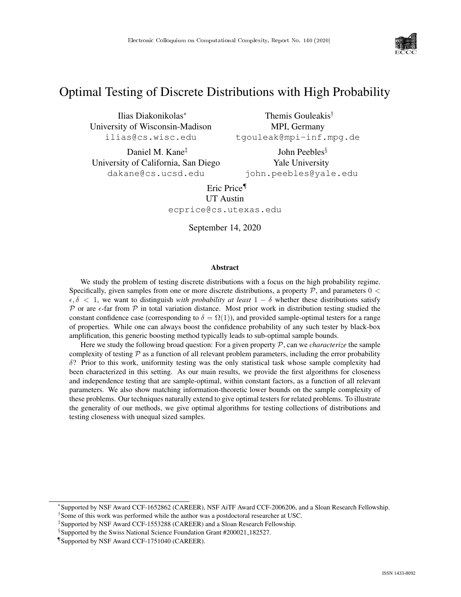

# Optimal Testing of Discrete Distributions with High Probability

Ilias Diakonikolas<sup>∗</sup> University of Wisconsin-Madison ilias@cs.wisc.edu

MPI, Germany tgouleak@mpi-inf.mpg.de

Daniel M. Kane‡ University of California, San Diego dakane@cs.ucsd.edu

John Peebles§ Yale University john.peebles@yale.edu

Themis Gouleakis†

Eric Price¶ UT Austin ecprice@cs.utexas.edu

September 14, 2020

#### Abstract

We study the problem of testing discrete distributions with a focus on the high probability regime. Specifically, given samples from one or more discrete distributions, a property  $P$ , and parameters  $0 <$  $\epsilon, \delta$  < 1, we want to distinguish *with probability at least*  $1 - \delta$  whether these distributions satisfy  $\mathcal P$  or are  $\epsilon$ -far from  $\mathcal P$  in total variation distance. Most prior work in distribution testing studied the constant confidence case (corresponding to  $\delta = \Omega(1)$ ), and provided sample-optimal testers for a range of properties. While one can always boost the confidence probability of any such tester by black-box amplification, this generic boosting method typically leads to sub-optimal sample bounds.

Here we study the following broad question: For a given property P, can we *characterize* the sample complexity of testing  $\mathcal P$  as a function of all relevant problem parameters, including the error probability  $\delta$ ? Prior to this work, uniformity testing was the only statistical task whose sample complexity had been characterized in this setting. As our main results, we provide the first algorithms for closeness and independence testing that are sample-optimal, within constant factors, as a function of all relevant parameters. We also show matching information-theoretic lower bounds on the sample complexity of these problems. Our techniques naturally extend to give optimal testers for related problems. To illustrate the generality of our methods, we give optimal algorithms for testing collections of distributions and testing closeness with unequal sized samples.

<sup>∗</sup> Supported by NSF Award CCF-1652862 (CAREER), NSF AiTF Award CCF-2006206, and a Sloan Research Fellowship. † Some of this work was performed while the author was a postdoctoral researcher at USC.

<sup>‡</sup> Supported by NSF Award CCF-1553288 (CAREER) and a Sloan Research Fellowship.

<sup>§</sup> Supported by the Swiss National Science Foundation Grant #200021 182527.

<sup>¶</sup> Supported by NSF Award CCF-1751040 (CAREER).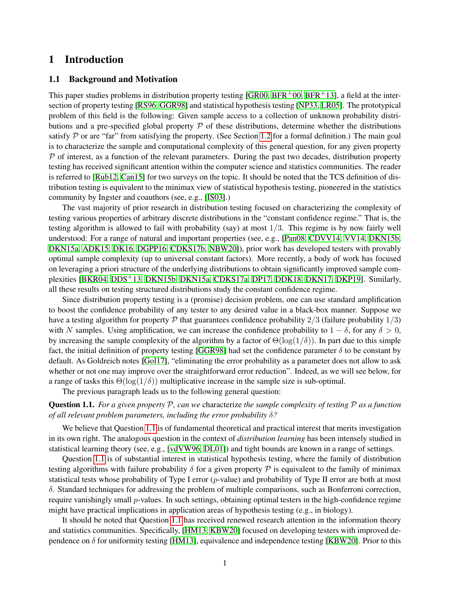## 1 Introduction

## 1.1 Background and Motivation

This paper studies problems in distribution property testing [\[GR00,](#page-35-0) [BFR](#page-34-1)+00, BFR+13], a field at the intersection of property testing [\[RS96,](#page-36-0) [GGR98\]](#page-35-1) and statistical hypothesis testing [\[NP33,](#page-36-1) [LR05\]](#page-36-2). The prototypical problem of this field is the following: Given sample access to a collection of unknown probability distributions and a pre-specified global property  $P$  of these distributions, determine whether the distributions satisfy  $P$  or are "far" from satisfying the property. (See Section [1.2](#page-2-0) for a formal definition.) The main goal is to characterize the sample and computational complexity of this general question, for any given property  $P$  of interest, as a function of the relevant parameters. During the past two decades, distribution property testing has received significant attention within the computer science and statistics communities. The reader is referred to [\[Rub12,](#page-36-3) [Can15\]](#page-34-2) for two surveys on the topic. It should be noted that the TCS definition of distribution testing is equivalent to the minimax view of statistical hypothesis testing, pioneered in the statistics community by Ingster and coauthors (see, e.g., [\[IS03\]](#page-36-4).)

The vast majority of prior research in distribution testing focused on characterizing the complexity of testing various properties of arbitrary discrete distributions in the "constant confidence regime." That is, the testing algorithm is allowed to fail with probability (say) at most 1/3. This regime is by now fairly well understood: For a range of natural and important properties (see, e.g., [\[Pan08,](#page-36-5) [CDVV14,](#page-35-2) [VV14,](#page-36-6) [DKN15b,](#page-35-3) [DKN15a,](#page-35-4) [ADK15,](#page-34-3) [DK16,](#page-35-5) [DGPP16,](#page-35-6) [CDKS17b,](#page-34-4) [NBW20\]](#page-36-7)), prior work has developed testers with provably optimal sample complexity (up to universal constant factors). More recently, a body of work has focused on leveraging a priori structure of the underlying distributions to obtain significantly improved sample complexities [\[BKR04,](#page-34-5) [DDS](#page-35-7)+13, [DKN15b,](#page-35-3) [DKN15a,](#page-35-4) [CDKS17a,](#page-34-6) [DP17,](#page-35-8) [DDK18,](#page-35-9) [DKN17,](#page-35-10) [DKP19\]](#page-35-11). Similarly, all these results on testing structured distributions study the constant confidence regime.

Since distribution property testing is a (promise) decision problem, one can use standard amplification to boost the confidence probability of any tester to any desired value in a black-box manner. Suppose we have a testing algorithm for property  $\mathcal P$  that guarantees confidence probability  $2/3$  (failure probability  $1/3$ ) with N samples. Using amplification, we can increase the confidence probability to  $1 - \delta$ , for any  $\delta > 0$ , by increasing the sample complexity of the algorithm by a factor of  $\Theta(\log(1/\delta))$ . In part due to this simple fact, the initial definition of property testing [\[GGR98\]](#page-35-1) had set the confidence parameter  $\delta$  to be constant by default. As Goldreich notes [\[Gol17\]](#page-35-12), "eliminating the error probability as a parameter does not allow to ask whether or not one may improve over the straightforward error reduction". Indeed, as we will see below, for a range of tasks this  $\Theta(\log(1/\delta))$  multiplicative increase in the sample size is sub-optimal.

The previous paragraph leads us to the following general question:

## <span id="page-1-0"></span>Question 1.1. *For a given property* P*, can we* characterize *the sample complexity of testing* P *as a function of all relevant problem parameters, including the error probability* δ*?*

We believe that Question [1.1](#page-1-0) is of fundamental theoretical and practical interest that merits investigation in its own right. The analogous question in the context of *distribution learning* has been intensely studied in statistical learning theory (see, e.g., [\[vdVW96,](#page-36-8) [DL01\]](#page-35-13)) and tight bounds are known in a range of settings.

Question [1.1](#page-1-0) is of substantial interest in statistical hypothesis testing, where the family of distribution testing algorithms with failure probability  $\delta$  for a given property P is equivalent to the family of minimax statistical tests whose probability of Type I error  $(p$ -value) and probability of Type II error are both at most δ. Standard techniques for addressing the problem of multiple comparisons, such as Bonferroni correction, require vanishingly small p-values. In such settings, obtaining optimal testers in the high-confidence regime might have practical implications in application areas of hypothesis testing (e.g., in biology).

It should be noted that Question [1.1](#page-1-0) has received renewed research attention in the information theory and statistics communities. Specifically, [\[HM13,](#page-35-14) [KBW20\]](#page-36-9) focused on developing testers with improved dependence on  $\delta$  for uniformity testing [\[HM13\]](#page-35-14), equivalence and independence testing [\[KBW20\]](#page-36-9). Prior to this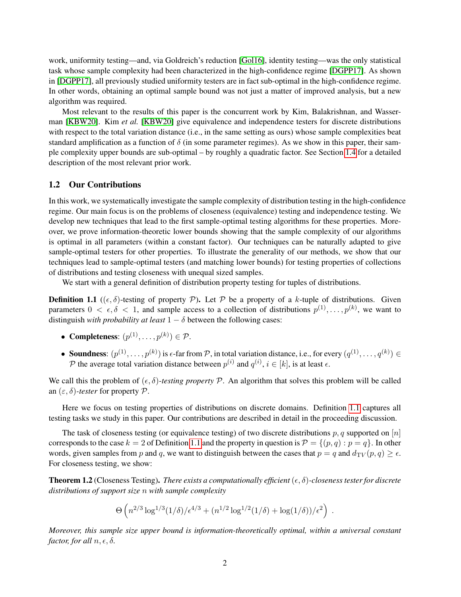work, uniformity testing—and, via Goldreich's reduction [\[Gol16\]](#page-35-15), identity testing—was the only statistical task whose sample complexity had been characterized in the high-confidence regime [\[DGPP17\]](#page-35-16). As shown in [\[DGPP17\]](#page-35-16), all previously studied uniformity testers are in fact sub-optimal in the high-confidence regime. In other words, obtaining an optimal sample bound was not just a matter of improved analysis, but a new algorithm was required.

Most relevant to the results of this paper is the concurrent work by Kim, Balakrishnan, and Wasserman [\[KBW20\]](#page-36-9). Kim *et al.* [\[KBW20\]](#page-36-9) give equivalence and independence testers for discrete distributions with respect to the total variation distance (i.e., in the same setting as ours) whose sample complexities beat standard amplification as a function of  $\delta$  (in some parameter regimes). As we show in this paper, their sample complexity upper bounds are sub-optimal – by roughly a quadratic factor. See Section [1.4](#page-6-0) for a detailed description of the most relevant prior work.

#### <span id="page-2-0"></span>1.2 Our Contributions

In this work, we systematically investigate the sample complexity of distribution testing in the high-confidence regime. Our main focus is on the problems of closeness (equivalence) testing and independence testing. We develop new techniques that lead to the first sample-optimal testing algorithms for these properties. Moreover, we prove information-theoretic lower bounds showing that the sample complexity of our algorithms is optimal in all parameters (within a constant factor). Our techniques can be naturally adapted to give sample-optimal testers for other properties. To illustrate the generality of our methods, we show that our techniques lead to sample-optimal testers (and matching lower bounds) for testing properties of collections of distributions and testing closeness with unequal sized samples.

We start with a general definition of distribution property testing for tuples of distributions.

<span id="page-2-1"></span>**Definition 1.1** ( $(\epsilon, \delta)$ -testing of property P). Let P be a property of a k-tuple of distributions. Given parameters  $0 < \epsilon, \delta < 1$ , and sample access to a collection of distributions  $p^{(1)}, \ldots, p^{(k)}$ , we want to distinguish *with probability at least*  $1 - \delta$  between the following cases:

- Completeness:  $(p^{(1)}, \ldots, p^{(k)}) \in \mathcal{P}$ .
- Soundness:  $(p^{(1)}, \ldots, p^{(k)})$  is  $\epsilon$ -far from  $P$ , in total variation distance, i.e., for every  $(q^{(1)}, \ldots, q^{(k)}) \in$ P the average total variation distance between  $p^{(i)}$  and  $q^{(i)}$ ,  $i \in [k]$ , is at least  $\epsilon$ .

We call this the problem of  $(\epsilon, \delta)$ -testing property P. An algorithm that solves this problem will be called an  $(\varepsilon, \delta)$ -tester for property  $P$ .

Here we focus on testing properties of distributions on discrete domains. Definition [1.1](#page-2-1) captures all testing tasks we study in this paper. Our contributions are described in detail in the proceeding discussion.

The task of closeness testing (or equivalence testing) of two discrete distributions p, q supported on  $[n]$ corresponds to the case  $k = 2$  of Definition [1.1](#page-2-1) and the property in question is  $\mathcal{P} = \{(p, q) : p = q\}$ . In other words, given samples from p and q, we want to distinguish between the cases that  $p = q$  and  $d_{TV}(p, q) \geq \epsilon$ . For closeness testing, we show:

<span id="page-2-2"></span>**Theorem 1.2** (Closeness Testing). *There exists a computationally efficient* ( $\epsilon$ ,  $\delta$ )-closeness tester for discrete *distributions of support size* n *with sample complexity*

$$
\Theta\left(n^{2/3}\log^{1/3}(1/\delta)/\epsilon^{4/3} + (n^{1/2}\log^{1/2}(1/\delta) + \log(1/\delta))/\epsilon^2\right) \ .
$$

*Moreover, this sample size upper bound is information-theoretically optimal, within a universal constant factor, for all*  $n, \epsilon, \delta$ *.*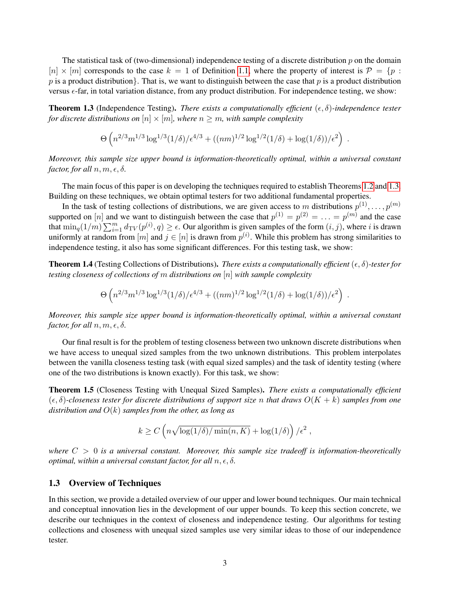The statistical task of (two-dimensional) independence testing of a discrete distribution  $p$  on the domain  $[n] \times [m]$  corresponds to the case  $k = 1$  of Definition [1.1,](#page-2-1) where the property of interest is  $\mathcal{P} = \{p :$ p is a product distribution. That is, we want to distinguish between the case that p is a product distribution versus  $\epsilon$ -far, in total variation distance, from any product distribution. For independence testing, we show:

<span id="page-3-0"></span>**Theorem 1.3** (Independence Testing). *There exists a computationally efficient*  $(\epsilon, \delta)$ -independence tester *for discrete distributions on*  $[n] \times [m]$ *, where*  $n \geq m$ *, with sample complexity* 

$$
\Theta\left(n^{2/3}m^{1/3}\log^{1/3}(1/\delta)/\epsilon^{4/3} + ((nm)^{1/2}\log^{1/2}(1/\delta) + \log(1/\delta))/\epsilon^2\right).
$$

*Moreover, this sample size upper bound is information-theoretically optimal, within a universal constant factor, for all*  $n, m, \epsilon, \delta$ .

The main focus of this paper is on developing the techniques required to establish Theorems [1.2](#page-2-2) and [1.3.](#page-3-0) Building on these techniques, we obtain optimal testers for two additional fundamental properties.

In the task of testing collections of distributions, we are given access to m distributions  $p^{(1)}, \ldots, p^{(m)}$ supported on  $[n]$  and we want to distinguish between the case that  $p^{(1)} = p^{(2)} = \ldots = p^{(m)}$  and the case that  $\min_q(1/m)\sum_{i=1}^md_{TV}(p^{(i)},q)\geq\epsilon$ . Our algorithm is given samples of the form  $(i,j)$ , where i is drawn uniformly at random from  $[m]$  and  $j \in [n]$  is drawn from  $p^{(i)}$ . While this problem has strong similarities to independence testing, it also has some significant differences. For this testing task, we show:

**Theorem 1.4** (Testing Collections of Distributions). *There exists a computationally efficient*  $(\epsilon, \delta)$ -tester for *testing closeness of collections of* m *distributions on* [n] *with sample complexity*

$$
\Theta\left(n^{2/3}m^{1/3}\log^{1/3}(1/\delta)/\epsilon^{4/3} + ((nm)^{1/2}\log^{1/2}(1/\delta) + \log(1/\delta))/\epsilon^2\right).
$$

*Moreover, this sample size upper bound is information-theoretically optimal, within a universal constant factor, for all*  $n, m, \epsilon, \delta$ .

Our final result is for the problem of testing closeness between two unknown discrete distributions when we have access to unequal sized samples from the two unknown distributions. This problem interpolates between the vanilla closeness testing task (with equal sized samples) and the task of identity testing (where one of the two distributions is known exactly). For this task, we show:

Theorem 1.5 (Closeness Testing with Unequal Sized Samples). *There exists a computationally efficient* (, δ)*-closeness tester for discrete distributions of support size* n *that draws* O(K + k) *samples from one distribution and* O(k) *samples from the other, as long as*

$$
k \ge C \left( n \sqrt{\log(1/\delta)/\min(n, K)} + \log(1/\delta) \right) / \epsilon^2 ,
$$

where  $C > 0$  is a universal constant. Moreover, this sample size tradeoff is information-theoretically *optimal, within a universal constant factor, for all*  $n, \epsilon, \delta$ .

#### 1.3 Overview of Techniques

In this section, we provide a detailed overview of our upper and lower bound techniques. Our main technical and conceptual innovation lies in the development of our upper bounds. To keep this section concrete, we describe our techniques in the context of closeness and independence testing. Our algorithms for testing collections and closeness with unequal sized samples use very similar ideas to those of our independence tester.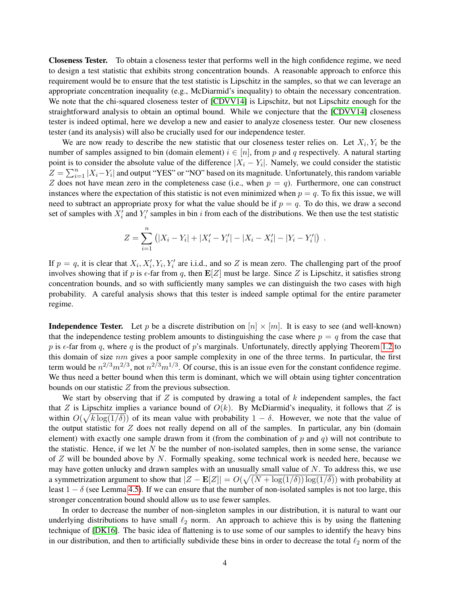Closeness Tester. To obtain a closeness tester that performs well in the high confidence regime, we need to design a test statistic that exhibits strong concentration bounds. A reasonable approach to enforce this requirement would be to ensure that the test statistic is Lipschitz in the samples, so that we can leverage an appropriate concentration inequality (e.g., McDiarmid's inequality) to obtain the necessary concentration. We note that the chi-squared closeness tester of [\[CDVV14\]](#page-35-2) is Lipschitz, but not Lipschitz enough for the straightforward analysis to obtain an optimal bound. While we conjecture that the [\[CDVV14\]](#page-35-2) closeness tester is indeed optimal, here we develop a new and easier to analyze closeness tester. Our new closeness tester (and its analysis) will also be crucially used for our independence tester.

We are now ready to describe the new statistic that our closeness tester relies on. Let  $X_i, Y_i$  be the number of samples assigned to bin (domain element)  $i \in [n]$ , from p and q respectively. A natural starting point is to consider the absolute value of the difference  $|X_i - Y_i|$ . Namely, we could consider the statistic  $Z = \sum_{i=1}^{n} |X_i - Y_i|$  and output "YES" or "NO" based on its magnitude. Unfortunately, this random variable Z does not have mean zero in the completeness case (i.e., when  $p = q$ ). Furthermore, one can construct instances where the expectation of this statistic is not even minimized when  $p = q$ . To fix this issue, we will need to subtract an appropriate proxy for what the value should be if  $p = q$ . To do this, we draw a second set of samples with  $X'_i$  and  $Y'_i$  samples in bin i from each of the distributions. We then use the test statistic

$$
Z = \sum_{i=1}^{n} (|X_i - Y_i| + |X'_i - Y'_i| - |X_i - X'_i| - |Y_i - Y'_i|) .
$$

If  $p = q$ , it is clear that  $X_i, X'_i, Y_i, Y'_i$  are i.i.d., and so Z is mean zero. The challenging part of the proof involves showing that if p is  $\epsilon$ -far from q, then  $\mathbf{E}[Z]$  must be large. Since Z is Lipschitz, it satisfies strong concentration bounds, and so with sufficiently many samples we can distinguish the two cases with high probability. A careful analysis shows that this tester is indeed sample optimal for the entire parameter regime.

**Independence Tester.** Let p be a discrete distribution on  $[n] \times [m]$ . It is easy to see (and well-known) that the independence testing problem amounts to distinguishing the case where  $p = q$  from the case that p is  $\epsilon$ -far from q, where q is the product of p's marginals. Unfortunately, directly applying Theorem [1.2](#page-2-2) to this domain of size  $nm$  gives a poor sample complexity in one of the three terms. In particular, the first term would be  $n^{2/3}m^{2/3}$ , not  $n^{2/3}m^{1/3}$ . Of course, this is an issue even for the constant confidence regime. We thus need a better bound when this term is dominant, which we will obtain using tighter concentration bounds on our statistic Z from the previous subsection.

We start by observing that if  $Z$  is computed by drawing a total of  $k$  independent samples, the fact that Z is Lipschitz implies a variance bound of  $O(k)$ . By McDiarmid's inequality, it follows that Z is within  $O(\sqrt{k \log(1/\delta)})$  of its mean value with probability  $1 - \delta$ . However, we note that the value of the output statistic for  $Z$  does not really depend on all of the samples. In particular, any bin (domain element) with exactly one sample drawn from it (from the combination of p and q) will not contribute to the statistic. Hence, if we let  $N$  be the number of non-isolated samples, then in some sense, the variance of  $Z$  will be bounded above by  $N$ . Formally speaking, some technical work is needed here, because we may have gotten unlucky and drawn samples with an unusually small value of  $N$ . To address this, we use a symmetrization argument to show that  $|Z - \mathbf{E}[Z]| = O(\sqrt{(N + \log(1/\delta)) \log(1/\delta)})$  with probability at least  $1 - \delta$  (see Lemma [4.5\)](#page-14-0). If we can ensure that the number of non-isolated samples is not too large, this stronger concentration bound should allow us to use fewer samples.

In order to decrease the number of non-singleton samples in our distribution, it is natural to want our underlying distributions to have small  $\ell_2$  norm. An approach to achieve this is by using the flattening technique of [\[DK16\]](#page-35-5). The basic idea of flattening is to use some of our samples to identify the heavy bins in our distribution, and then to artificially subdivide these bins in order to decrease the total  $\ell_2$  norm of the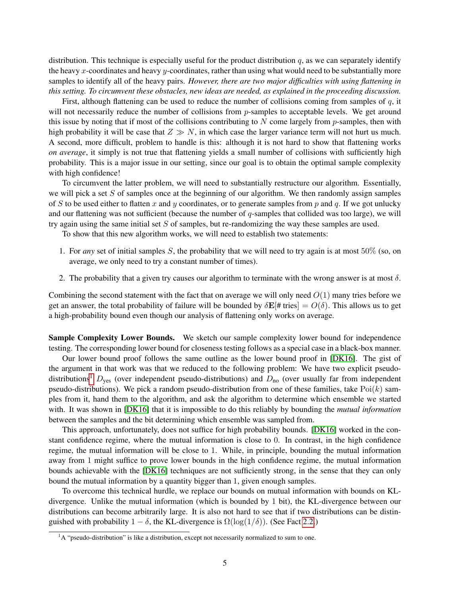distribution. This technique is especially useful for the product distribution  $q$ , as we can separately identify the heavy x-coordinates and heavy y-coordinates, rather than using what would need to be substantially more samples to identify all of the heavy pairs. *However, there are two major difficulties with using flattening in this setting. To circumvent these obstacles, new ideas are needed, as explained in the proceeding discussion.*

First, although flattening can be used to reduce the number of collisions coming from samples of  $q$ , it will not necessarily reduce the number of collisions from  $p$ -samples to acceptable levels. We get around this issue by noting that if most of the collisions contributing to  $N$  come largely from  $p$ -samples, then with high probability it will be case that  $Z \gg N$ , in which case the larger variance term will not hurt us much. A second, more difficult, problem to handle is this: although it is not hard to show that flattening works *on average*, it simply is not true that flattening yields a small number of collisions with sufficiently high probability. This is a major issue in our setting, since our goal is to obtain the optimal sample complexity with high confidence!

To circumvent the latter problem, we will need to substantially restructure our algorithm. Essentially, we will pick a set  $S$  of samples once at the beginning of our algorithm. We then randomly assign samples of S to be used either to flatten x and y coordinates, or to generate samples from p and q. If we got unlucky and our flattening was not sufficient (because the number of  $q$ -samples that collided was too large), we will try again using the same initial set S of samples, but re-randomizing the way these samples are used.

To show that this new algorithm works, we will need to establish two statements:

- 1. For *any* set of initial samples S, the probability that we will need to try again is at most 50% (so, on average, we only need to try a constant number of times).
- 2. The probability that a given try causes our algorithm to terminate with the wrong answer is at most  $\delta$ .

Combining the second statement with the fact that on average we will only need  $O(1)$  many tries before we get an answer, the total probability of failure will be bounded by  $\delta \mathbf{E}[\# \text{ tries}] = O(\delta)$ . This allows us to get a high-probability bound even though our analysis of flattening only works on average.

Sample Complexity Lower Bounds. We sketch our sample complexity lower bound for independence testing. The corresponding lower bound for closeness testing follows as a special case in a black-box manner.

Our lower bound proof follows the same outline as the lower bound proof in [\[DK16\]](#page-35-5). The gist of the argument in that work was that we reduced to the following problem: We have two explicit pseudo-distributions<sup>[1](#page-5-0)</sup>  $D_{\text{yes}}$  (over independent pseudo-distributions) and  $D_{\text{no}}$  (over usually far from independent pseudo-distributions). We pick a random pseudo-distribution from one of these families, take  $Poi(k)$  samples from it, hand them to the algorithm, and ask the algorithm to determine which ensemble we started with. It was shown in [\[DK16\]](#page-35-5) that it is impossible to do this reliably by bounding the *mutual information* between the samples and the bit determining which ensemble was sampled from.

This approach, unfortunately, does not suffice for high probability bounds. [\[DK16\]](#page-35-5) worked in the constant confidence regime, where the mutual information is close to 0. In contrast, in the high confidence regime, the mutual information will be close to 1. While, in principle, bounding the mutual information away from 1 might suffice to prove lower bounds in the high confidence regime, the mutual information bounds achievable with the [\[DK16\]](#page-35-5) techniques are not sufficiently strong, in the sense that they can only bound the mutual information by a quantity bigger than 1, given enough samples.

To overcome this technical hurdle, we replace our bounds on mutual information with bounds on KLdivergence. Unlike the mutual information (which is bounded by 1 bit), the KL-divergence between our distributions can become arbitrarily large. It is also not hard to see that if two distributions can be distinguished with probability  $1 - \delta$ , the KL-divergence is  $\Omega(\log(1/\delta))$ . (See Fact [2.2.](#page-7-0))

<span id="page-5-0"></span> ${}^{1}A$  "pseudo-distribution" is like a distribution, except not necessarily normalized to sum to one.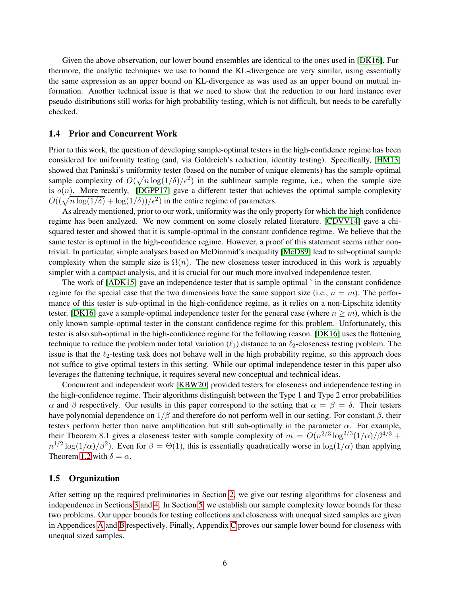Given the above observation, our lower bound ensembles are identical to the ones used in [\[DK16\]](#page-35-5). Furthermore, the analytic techniques we use to bound the KL-divergence are very similar, using essentially the same expression as an upper bound on KL-divergence as was used as an upper bound on mutual information. Another technical issue is that we need to show that the reduction to our hard instance over pseudo-distributions still works for high probability testing, which is not difficult, but needs to be carefully checked.

#### <span id="page-6-0"></span>1.4 Prior and Concurrent Work

Prior to this work, the question of developing sample-optimal testers in the high-confidence regime has been considered for uniformity testing (and, via Goldreich's reduction, identity testing). Specifically, [\[HM13\]](#page-35-14) showed that Paninski's uniformity tester (based on the number of unique elements) has the sample-optimal sample complexity of  $O(\sqrt{n \log(1/\delta)}/\epsilon^2)$  in the sublinear sample regime, i.e., when the sample size is  $o(n)$ . More recently, [\[DGPP17\]](#page-35-16) gave a different tester that achieves the optimal sample complexity  $O((\sqrt{n \log(1/\delta)}) + \log(1/\delta))/\epsilon^2)$  in the entire regime of parameters.

As already mentioned, prior to our work, uniformity was the only property for which the high confidence regime has been analyzed. We now comment on some closely related literature. [\[CDVV14\]](#page-35-2) gave a chisquared tester and showed that it is sample-optimal in the constant confidence regime. We believe that the same tester is optimal in the high-confidence regime. However, a proof of this statement seems rather nontrivial. In particular, simple analyses based on McDiarmid's inequality [\[McD89\]](#page-36-10) lead to sub-optimal sample complexity when the sample size is  $\Omega(n)$ . The new closeness tester introduced in this work is arguably simpler with a compact analysis, and it is crucial for our much more involved independence tester.

The work of [\[ADK15\]](#page-34-3) gave an independence tester that is sample optimal ' in the constant confidence regime for the special case that the two dimensions have the same support size (i.e.,  $n = m$ ). The performance of this tester is sub-optimal in the high-confidence regime, as it relies on a non-Lipschitz identity tester. [\[DK16\]](#page-35-5) gave a sample-optimal independence tester for the general case (where  $n \ge m$ ), which is the only known sample-optimal tester in the constant confidence regime for this problem. Unfortunately, this tester is also sub-optimal in the high-confidence regime for the following reason. [\[DK16\]](#page-35-5) uses the flattening technique to reduce the problem under total variation  $(\ell_1)$  distance to an  $\ell_2$ -closeness testing problem. The issue is that the  $\ell_2$ -testing task does not behave well in the high probability regime, so this approach does not suffice to give optimal testers in this setting. While our optimal independence tester in this paper also leverages the flattening technique, it requires several new conceptual and technical ideas.

Concurrent and independent work [\[KBW20\]](#page-36-9) provided testers for closeness and independence testing in the high-confidence regime. Their algorithms distinguish between the Type 1 and Type 2 error probabilities α and β respectively. Our results in this paper correspond to the setting that  $\alpha = \beta = \delta$ . Their testers have polynomial dependence on  $1/\beta$  and therefore do not perform well in our setting. For constant  $\beta$ , their testers perform better than naive amplification but still sub-optimally in the parameter  $\alpha$ . For example, their Theorem 8.1 gives a closeness tester with sample complexity of  $m = O(n^{2/3} \log^{2/3}(1/\alpha)/\beta^{4/3} +$  $n^{1/2}\log(1/\alpha)/\beta^2$ ). Even for  $\beta = \Theta(1)$ , this is essentially quadratically worse in  $\log(1/\alpha)$  than applying Theorem [1.2](#page-2-2) with  $\delta = \alpha$ .

#### 1.5 Organization

After setting up the required preliminaries in Section [2,](#page-7-1) we give our testing algorithms for closeness and independence in Sections [3](#page-7-2) and [4.](#page-12-0) In Section [5,](#page-24-0) we establish our sample complexity lower bounds for these two problems. Our upper bounds for testing collections and closeness with unequal sized samples are given in Appendices [A](#page-37-0) and [B](#page-39-0) respectively. Finally, Appendix [C](#page-43-0) proves our sample lower bound for closeness with unequal sized samples.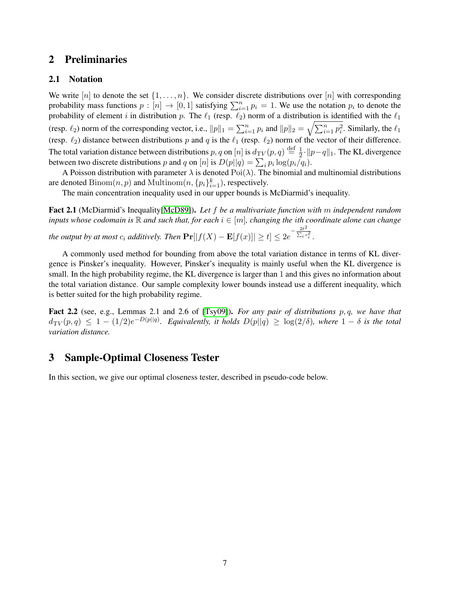## <span id="page-7-1"></span>2 Preliminaries

## 2.1 Notation

We write [n] to denote the set  $\{1, \ldots, n\}$ . We consider discrete distributions over [n] with corresponding probability mass functions  $p : [n] \to [0, 1]$  satisfying  $\sum_{i=1}^{n} p_i = 1$ . We use the notation  $p_i$  to denote the probability of element i in distribution p. The  $\ell_1$  (resp.  $\ell_2$ ) norm of a distribution is identified with the  $\ell_1$ (resp.  $\ell_2$ ) norm of the corresponding vector, i.e.,  $||p||_1 = \sum_{i=1}^n p_i$  and  $||p||_2 = \sqrt{\sum_{i=1}^n p_i^2}$ . Similarly, the  $\ell_1$ (resp.  $\ell_2$ ) distance between distributions p and q is the  $\ell_1$  (resp.  $\ell_2$ ) norm of the vector of their difference. The total variation distance between distributions  $p, q$  on  $[n]$  is  $d_{\mathrm TV}(p, q) \stackrel{\mathrm{def}}{=} \frac{1}{2}$  $\frac{1}{2}$  ·  $||p-q||_1$ . The KL divergence between two discrete distributions p and q on  $[n]$  is  $D(p||q) = \sum_i p_i \log(p_i/q_i)$ .

A Poisson distribution with parameter  $\lambda$  is denoted  $Poi(\lambda)$ . The binomial and multinomial distributions are denoted  $Binom(n, p)$  and  $Multinom(n, \{p_i\}_{i=1}^k)$ , respectively.

The main concentration inequality used in our upper bounds is McDiarmid's inequality.

Fact 2.1 (McDiarmid's Inequality[\[McD89\]](#page-36-10)). *Let* f *be a multivariate function with* m *independent random inputs whose codomain is*  $\mathbb R$  *and such that, for each*  $i \in [m]$ *, changing the ith coordinate alone can change the output by at most*  $c_i$  *additively. Then*  $\Pr[|f(X) - \mathbf{E}[f(x)]| \ge t] \le 2e^{-\frac{2t^2}{\sum_i c_i}}$  $\overline{\Sigma_i^{\phantom{1}c_i^2}}$  .

A commonly used method for bounding from above the total variation distance in terms of KL divergence is Pinsker's inequality. However, Pinsker's inequality is mainly useful when the KL divergence is small. In the high probability regime, the KL divergence is larger than 1 and this gives no information about the total variation distance. Our sample complexity lower bounds instead use a different inequality, which is better suited for the high probability regime.

<span id="page-7-0"></span>Fact 2.2 (see, e.g., Lemmas 2.1 and 2.6 of [\[Tsy09\]](#page-36-11)). *For any pair of distributions* p, q*, we have that*  $d_{\mathrm TV}(p,q) \leq 1 - (1/2)e^{-D(p||q)}$ . Equivalently, it holds  $D(p||q) \geq \log(2/\delta)$ , where  $1-\delta$  is the total *variation distance.*

## <span id="page-7-2"></span>3 Sample-Optimal Closeness Tester

In this section, we give our optimal closeness tester, described in pseudo-code below.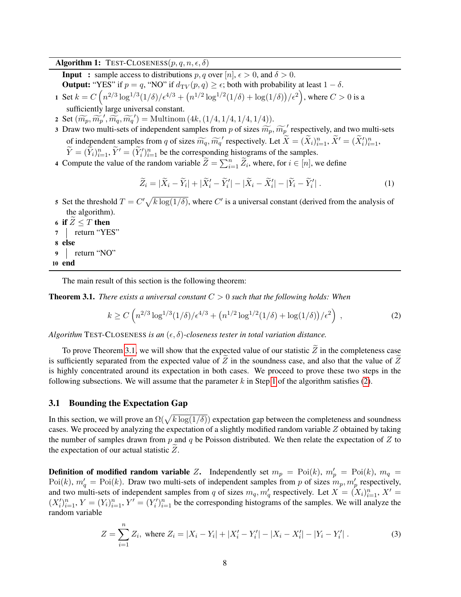<span id="page-8-1"></span>Algorithm 1: TEST-CLOSENESS $(p, q, n, \epsilon, \delta)$ 

**Input** : sample access to distributions  $p, q$  over  $[n], \epsilon > 0$ , and  $\delta > 0$ .

**Output:** "YES" if  $p = q$ , "NO" if  $d_{TV}(p, q) \geq \epsilon$ ; both with probability at least  $1 - \delta$ .

- 1 Set  $k = C \left( n^{2/3} \log^{1/3} (1/\delta) / \epsilon^{4/3} + (n^{1/2} \log^{1/2} (1/\delta) + \log(1/\delta)) / \epsilon^2 \right)$ , where  $C > 0$  is a sufficiently large universal constant.
- 2 Set  $(\widetilde{m_p}, \widetilde{m_p}', \widetilde{m_q}, \widetilde{m_q}') =$  Multinom  $(4k, (1/4, 1/4, 1/4, 1/4))$ .
- 3 Draw two multi-sets of independent samples from p of sizes  $\widetilde{m_p}$ ,  $\widetilde{m_p}$  respectively, and two multi-sets of independent samples from q of sizes  $\widetilde{m_q}, \widetilde{m_q}$  respectively. Let  $\widetilde{X} = (\widetilde{X}_i)_{i=1}^n, \widetilde{X}' = (\widetilde{X}_i')_{i=1}^n,$ <br> $\widetilde{Y}_i \in (\widetilde{X}_i')^n$ ,  $\widetilde{Y}_i \in (\widetilde{X}_i')^n$ , the the express of the little group of the  $\widetilde{Y} = (\widetilde{Y}_i)_{i=1}^n$ ,  $\widetilde{Y}' = (\widetilde{Y}_i')_{i=1}^n$  be the corresponding histograms of the samples.
- 4 Compute the value of the random variable  $\widetilde{Z} = \sum_{i=1}^{n} \widetilde{Z}_i$ , where, for  $i \in [n]$ , we define

$$
\widetilde{Z}_i = |\widetilde{X}_i - \widetilde{Y}_i| + |\widetilde{X}_i' - \widetilde{Y}_i'| - |\widetilde{X}_i - \widetilde{X}_i'| - |\widetilde{Y}_i - \widetilde{Y}_i'|.
$$
\n(1)

- 5 Set the threshold  $T = C' \sqrt{k \log(1/\delta)}$ , where C' is a universal constant (derived from the analysis of the algorithm).
- 6 if  $Z \leq T$  then<br>
7 | return "YE | return "YES" 8 else 9 return "NO" 10 end

The main result of this section is the following theorem:

<span id="page-8-0"></span>**Theorem 3.1.** *There exists a universal constant*  $C > 0$  *such that the following holds: When* 

<span id="page-8-2"></span>
$$
k \ge C \left( n^{2/3} \log^{1/3} (1/\delta) / \epsilon^{4/3} + \left( n^{1/2} \log^{1/2} (1/\delta) + \log(1/\delta) \right) / \epsilon^2 \right) , \tag{2}
$$

*Algorithm* TEST-CLOSENESS *is an*  $(\epsilon, \delta)$ -closeness tester in total variation distance.

To prove Theorem [3.1,](#page-8-0) we will show that the expected value of our statistic  $Z$  in the completeness case is sufficiently separated from the expected value of  $Z$  in the soundness case, and also that the value of  $Z$ is highly concentrated around its expectation in both cases. We proceed to prove these two steps in the following subsections. We will assume that the parameter k in Step [1](#page-8-1) of the algorithm satisfies  $(2)$ .

#### 3.1 Bounding the Expectation Gap

In this section, we will prove an  $\Omega(\sqrt{k \log(1/\delta)})$  expectation gap between the completeness and soundness cases. We proceed by analyzing the expectation of a slightly modified random variable Z obtained by taking the number of samples drawn from p and q be Poisson distributed. We then relate the expectation of  $Z$  to the expectation of our actual statistic  $Z$ .

**Definition of modified random variable** Z. Independently set  $m_p = \text{Poi}(k)$ ,  $m'_p = \text{Poi}(k)$ ,  $m_q =$  $Poi(k)$ ,  $m'_q = Poi(k)$ . Draw two multi-sets of independent samples from p of sizes  $m_p, m'_p$  respectively, and two multi-sets of independent samples from q of sizes  $m_q$ ,  $m'_q$  respectively. Let  $X = (X_i)_{i=1}^n$ ,  $X' =$  $(X_i')_{i=1}^n$ ,  $Y = (Y_i)_{i=1}^n$ ,  $Y' = (Y_i')_{i=1}^n$  be the corresponding histograms of the samples. We will analyze the random variable

<span id="page-8-3"></span>
$$
Z = \sum_{i=1}^{n} Z_i, \text{ where } Z_i = |X_i - Y_i| + |X'_i - Y'_i| - |X_i - X'_i| - |Y_i - Y'_i| \,. \tag{3}
$$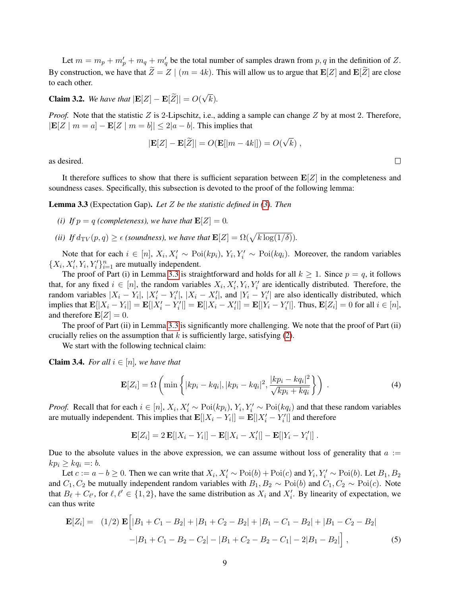Let  $m = m_p + m'_p + m_q + m'_q$  be the total number of samples drawn from  $p, q$  in the definition of Z. By construction, we have that  $\widetilde{Z}=Z \mid (m=4k)$ . This will allow us to argue that  $\mathbf{E}[Z]$  and  $\mathbf{E}[\widetilde{Z}]$  are close to each other.

<span id="page-9-3"></span>**Claim 3.2.** *We have that*  $|\mathbf{E}[Z] - \mathbf{E}[Z]| = O(\frac{1}{\epsilon})$ √ k)*.*

*Proof.* Note that the statistic  $Z$  is 2-Lipschitz, i.e., adding a sample can change  $Z$  by at most 2. Therefore,  $|\mathbf{E}[Z \mid m = a] - \mathbf{E}[Z \mid m = b]| \leq 2|a - b|$ . This implies that

$$
|\mathbf{E}[Z] - \mathbf{E}[\widetilde{Z}]| = O(\mathbf{E}[|m - 4k|]) = O(\sqrt{k}),
$$

as desired.

It therefore suffices to show that there is sufficient separation between  $\mathbf{E}[Z]$  in the completeness and soundness cases. Specifically, this subsection is devoted to the proof of the following lemma:

<span id="page-9-0"></span>Lemma 3.3 (Expectation Gap). *Let* Z *be the statistic defined in [\(3\)](#page-8-3). Then*

*(i) If*  $p = q$  *(completeness), we have that*  $\mathbf{E}[Z] = 0$ *.* 

*(ii) If*  $d_{\text{TV}}(p, q) \ge \epsilon$  *(soundness), we have that*  $\mathbf{E}[Z] = \Omega(\sqrt{k \log(1/\delta)})$ *.* 

Note that for each  $i \in [n]$ ,  $X_i, X'_i \sim \text{Poi}(kp_i)$ ,  $Y_i, Y'_i \sim \text{Poi}(kq_i)$ . Moreover, the random variables  $\{X_i, X'_i, Y_i, Y'_i\}_{i=1}^n$  are mutually independent.

The proof of Part (i) in Lemma [3.3](#page-9-0) is straightforward and holds for all  $k \ge 1$ . Since  $p = q$ , it follows that, for any fixed  $i \in [n]$ , the random variables  $X_i, X'_i, Y_i, Y'_i$  are identically distributed. Therefore, the random variables  $|X_i - Y_i|$ ,  $|X'_i - Y'_i|$ ,  $|X_i - X'_i|$ , and  $|Y_i - Y'_i|$  are also identically distributed, which implies that  $\mathbf{E}[|X_i - Y_i|] = \mathbf{E}[|X_i' - Y_i'|] = \mathbf{E}[|X_i - X_i'|] = \mathbf{E}[|Y_i - Y_i'|]$ . Thus,  $\mathbf{E}[Z_i] = 0$  for all  $i \in [n]$ , and therefore  $\mathbf{E}[Z] = 0$ .

The proof of Part (ii) in Lemma [3.3](#page-9-0) is significantly more challenging. We note that the proof of Part (ii) crucially relies on the assumption that  $k$  is sufficiently large, satisfying [\(2\)](#page-8-2).

We start with the following technical claim:

<span id="page-9-2"></span>**Claim 3.4.** *For all*  $i \in [n]$ *, we have that* 

$$
\mathbf{E}[Z_i] = \Omega \left( \min \left\{ |kp_i - kq_i|, |kp_i - kq_i|^2, \frac{|kp_i - kq_i|^2}{\sqrt{kp_i + kq_i}} \right\} \right) \tag{4}
$$

*Proof.* Recall that for each  $i \in [n]$ ,  $X_i$ ,  $X'_i \sim \text{Poi}(kp_i)$ ,  $Y_i$ ,  $Y'_i \sim \text{Poi}(kq_i)$  and that these random variables are mutually independent. This implies that  $\mathbf{E}[|X_i - Y_i|] = \mathbf{E}[|X'_i - Y'_i|]$  and therefore

$$
\mathbf{E}[Z_i] = 2 \mathbf{E}[|X_i - Y_i|] - \mathbf{E}[|X_i - X_i'|] - \mathbf{E}[|Y_i - Y_i'|].
$$

Due to the absolute values in the above expression, we can assume without loss of generality that  $a :=$  $kp_i \geq kq_i =: b.$ 

Let  $c := a - b \ge 0$ . Then we can write that  $X_i, X'_i \sim \text{Poi}(b) + \text{Poi}(c)$  and  $Y_i, Y'_i \sim \text{Poi}(b)$ . Let  $B_1, B_2$ and  $C_1, C_2$  be mutually independent random variables with  $B_1, B_2 \sim \text{Poi}(b)$  and  $C_1, C_2 \sim \text{Poi}(c)$ . Note that  $B_\ell + C_{\ell'}$ , for  $\ell, \ell' \in \{1, 2\}$ , have the same distribution as  $X_i$  and  $X'_i$ . By linearity of expectation, we can thus write

<span id="page-9-1"></span>
$$
\mathbf{E}[Z_i] = (1/2) \mathbf{E} \Big[ |B_1 + C_1 - B_2| + |B_1 + C_2 - B_2| + |B_1 - C_1 - B_2| + |B_1 - C_2 - B_2| -|B_1 + C_1 - B_2 - C_2| - |B_1 + C_2 - B_2 - C_1| - 2|B_1 - B_2| \Big], \tag{5}
$$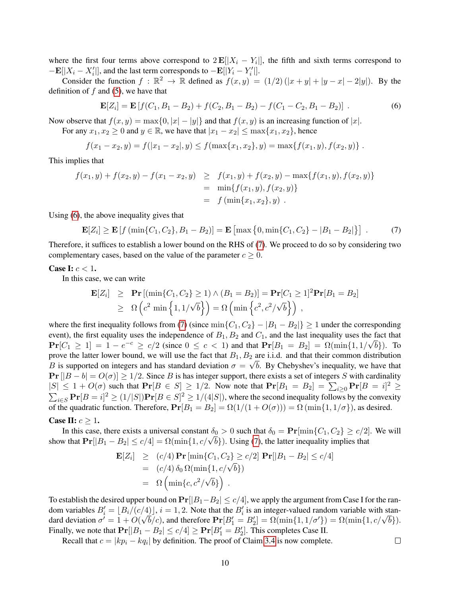where the first four terms above correspond to  $2 \mathbf{E}[|X_i - Y_i|]$ , the fifth and sixth terms correspond to  $-\mathbf{E}[|X_i - X'_i|]$ , and the last term corresponds to  $-\mathbf{E}[|Y_i - Y'_i|]$ .

Consider the function  $f : \mathbb{R}^2 \to \mathbb{R}$  defined as  $f(x, y) = (1/2) (|x + y| + |y - x| - 2|y|)$ . By the definition of  $f$  and [\(5\)](#page-9-1), we have that

<span id="page-10-0"></span>
$$
\mathbf{E}[Z_i] = \mathbf{E}[f(C_1, B_1 - B_2) + f(C_2, B_1 - B_2) - f(C_1 - C_2, B_1 - B_2)].
$$
\n(6)

Now observe that  $f(x, y) = \max\{0, |x| - |y|\}$  and that  $f(x, y)$  is an increasing function of  $|x|$ .

For any  $x_1, x_2 \ge 0$  and  $y \in \mathbb{R}$ , we have that  $|x_1 - x_2| \le \max\{x_1, x_2\}$ , hence

$$
f(x_1 - x_2, y) = f(|x_1 - x_2|, y) \le f(\max\{x_1, x_2\}, y) = \max\{f(x_1, y), f(x_2, y)\}.
$$

This implies that

$$
f(x_1, y) + f(x_2, y) - f(x_1 - x_2, y) \ge f(x_1, y) + f(x_2, y) - \max\{f(x_1, y), f(x_2, y)\}
$$
  
=  $\min\{f(x_1, y), f(x_2, y)\}$   
=  $f(\min\{x_1, x_2\}, y)$ .

Using [\(6\)](#page-10-0), the above inequality gives that

<span id="page-10-1"></span>
$$
\mathbf{E}[Z_i] \ge \mathbf{E}[f(\min\{C_1, C_2\}, B_1 - B_2)] = \mathbf{E}[\max\{0, \min\{C_1, C_2\} - |B_1 - B_2|\}] \tag{7}
$$

Therefore, it suffices to establish a lower bound on the RHS of [\(7\)](#page-10-1). We proceed to do so by considering two complementary cases, based on the value of the parameter  $c \geq 0$ .

#### Case I:  $c < 1$ .

In this case, we can write

$$
\mathbf{E}[Z_i] \geq \mathbf{Pr}[(\min\{C_1, C_2\} \geq 1) \wedge (B_1 = B_2)] = \mathbf{Pr}[C_1 \geq 1]^2 \mathbf{Pr}[B_1 = B_2]
$$
  
\n
$$
\geq \Omega\left(c^2 \min\left\{1, 1/\sqrt{b}\right\}\right) = \Omega\left(\min\left\{c^2, c^2/\sqrt{b}\right\}\right),
$$

where the first inequality follows from [\(7\)](#page-10-1) (since  $\min\{C_1, C_2\} - |B_1 - B_2|\} \ge 1$  under the corresponding event), the first equality uses the independence of  $B_1, B_2$  and  $C_1$ , and the last inequality uses the fact that  $Pr[C_1 \ge 1] = 1 - e^{-c} \ge c/2$  (since  $0 \le c < 1$ ) and that  $Pr[B_1 = B_2] = \Omega(\min\{1, 1/\sqrt{b}\})$ . To prove the latter lower bound, we will use the fact that  $B_1, B_2$  are i.i.d. and that their common distribution B is supported on integers and has standard deviation  $\sigma = \sqrt{b}$ . By Chebyshev's inequality, we have that  $\Pr[|B - b| = O(\sigma)] \ge 1/2$ . Since B is has integer support, there exists a set of integers S with cardinality  $|S| \leq 1 + O(\sigma)$  such that  $\Pr[B \in S] \geq 1/2$ . Now note that  $\Pr[B_1 = B_2] = \sum_{i \geq 0} \Pr[B = i]^2 \geq$  $\sum_{i \in S} \Pr[B = i]^2 \ge (1/|S|) \Pr[B \in S]^2 \ge 1/(4|S|)$ , where the second inequality follows by the convexity of the quadratic function. Therefore,  $Pr[B_1 = B_2] = \Omega(1/(1 + O(\sigma))) = \Omega(\min\{1, 1/\sigma\})$ , as desired.

#### Case II:  $c \geq 1$ .

In this case, there exists a universal constant  $\delta_0 > 0$  such that  $\delta_0 = \Pr[\min\{C_1, C_2\} \ge c/2]$ . We will in this case, there exists a universal constant  $o_0 > 0$  such that  $o_0 = \mathbf{Pr}[\min\{C_1, C_2\} \ge c/4]$ <br>show that  $\mathbf{Pr}[|B_1 - B_2| \le c/4] = \Omega(\min\{1, c/\sqrt{b}\})$ . Using [\(7\)](#page-10-1), the latter inequality implies that

$$
\mathbf{E}[Z_i] \ge (c/4) \mathbf{Pr} [\min\{C_1, C_2\} \ge c/2] \mathbf{Pr}[|B_1 - B_2| \le c/4]
$$
  
= (c/4)  $\delta_0 \Omega(\min\{1, c/\sqrt{b}\})$   
=  $\Omega \left( \min\{c, c^2/\sqrt{b}\} \right)$ .

To establish the desired upper bound on  $Pr[|B_1-B_2| \le c/4]$ , we apply the argument from Case I for the random variables  $B'_i = \lfloor B_i/(c/4) \rfloor$ ,  $i = 1, 2$ . Note that the  $B'_i$  is an integer-valued random variable with standom variables  $B_i = [B_i/(C/4)], i = 1, 2$ . Note that the  $B_i$  is an integer-valued random variable with standard deviation  $\sigma' = 1 + O(\sqrt{b}/c)$ , and therefore  $\Pr[B'_1 = B'_2] = \Omega(\min\{1, 1/\sigma'\}) = \Omega(\min\{1, c/\sqrt{b}\})$ . Finally, we note that  $Pr[|B_1 - B_2| \le c/4] \ge Pr[B_1' = B_2']$ . This completes Case II.

Recall that  $c = |kp_i - kq_i|$  by definition. The proof of Claim [3.4](#page-9-2) is now complete.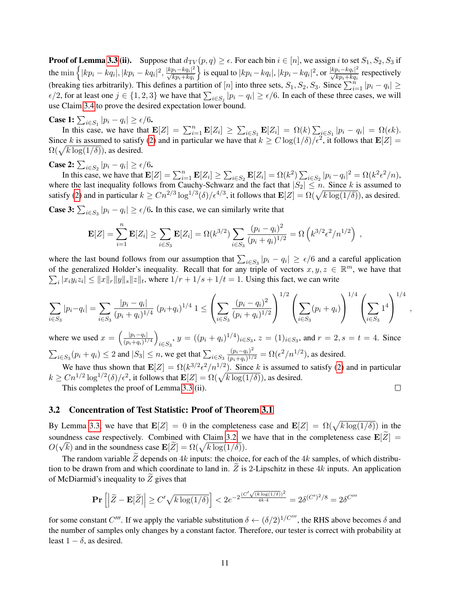**Proof of Lemma [3.3](#page-9-0) (ii).** Suppose that  $d_{TV}(p,q) \ge \epsilon$ . For each bin  $i \in [n]$ , we assign i to set  $S_1, S_2, S_3$  if the  $\min\left\{|kp_i-kq_i|,|kp_i-kq_i|^2,\frac{|kp_i-kq_i|^2}{\sqrt{kp_i+kq_i}}\right\}$  $\}$  is equal to  $|kp_i - kq_i|, |kp_i - kq_i|^2$ , or  $\frac{|kp_i - kq_i|^2}{\sqrt{kp_i + kq_i}}$  respectively (breaking ties arbitrarily). This defines a partition of [n] into three sets,  $S_1, S_2, S_3$ . Since  $\sum_{i=1}^{n} |p_i - q_i| \ge$  $\epsilon/2$ , for at least one  $j \in \{1, 2, 3\}$  we have that  $\sum_{i \in S_j} |p_i - q_i| \ge \epsilon/6$ . In each of these three cases, we will use Claim [3.4](#page-9-2) to prove the desired expectation lower bound.

**Case 1:**  $\sum_{i \in S_1} |p_i - q_i| \ge \epsilon/6$ .

In this case, we have that  $\mathbf{E}[Z] = \sum_{i=1}^{n} \mathbf{E}[Z_i] \geq \sum_{i \in S_1} \mathbf{E}[Z_i] = \Omega(k) \sum_{i \in S_1} |p_i - q_i| = \Omega(\epsilon k)$ . Since k is assumed to satisfy [\(2\)](#page-8-2) and in particular we have that  $k \geq C \log(1/\delta)/\epsilon^2$ , it follows that  $\mathbf{E}[Z] =$  $\Omega(\sqrt{k \log(1/\delta)})$ , as desired.

**Case 2:**  $\sum_{i \in S_2} |p_i - q_i| \ge \epsilon/6$ .

In this case, we have that  $\mathbf{E}[Z] = \sum_{i=1}^n \mathbf{E}[Z_i] \ge \sum_{i \in S_2} \mathbf{E}[Z_i] = \Omega(k^2) \sum_{i \in S_2} |p_i - q_i|^2 = \Omega(k^2 \epsilon^2/n)$ , where the last inequality follows from Cauchy-Schwarz and the fact that  $|S_2| \leq n$ . Since k is assumed to satisfy [\(2\)](#page-8-2) and in particular  $k \geq C n^{2/3} \log^{1/3}(\delta) / \epsilon^{4/3}$ , it follows that  $\mathbf{E}[Z] = \Omega(\sqrt{k \log(1/\delta)})$ , as desired.

**Case 3:**  $\sum_{i \in S_3} |p_i - q_i| \ge \epsilon/6$ . In this case, we can similarly write that

$$
\mathbf{E}[Z] = \sum_{i=1}^{n} \mathbf{E}[Z_i] \ge \sum_{i \in S_3} \mathbf{E}[Z_i] = \Omega(k^{3/2}) \sum_{i \in S_3} \frac{(p_i - q_i)^2}{(p_i + q_i)^{1/2}} = \Omega(k^{3/2} \epsilon^2 / n^{1/2}) ,
$$

where the last bound follows from our assumption that  $\sum_{i \in S_3} |p_i - q_i| \ge \epsilon/6$  and a careful application of the generalized Holder's inequality. Recall that for any triple of vectors  $x, y, z \in \mathbb{R}^m$ , we have that  $\sum_i |x_i y_i z_i| \le ||x||_r ||y||_s ||z||_t$ , where  $1/r + 1/s + 1/t = 1$ . Using this fact, we can write

$$
\sum_{i \in S_3} |p_i - q_i| = \sum_{i \in S_3} \frac{|p_i - q_i|}{(p_i + q_i)^{1/4}} (p_i + q_i)^{1/4} 1 \le \left( \sum_{i \in S_3} \frac{(p_i - q_i)^2}{(p_i + q_i)^{1/2}} \right)^{1/2} \left( \sum_{i \in S_3} (p_i + q_i) \right)^{1/4} \left( \sum_{i \in S_3} 1^4 \right)^{1/4}
$$

,

where we used  $x = \left(\frac{|p_i - q_i|}{(p_i + q_i)^1}\right)$  $\frac{|p_i-q_i|}{(p_i+q_i)^{1/4}}$  $\sum_{i \in S_3}$ ,  $y = ((p_i + q_i)^{1/4})_{i \in S_3}$ ,  $z = (1)_{i \in S_3}$ , and  $r = 2$ ,  $s = t = 4$ . Since  $\sum_{i \in S_3} (p_i + q_i) \le 2$  and  $|S_3| \le n$ , we get that  $\sum_{i \in S_3}$  $(p_i-q_i)^2$  $\frac{(p_i - q_i)^2}{(p_i + q_i)^{1/2}} = \Omega(\epsilon^2/n^{1/2})$ , as desired.

We have thus shown that  $\mathbf{E}[Z] = \Omega(k^{3/2} \epsilon^2/n^{1/2})$ . Since k is assumed to satisfy [\(2\)](#page-8-2) and in particular  $k \geq C n^{1/2} \log^{1/2}(\delta)/\epsilon^2$ , it follows that  $\mathbf{E}[Z] = \Omega(\sqrt{k \log(1/\delta)})$ , as desired.  $\Box$ 

This completes the proof of Lemma [3.3](#page-9-0) (ii).

### 3.2 Concentration of Test Statistic: Proof of Theorem [3.1](#page-8-0)

By Lemma [3.3,](#page-9-0) we have that  $\mathbf{E}[Z] = 0$  in the completeness case and  $\mathbf{E}[Z] = \Omega(\sqrt{k \log(1/\delta)})$  in the soundness case respectively. Combined with Claim [3.2,](#page-9-3) we have that in the completeness case  $\mathbf{E}[Z] = \frac{\partial (Z - \mu)}{\partial \mathbf{E}[Z]}$  $O(\sqrt{k})$  and in the soundness case  $\mathbf{E}[\widetilde{Z}] = \Omega(\sqrt{k \log(1/\delta)}).$ 

The random variable  $\overline{Z}$  depends on 4k inputs: the choice, for each of the 4k samples, of which distribution to be drawn from and which coordinate to land in.  $\tilde{Z}$  is 2-Lipschitz in these 4k inputs. An application of McDiarmid's inequality to  $Z$  gives that

$$
\mathbf{Pr}\left[\left|\widetilde{Z} - \mathbf{E}[\widetilde{Z}]\right| \ge C'\sqrt{k\log(1/\delta)}\right] < 2e^{-2\frac{(C'\sqrt{(k\log(1/\delta)})^2}{4k\cdot 4}} = 2\delta^{(C')^2/8} = 2\delta^{C'''}
$$

for some constant C'''. If we apply the variable substitution  $\delta \leftarrow (\delta/2)^{1/C'''}$ , the RHS above becomes  $\delta$  and the number of samples only changes by a constant factor. Therefore, our tester is correct with probability at least  $1 - \delta$ , as desired.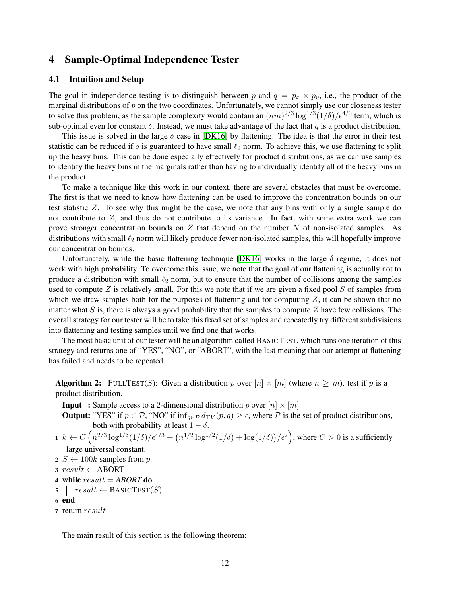## <span id="page-12-0"></span>4 Sample-Optimal Independence Tester

## 4.1 Intuition and Setup

The goal in independence testing is to distinguish between p and  $q = p_x \times p_y$ , i.e., the product of the marginal distributions of  $p$  on the two coordinates. Unfortunately, we cannot simply use our closeness tester to solve this problem, as the sample complexity would contain an  $(nm)^{2/3} \log^{1/3}(1/\delta)/\epsilon^{4/3}$  term, which is sub-optimal even for constant  $\delta$ . Instead, we must take advantage of the fact that q is a product distribution.

This issue is solved in the large  $\delta$  case in [\[DK16\]](#page-35-5) by flattening. The idea is that the error in their test statistic can be reduced if q is guaranteed to have small  $\ell_2$  norm. To achieve this, we use flattening to split up the heavy bins. This can be done especially effectively for product distributions, as we can use samples to identify the heavy bins in the marginals rather than having to individually identify all of the heavy bins in the product.

To make a technique like this work in our context, there are several obstacles that must be overcome. The first is that we need to know how flattening can be used to improve the concentration bounds on our test statistic Z. To see why this might be the case, we note that any bins with only a single sample do not contribute to  $Z$ , and thus do not contribute to its variance. In fact, with some extra work we can prove stronger concentration bounds on  $Z$  that depend on the number  $N$  of non-isolated samples. As distributions with small  $\ell_2$  norm will likely produce fewer non-isolated samples, this will hopefully improve our concentration bounds.

Unfortunately, while the basic flattening technique [\[DK16\]](#page-35-5) works in the large  $\delta$  regime, it does not work with high probability. To overcome this issue, we note that the goal of our flattening is actually not to produce a distribution with small  $\ell_2$  norm, but to ensure that the number of collisions among the samples used to compute  $Z$  is relatively small. For this we note that if we are given a fixed pool  $S$  of samples from which we draw samples both for the purposes of flattening and for computing  $Z$ , it can be shown that no matter what S is, there is always a good probability that the samples to compute  $Z$  have few collisions. The overall strategy for our tester will be to take this fixed set of samples and repeatedly try different subdivisions into flattening and testing samples until we find one that works.

The most basic unit of our tester will be an algorithm called BASICTEST, which runs one iteration of this strategy and returns one of "YES", "NO", or "ABORT", with the last meaning that our attempt at flattening has failed and needs to be repeated.

<span id="page-12-1"></span>**Algorithm 2:** FULLTEST( $\overline{S}$ ): Given a distribution p over  $[n] \times [m]$  (where  $n \geq m$ ), test if p is a product distribution.

| <b>Input</b> : Sample access to a 2-dimensional distribution p over $[n] \times [m]$                                                                                       |  |  |  |  |  |
|----------------------------------------------------------------------------------------------------------------------------------------------------------------------------|--|--|--|--|--|
| <b>Output:</b> "YES" if $p \in \mathcal{P}$ , "NO" if $\inf_{q \in \mathcal{P}} d_{TV}(p,q) \geq \epsilon$ , where $\mathcal P$ is the set of product distributions,       |  |  |  |  |  |
| both with probability at least $1 - \delta$ .                                                                                                                              |  |  |  |  |  |
| $1 \; k \leftarrow C\left(n^{2/3}\log^{1/3}(1/\delta)/\epsilon^{4/3} + (n^{1/2}\log^{1/2}(1/\delta) + \log(1/\delta))/\epsilon^2\right)$ , where $C > 0$ is a sufficiently |  |  |  |  |  |
| large universal constant.                                                                                                                                                  |  |  |  |  |  |
| 2 $S \leftarrow 100k$ samples from p.                                                                                                                                      |  |  |  |  |  |
| $3 result \leftarrow ABORT$                                                                                                                                                |  |  |  |  |  |
| 4 while $result = ABORT$ do                                                                                                                                                |  |  |  |  |  |
| $\mathfrak{s}$   $result \leftarrow$ BASICTEST(S)                                                                                                                          |  |  |  |  |  |
| 6 end                                                                                                                                                                      |  |  |  |  |  |
| 7 return result                                                                                                                                                            |  |  |  |  |  |
|                                                                                                                                                                            |  |  |  |  |  |

The main result of this section is the following theorem: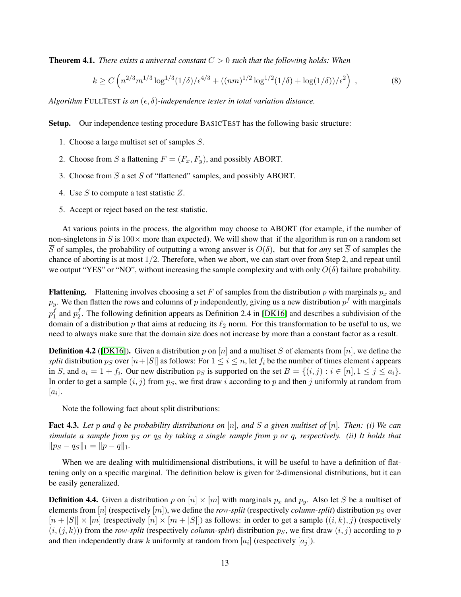<span id="page-13-0"></span>Theorem 4.1. *There exists a universal constant* C > 0 *such that the following holds: When*

$$
k \ge C \left( n^{2/3} m^{1/3} \log^{1/3} (1/\delta) / \epsilon^{4/3} + ((nm)^{1/2} \log^{1/2} (1/\delta) + \log(1/\delta)) / \epsilon^2 \right) ,\tag{8}
$$

*Algorithm* FULLTEST *is an*  $(\epsilon, \delta)$ -independence tester in total variation distance.

Setup. Our independence testing procedure BASICTEST has the following basic structure:

- 1. Choose a large multiset set of samples  $\overline{S}$ .
- 2. Choose from  $\overline{S}$  a flattening  $F = (F_x, F_y)$ , and possibly ABORT.
- 3. Choose from  $\overline{S}$  a set S of "flattened" samples, and possibly ABORT.
- 4. Use S to compute a test statistic Z.
- 5. Accept or reject based on the test statistic.

At various points in the process, the algorithm may choose to ABORT (for example, if the number of non-singletons in S is  $100\times$  more than expected). We will show that if the algorithm is run on a random set  $\overline{S}$  of samples, the probability of outputting a wrong answer is  $O(\delta)$ , but that for *any* set  $\overline{S}$  of samples the chance of aborting is at most  $1/2$ . Therefore, when we abort, we can start over from Step 2, and repeat until we output "YES" or "NO", without increasing the sample complexity and with only  $O(\delta)$  failure probability.

**Flattening.** Flattening involves choosing a set F of samples from the distribution p with marginals  $p_x$  and  $p_y$ . We then flatten the rows and columns of  $p$  independently, giving us a new distribution  $p^f$  with marginals  $p_1^f$  $j_1$  and  $p_2^f$  $\frac{1}{2}$ . The following definition appears as Definition 2.4 in [\[DK16\]](#page-35-5) and describes a subdivision of the domain of a distribution p that aims at reducing its  $\ell_2$  norm. For this transformation to be useful to us, we need to always make sure that the domain size does not increase by more than a constant factor as a result.

**Definition 4.2** ([\[DK16\]](#page-35-5)). Given a distribution p on [n] and a multiset S of elements from [n], we define the *split* distribution  $p_S$  over  $[n+|S|]$  as follows: For  $1 \le i \le n$ , let  $f_i$  be the number of times element i appears in S, and  $a_i = 1 + f_i$ . Our new distribution  $p_S$  is supported on the set  $B = \{(i, j) : i \in [n], 1 \le j \le a_i\}$ . In order to get a sample  $(i, j)$  from  $p<sub>S</sub>$ , we first draw i according to p and then j uniformly at random from  $[a_i]$ .

Note the following fact about split distributions:

Fact 4.3. *Let* p *and* q *be probability distributions on* [n]*, and* S *a given multiset of* [n]*. Then: (i) We can simulate a sample from*  $p_S$  *or*  $q_S$  *by taking a single sample from p or q, respectively. (ii) It holds that*  $\|p_S - q_S\|_1 = \|p - q\|_1.$ 

When we are dealing with multidimensional distributions, it will be useful to have a definition of flattening only on a specific marginal. The definition below is given for 2-dimensional distributions, but it can be easily generalized.

**Definition 4.4.** Given a distribution p on  $[n] \times [m]$  with marginals  $p_x$  and  $p_y$ . Also let S be a multiset of elements from  $[n]$  (respectively  $[m]$ ), we define the *row-split* (respectively *column-split*) distribution  $p_S$  over  $[n+|S|] \times [m]$  (respectively  $[n] \times [m+|S|]$ ) as follows: in order to get a sample  $((i,k),j)$  (respectively  $(i,(j,k))$ ) from the *row-split* (respectively *column-split*) distribution  $p<sub>S</sub>$ , we first draw  $(i,j)$  according to p and then independently draw k uniformly at random from  $[a_i]$  (respectively  $[a_j]$ ).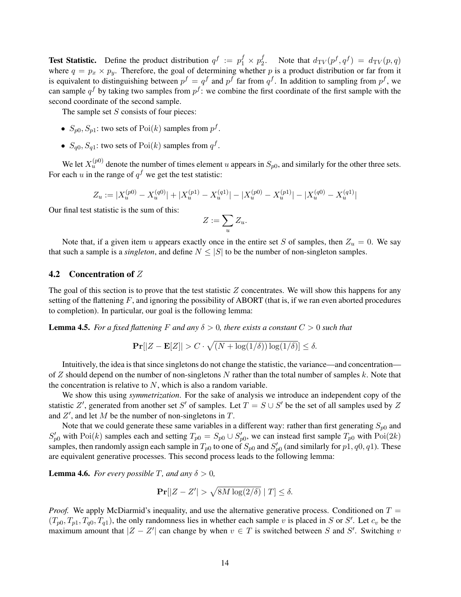**Test Statistic.** Define the product distribution  $q^f := p_1^f \times p_2^f$ <sup>f</sup><sub>2</sub>. Note that  $d_{\text{TV}}(p^f, q^f) = d_{\text{TV}}(p, q)$ where  $q = p_x \times p_y$ . Therefore, the goal of determining whether p is a product distribution or far from it is equivalent to distinguishing between  $p^f = q^f$  and  $p^f$  far from  $q^f$ . In addition to sampling from  $p^f$ , we can sample  $q^f$  by taking two samples from  $p^f$ : we combine the first coordinate of the first sample with the second coordinate of the second sample.

The sample set  $S$  consists of four pieces:

- $S_{p0}, S_{p1}$ : two sets of  $Poi(k)$  samples from  $p<sup>f</sup>$ .
- $S_{q0}, S_{q1}$ : two sets of  $Poi(k)$  samples from  $q<sup>f</sup>$ .

We let  $X_u^{(p_0)}$  denote the number of times element u appears in  $S_{p_0}$ , and similarly for the other three sets. For each u in the range of  $q^f$  we get the test statistic:

$$
Z_u := |X_u^{(p0)} - X_u^{(q0)}| + |X_u^{(p1)} - X_u^{(q1)}| - |X_u^{(p0)} - X_u^{(p1)}| - |X_u^{(q0)} - X_u^{(q1)}|
$$

Our final test statistic is the sum of this:

$$
Z:=\sum_u Z_u.
$$

Note that, if a given item u appears exactly once in the entire set S of samples, then  $Z_u = 0$ . We say that such a sample is a *singleton*, and define  $N \leq |S|$  to be the number of non-singleton samples.

## 4.2 Concentration of Z

The goal of this section is to prove that the test statistic  $Z$  concentrates. We will show this happens for any setting of the flattening  $F$ , and ignoring the possibility of ABORT (that is, if we ran even aborted procedures to completion). In particular, our goal is the following lemma:

<span id="page-14-0"></span>**Lemma 4.5.** For a fixed flattening F and any  $\delta > 0$ , there exists a constant  $C > 0$  such that

$$
\Pr[|Z - \mathbf{E}[Z]| > C \cdot \sqrt{(N + \log(1/\delta)) \log(1/\delta)}] \le \delta.
$$

Intuitively, the idea is that since singletons do not change the statistic, the variance—and concentration of Z should depend on the number of non-singletons N rather than the total number of samples k. Note that the concentration is relative to  $N$ , which is also a random variable.

We show this using *symmetrization*. For the sake of analysis we introduce an independent copy of the statistic Z', generated from another set S' of samples. Let  $T = S \cup S'$  be the set of all samples used by Z and  $Z'$ , and let M be the number of non-singletons in T.

Note that we could generate these same variables in a different way: rather than first generating  $S_{p0}$  and  $S'_{p0}$  with Poi(k) samples each and setting  $T_{p0} = S_{p0} \cup S'_{p0}$ , we can instead first sample  $T_{p0}$  with Poi(2k) samples, then randomly assign each sample in  $T_{p0}$  to one of  $S_{p0}$  and  $S'_{p0}$  (and similarly for  $p1, q0, q1$ ). These are equivalent generative processes. This second process leads to the following lemma:

<span id="page-14-1"></span>**Lemma 4.6.** *For every possible* T, and any  $\delta > 0$ ,

$$
\Pr[|Z - Z'| > \sqrt{8M \log(2/\delta)} \mid T] \le \delta.
$$

*Proof.* We apply McDiarmid's inequality, and use the alternative generative process. Conditioned on  $T =$  $(T_{p0}, T_{p1}, T_{q0}, T_{q1})$ , the only randomness lies in whether each sample v is placed in S or S'. Let  $c_v$  be the maximum amount that  $|Z - Z'|$  can change by when  $v \in T$  is switched between S and S'. Switching v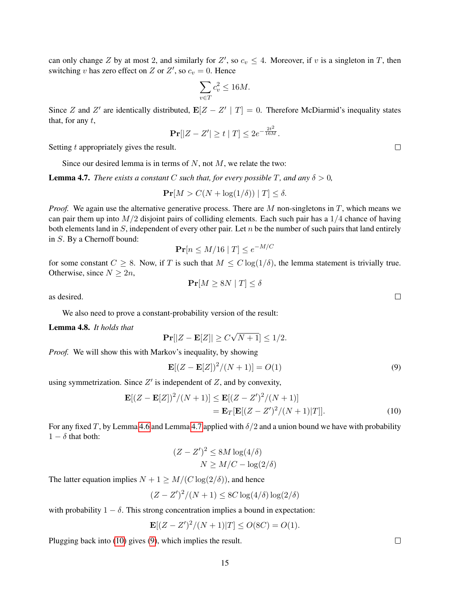can only change Z by at most 2, and similarly for  $Z'$ , so  $c_v \leq 4$ . Moreover, if v is a singleton in T, then switching v has zero effect on Z or Z', so  $c_v = 0$ . Hence

$$
\sum_{v \in T} c_v^2 \le 16M.
$$

Since Z and Z' are identically distributed,  $\mathbf{E}[Z - Z' | T] = 0$ . Therefore McDiarmid's inequality states that, for any  $t$ ,

$$
\Pr[|Z - Z'| \ge t | T] \le 2e^{-\frac{2t^2}{16M}}.
$$

Setting t appropriately gives the result.

Since our desired lemma is in terms of  $N$ , not  $M$ , we relate the two:

<span id="page-15-0"></span>**Lemma 4.7.** *There exists a constant* C *such that, for every possible* T, and any  $\delta > 0$ ,

$$
\Pr[M > C(N + \log(1/\delta)) \mid T] \le \delta.
$$

*Proof.* We again use the alternative generative process. There are  $M$  non-singletons in  $T$ , which means we can pair them up into  $M/2$  disjoint pairs of colliding elements. Each such pair has a  $1/4$  chance of having both elements land in  $S$ , independent of every other pair. Let  $n$  be the number of such pairs that land entirely in S. By a Chernoff bound:

$$
\mathbf{Pr}[n \le M/16 \mid T] \le e^{-M/C}
$$

for some constant  $C \geq 8$ . Now, if T is such that  $M \leq C \log(1/\delta)$ , the lemma statement is trivially true. Otherwise, since  $N \geq 2n$ ,  $Pr[M \geq 8N | T] \leq \delta$ 

as desired.

We also need to prove a constant-probability version of the result:

<span id="page-15-3"></span>Lemma 4.8. *It holds that*

$$
\mathbf{Pr}[|Z - \mathbf{E}[Z]| \ge C\sqrt{N+1}] \le 1/2.
$$

*Proof.* We will show this with Markov's inequality, by showing

$$
\mathbf{E}[(Z - \mathbf{E}[Z])^2/(N+1)] = O(1)
$$
\n(9)

using symmetrization. Since  $Z'$  is independent of  $Z$ , and by convexity,

$$
\mathbf{E}[(Z - \mathbf{E}[Z])^{2}/(N+1)] \le \mathbf{E}[(Z - Z')^{2}/(N+1)]
$$
  
=  $\mathbf{E}_{T}[\mathbf{E}[(Z - Z')^{2}/(N+1)|T]].$  (10)

For any fixed T, by Lemma [4.6](#page-14-1) and Lemma [4.7](#page-15-0) applied with  $\delta/2$  and a union bound we have with probability  $1 - \delta$  that both:

$$
(Z - Z')^{2} \le 8M \log(4/\delta)
$$

$$
N \ge M/C - \log(2/\delta)
$$

The latter equation implies  $N + 1 \geq M / (C \log(2/\delta))$ , and hence

$$
(Z-Z')^2/(N+1) \le 8C \log(4/\delta) \log(2/\delta)
$$

with probability  $1 - \delta$ . This strong concentration implies a bound in expectation:

$$
\mathbf{E}[(Z-Z')^2/(N+1)|T] \le O(8C) = O(1).
$$

Plugging back into [\(10\)](#page-15-1) gives [\(9\)](#page-15-2), which implies the result.

 $\Box$ 

<span id="page-15-2"></span><span id="page-15-1"></span> $\Box$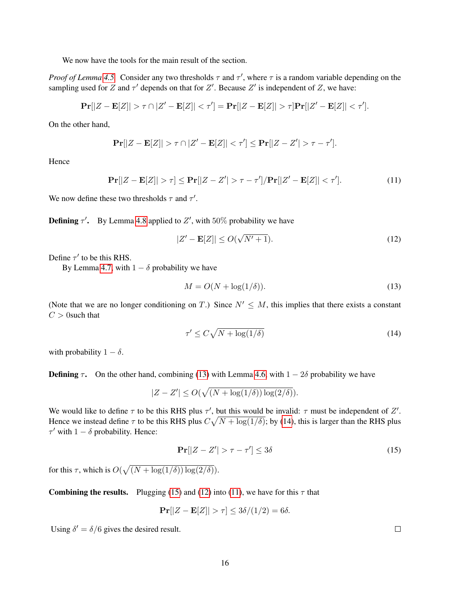We now have the tools for the main result of the section.

*Proof of Lemma* [4.5.](#page-14-0) Consider any two thresholds  $\tau$  and  $\tau'$ , where  $\tau$  is a random variable depending on the sampling used for Z and  $\tau'$  depends on that for Z'. Because Z' is independent of Z, we have:

$$
\mathbf{Pr}[|Z-\mathbf{E}[Z]|>\tau\cap |Z'-\mathbf{E}[Z]|<\tau']=\mathbf{Pr}[|Z-\mathbf{E}[Z]|>\tau]\mathbf{Pr}[|Z'-\mathbf{E}[Z]|<\tau'].
$$

On the other hand,

$$
\mathbf{Pr}[|Z - \mathbf{E}[Z]| > \tau \cap |Z' - \mathbf{E}[Z]| < \tau'] \leq \mathbf{Pr}[|Z - Z'| > \tau - \tau'].
$$

**Hence** 

$$
\mathbf{Pr}[|Z - \mathbf{E}[Z]| > \tau] \leq \mathbf{Pr}[|Z - Z'| > \tau - \tau'] / \mathbf{Pr}[|Z' - \mathbf{E}[Z]| < \tau'].
$$
 (11)

We now define these two thresholds  $\tau$  and  $\tau'$ .

**Defining**  $\tau'$ . By Lemma [4.8](#page-15-3) applied to  $Z'$ , with 50% probability we have

<span id="page-16-4"></span><span id="page-16-3"></span>
$$
|Z' - \mathbf{E}[Z]| \le O(\sqrt{N'+1}).\tag{12}
$$

Define  $\tau'$  to be this RHS.

By Lemma [4.7,](#page-15-0) with  $1 - \delta$  probability we have

<span id="page-16-0"></span>
$$
M = O(N + \log(1/\delta)).\tag{13}
$$

(Note that we are no longer conditioning on T.) Since  $N' \leq M$ , this implies that there exists a constant  $C > 0$ such that

<span id="page-16-1"></span>
$$
\tau' \le C\sqrt{N + \log(1/\delta)}\tag{14}
$$

with probability  $1 - \delta$ .

**Defining**  $\tau$ . On the other hand, combining [\(13\)](#page-16-0) with Lemma [4.6,](#page-14-1) with  $1 - 2\delta$  probability we have

$$
|Z - Z'| \le O(\sqrt{(N + \log(1/\delta)) \log(2/\delta)}).
$$

We would like to define  $\tau$  to be this RHS plus  $\tau'$ , but this would be invalid:  $\tau$  must be independent of Z'. Hence we instead define  $\tau$  to be this RHS plus  $C\sqrt{N + \log(1/\delta)}$ ; by [\(14\)](#page-16-1), this is larger than the RHS plus  $\tau'$  with  $1 - \delta$  probability. Hence:

<span id="page-16-2"></span>
$$
\Pr[|Z - Z'| > \tau - \tau'] \le 3\delta \tag{15}
$$

for this  $\tau$ , which is  $O(\sqrt{(N + \log(1/\delta)) \log(2/\delta)})$ .

**Combining the results.** Plugging [\(15\)](#page-16-2) and [\(12\)](#page-16-3) into [\(11\)](#page-16-4), we have for this  $\tau$  that

$$
\Pr[|Z - \mathbf{E}[Z]| > \tau] \le 3\delta/(1/2) = 6\delta.
$$

Using  $\delta' = \delta/6$  gives the desired result.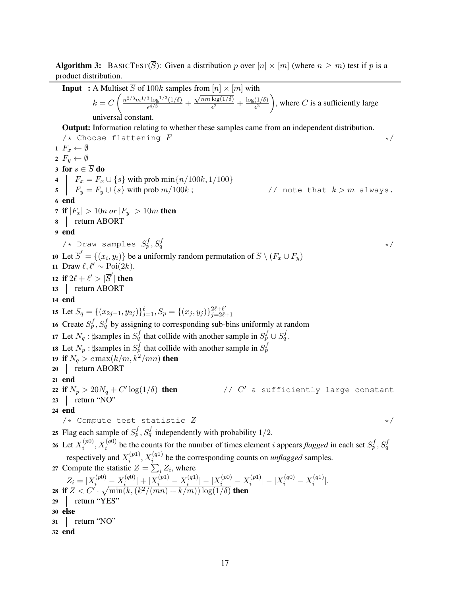**Algorithm 3:** BASICTEST( $\overline{S}$ ): Given a distribution p over  $[n] \times [m]$  (where  $n \geq m$ ) test if p is a product distribution.

<span id="page-17-5"></span><span id="page-17-4"></span><span id="page-17-3"></span><span id="page-17-2"></span><span id="page-17-1"></span><span id="page-17-0"></span>**Input** : A Multiset  $\overline{S}$  of 100k samples from  $[n] \times [m]$  with  $k = C \left( \frac{n^{2/3} m^{1/3} \log^{1/3} (1/\delta)}{24/3} \right)$  $\frac{\log^{2/3}(1/\delta)}{\epsilon^{4/3}} +$  $\frac{1}{\sqrt{nm \log(1/\delta)}}$  $\frac{\log(1/\delta)}{\epsilon^2} + \frac{\log(1/\delta)}{\epsilon^2}$  $\overline{\epsilon^2}$ ), where C is a sufficiently large universal constant. Output: Information relating to whether these samples came from an independent distribution.  $\forall$  + Choose flattening  $F$   $\qquad \qquad \star$  / 1  $F_x \leftarrow \emptyset$ 2  $F_y \leftarrow \emptyset$ 3 for  $s \in \overline{S}$  do 4  $\mid F_x = F_x \cup \{s\}$  with prob  $\min\{n/100k, 1/100\}$ 5  $\overrightarrow{F_y} = \overrightarrow{F_y} \cup \overrightarrow{s}$  with prob  $m/100k$ ; // note that  $k > m$  always. 6 end **7** if  $|F_x| > 10n$  or  $|F_y| > 10m$  then 8 return ABORT 9 end /\* Draw samples  $S_p^f,S_q^f$  $q \rightarrow \star/$ 10 Let  $\overline{S}' = \{(x_i, y_i)\}\$  be a uniformly random permutation of  $\overline{S} \setminus (F_x \cup F_y)$ 11 Draw  $\ell, \ell' \sim \text{Poi}(2k)$ . 12 if  $2\ell + \ell' > |\overline{S}'|$  then 13 return ABORT 14 end 15 Let  $S_q = \{(x_{2j-1}, y_{2j})\}_{j=1}^{\ell}, S_p = \{(x_j, y_j)\}_{j=2\ell}^{2\ell+\ell'}$  $j = 2\ell + 1$ 16 Create  $S_p^f$ ,  $S_q^f$  by assigning to corresponding sub-bins uniformly at random 17 Let  $N_q$ :  $\sharp$ samples in  $S_q^f$  that collide with another sample in  $S_p^f \cup S_q^f$ . 18 Let  $N_p$ :  $\sharp$ samples in  $S_p^f$  that collide with another sample in  $S_p^f$ 19 if  $N_q > c \max(k/m, k^2/mn)$  then 20 | return ABORT 21 end 22 if  $N_p > 20N_q + C' \log(1/\delta)$  then // C //  $C'$  a sufficiently large constant 23 | return "NO" 24 end  $\forall$   $\star$  Compute test statistic  $Z$   $\star$  / 25 Flag each sample of  $S_p^f$ ,  $S_q^f$  independently with probability 1/2. 26 Let  $X_i^{(p0)}$  $i_p^{(p0)}, X_i^{(q0)}$  be the counts for the number of times element *i* appears *flagged* in each set  $S_p^f, S_q^f$ respectively and  $X_i^{(p_1)}$  $i_{i}^{(p1)}, X_{i}^{(q1)}$  be the corresponding counts on *unflagged* samples. 27 Compute the statistic  $Z = \sum_i Z_i$ , where  $Z_i = |X_i^{(p0)} - X_i^{(q0)}|$  $\left| \frac{q(q0)}{i} \right| + \left| X_i^{(p1)} - X_i^{(q1)} \right|$  $\left| \frac{1}{i}^{(q1)} \right| - \left| X_i^{(p0)} - X_i^{(p1)} \right|$  $\left| \binom{p1}{i} \right| - \left| X_i^{(q0)} - X_i^{(q1)} \right|$  $\binom{(q_1)}{i}$ . 28 if  $Z < C' \cdot \sqrt{\min(k, (k^2/(mn) + k/m)) \log(1/\delta)}$  then 29 return "YES" 30 else 31 | return "NO" 32 end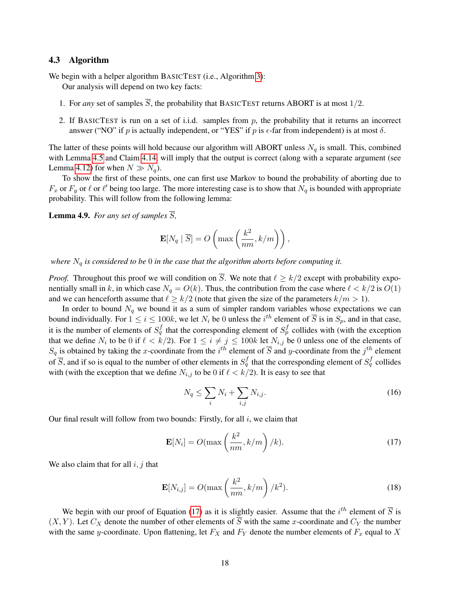#### 4.3 Algorithm

<span id="page-18-0"></span>We begin with a helper algorithm BASICTEST (i.e., Algorithm [3\)](#page-18-0):

Our analysis will depend on two key facts:

- 1. For *any* set of samples  $\overline{S}$ , the probability that BASICTEST returns ABORT is at most  $1/2$ .
- 2. If BASICTEST is run on a set of i.i.d. samples from  $p$ , the probability that it returns an incorrect answer ("NO" if p is actually independent, or "YES" if p is  $\epsilon$ -far from independent) is at most  $\delta$ .

The latter of these points will hold because our algorithm will ABORT unless  $N_q$  is small. This, combined with Lemma [4.5](#page-14-0) and Claim [4.14,](#page-23-0) will imply that the output is correct (along with a separate argument (see Lemma [4.12\)](#page-21-0) for when  $N \gg N_q$ .

To show the first of these points, one can first use Markov to bound the probability of aborting due to  $F_x$  or  $F_y$  or  $\ell$  or  $\ell'$  being too large. The more interesting case is to show that  $N_q$  is bounded with appropriate probability. This will follow from the following lemma:

<span id="page-18-4"></span>**Lemma 4.9.** *For any set of samples*  $\overline{S}$ *,* 

$$
\mathbf{E}[N_q \mid \overline{S}] = O\left(\max\left(\frac{k^2}{nm}, k/m\right)\right),\,
$$

*where* N<sup>q</sup> *is considered to be* 0 *in the case that the algorithm aborts before computing it.*

*Proof.* Throughout this proof we will condition on  $\overline{S}$ . We note that  $\ell \geq k/2$  except with probability exponentially small in k, in which case  $N_q = O(k)$ . Thus, the contribution from the case where  $\ell < k/2$  is  $O(1)$ and we can henceforth assume that  $\ell \geq k/2$  (note that given the size of the parameters  $k/m > 1$ ).

In order to bound  $N_q$  we bound it as a sum of simpler random variables whose expectations we can bound individually. For  $1 \le i \le 100k$ , we let  $N_i$  be 0 unless the  $i^{th}$  element of  $\overline{S}$  is in  $S_p$ , and in that case, it is the number of elements of  $S_q^f$  that the corresponding element of  $S_p^f$  collides with (with the exception that we define  $N_i$  to be 0 if  $\ell < k/2$ ). For  $1 \le i \ne j \le 100k$  let  $N_{i,j}$  be 0 unless one of the elements of  $S_q$  is obtained by taking the x-coordinate from the  $i^{th}$  element of  $\overline{S}$  and y-coordinate from the  $j^{th}$  element of  $\overline{S}$ , and if so is equal to the number of other elements in  $S_q^f$  that the corresponding element of  $S_q^f$  collides with (with the exception that we define  $N_{i,j}$  to be 0 if  $\ell < k/2$ ). It is easy to see that

<span id="page-18-3"></span>
$$
N_q \le \sum_i N_i + \sum_{i,j} N_{i,j}.\tag{16}
$$

Our final result will follow from two bounds: Firstly, for all  $i$ , we claim that

<span id="page-18-1"></span>
$$
\mathbf{E}[N_i] = O(\max\left(\frac{k^2}{nm}, k/m\right)/k). \tag{17}
$$

We also claim that for all  $i, j$  that

<span id="page-18-2"></span>
$$
\mathbf{E}[N_{i,j}] = O(\max\left(\frac{k^2}{nm}, k/m\right)/k^2). \tag{18}
$$

We begin with our proof of Equation [\(17\)](#page-18-1) as it is slightly easier. Assume that the  $i^{th}$  element of  $\overline{S}$  is  $(X, Y)$ . Let  $C_X$  denote the number of other elements of  $\overline{S}$  with the same x-coordinate and  $C_Y$  the number with the same y-coordinate. Upon flattening, let  $F_X$  and  $F_Y$  denote the number elements of  $F_x$  equal to X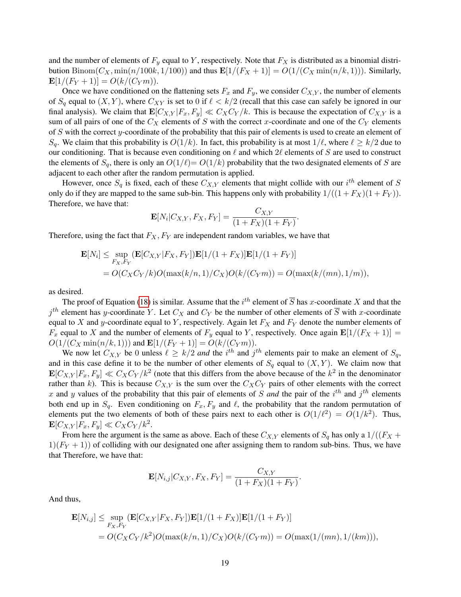and the number of elements of  $F_y$  equal to Y, respectively. Note that  $F_X$  is distributed as a binomial distribution  $\text{Binom}(C_X, \min(n/100k, 1/100))$  and thus  $\mathbf{E}[1/(F_X+1)] = O(1/(C_X \min(n/k, 1)))$ . Similarly,  $\mathbf{E}[1/(F_Y+1)] = O(k/(C_Y m)).$ 

Once we have conditioned on the flattening sets  $F_x$  and  $F_y$ , we consider  $C_{X,Y}$ , the number of elements of  $S_q$  equal to  $(X, Y)$ , where  $C_{XY}$  is set to 0 if  $\ell < k/2$  (recall that this case can safely be ignored in our final analysis). We claim that  $\mathbf{E}[C_{X,Y} | F_x, F_y] \ll C_X C_Y / k$ . This is because the expectation of  $C_{X,Y}$  is a sum of all pairs of one of the  $C_X$  elements of S with the correct x-coordinate and one of the  $C_Y$  elements of  $S$  with the correct  $y$ -coordinate of the probability that this pair of elements is used to create an element of  $S_q$ . We claim that this probability is  $O(1/k)$ . In fact, this probability is at most  $1/\ell$ , where  $\ell \geq k/2$  due to our conditioning. That is because even conditioning on  $\ell$  and which  $2\ell$  elements of S are used to construct the elements of  $S_q$ , there is only an  $O(1/\ell) = O(1/k)$  probability that the two designated elements of S are adjacent to each other after the random permutation is applied.

However, once  $S_q$  is fixed, each of these  $C_{X,Y}$  elements that might collide with our  $i^{th}$  element of S only do if they are mapped to the same sub-bin. This happens only with probability  $1/((1 + F_X)(1 + F_Y))$ . Therefore, we have that:

$$
\mathbf{E}[N_i|C_{X,Y}, F_X, F_Y] = \frac{C_{X,Y}}{(1+F_X)(1+F_Y)}.
$$

Therefore, using the fact that  $F_X, F_Y$  are independent random variables, we have that

$$
\mathbf{E}[N_i] \le \sup_{F_X, F_Y} (\mathbf{E}[C_{X,Y}|F_X, F_Y]) \mathbf{E}[1/(1 + F_X)] \mathbf{E}[1/(1 + F_Y)]
$$
  
=  $O(C_X C_Y/k) O(\max(k/n, 1)/C_X) O(k/(C_Y m)) = O(\max(k/(mn), 1/m)),$ 

as desired.

The proof of Equation [\(18\)](#page-18-2) is similar. Assume that the  $i^{th}$  element of  $\overline{S}$  has x-coordinate X and that the  $j^{th}$  element has y-coordinate Y. Let  $C_X$  and  $C_Y$  be the number of other elements of  $\overline{S}$  with x-coordinate equal to X and y-coordinate equal to Y, respectively. Again let  $F_X$  and  $F_Y$  denote the number elements of  $F_x$  equal to X and the number of elements of  $F_y$  equal to Y, respectively. Once again  $\mathbf{E}[1/(F_X+1)]=0$  $O(1/(C_X \min(n/k, 1)))$  and  $\mathbf{E}[1/(F_Y+1)] = O(k/(C_Y m)).$ 

We now let  $C_{X,Y}$  be 0 unless  $\ell \geq k/2$  *and* the *i*<sup>th</sup> and *j*<sup>th</sup> elements pair to make an element of  $S_q$ , and in this case define it to be the number of other elements of  $S_q$  equal to  $(X, Y)$ . We claim now that  $\mathbf{E}[C_{X,Y}|F_x,F_y] \ll C_X C_Y/k^2$  (note that this differs from the above because of the  $k^2$  in the denominator rather than k). This is because  $C_{X,Y}$  is the sum over the  $C_XC_Y$  pairs of other elements with the correct x and y values of the probability that this pair of elements of S and the pair of the  $i<sup>th</sup>$  and  $j<sup>th</sup>$  elements both end up in  $S_q$ . Even conditioning on  $F_x, F_y$  and  $\ell$ , the probability that the random permutation of elements put the two elements of both of these pairs next to each other is  $O(1/\ell^2) = O(1/k^2)$ . Thus,  $\mathbf{E}[C_{X,Y}|F_x,F_y] \ll C_X C_Y/k^2.$ 

From here the argument is the same as above. Each of these  $C_{X,Y}$  elements of  $S_q$  has only a  $1/((F_X +$  $1/(F<sub>Y</sub> + 1)$ ) of colliding with our designated one after assigning them to random sub-bins. Thus, we have that Therefore, we have that:

$$
\mathbf{E}[N_{i,j}|C_{X,Y}, F_X, F_Y] = \frac{C_{X,Y}}{(1 + F_X)(1 + F_Y)}.
$$

And thus,

$$
\mathbf{E}[N_{i,j}] \le \sup_{F_X, F_Y} (\mathbf{E}[C_{X,Y}|F_X, F_Y]) \mathbf{E}[1/(1 + F_X)] \mathbf{E}[1/(1 + F_Y)]
$$
  
=  $O(C_X C_Y / k^2) O(\max(k/n, 1) / C_X) O(k/(C_Y m)) = O(\max(1/(mn), 1/(km))),$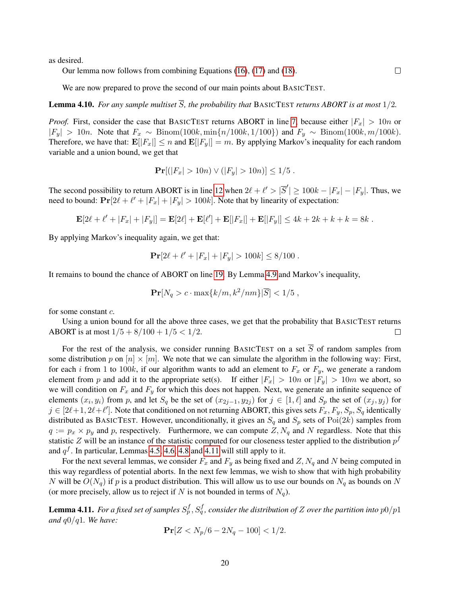as desired.

Our lemma now follows from combining Equations [\(16\)](#page-18-3), [\(17\)](#page-18-1) and [\(18\)](#page-18-2).

We are now prepared to prove the second of our main points about BASICTEST.

**Lemma 4.10.** For any sample multiset  $\overline{S}$ , the probability that BASICTEST returns ABORT is at most  $1/2$ .

*Proof.* First, consider the case that BASICTEST returns ABORT in line [7,](#page-17-0) because either  $|F_x| > 10n$  or  $|F_y| > 10n$ . Note that  $F_x \sim \text{Binom}(100k, \min\{n/100k, 1/100\})$  and  $F_y \sim \text{Binom}(100k, m/100k)$ . Therefore, we have that:  $\mathbf{E}[|F_x|] \leq n$  and  $\mathbf{E}[|F_y|] = m$ . By applying Markov's inequality for each random variable and a union bound, we get that

$$
\Pr[(|F_x| > 10n) \lor (|F_y| > 10n)] \le 1/5.
$$

The second possibility to return ABORT is in line [12](#page-17-1) when  $2\ell + \ell' > |\overline{S}'| \ge 100k - |F_x| - |F_y|$ . Thus, we need to bound:  $Pr[2\ell + \ell' + |F_x| + |F_y| > 100k]$ . Note that by linearity of expectation:

$$
\mathbf{E}[2\ell + \ell' + |F_x| + |F_y|] = \mathbf{E}[2\ell] + \mathbf{E}[\ell'] + \mathbf{E}[|F_x|] + \mathbf{E}[|F_y|] \le 4k + 2k + k + k = 8k.
$$

By applying Markov's inequality again, we get that:

$$
\Pr[2\ell + \ell' + |F_x| + |F_y| > 100k] \le 8/100.
$$

It remains to bound the chance of ABORT on line [19.](#page-17-2) By Lemma [4.9](#page-18-4) and Markov's inequality,

$$
\Pr[N_q > c \cdot \max\{k/m, k^2/nm\}|\overline{S}] < 1/5,
$$

for some constant c.

Using a union bound for all the above three cases, we get that the probability that BASICTEST returns ABORT is at most  $1/5 + 8/100 + 1/5 < 1/2$ .  $\Box$ 

For the rest of the analysis, we consider running BASICTEST on a set  $\overline{S}$  of random samples from some distribution p on  $[n] \times [m]$ . We note that we can simulate the algorithm in the following way: First, for each i from 1 to 100k, if our algorithm wants to add an element to  $F_x$  or  $F_y$ , we generate a random element from p and add it to the appropriate set(s). If either  $|F_x| > 10n$  or  $|F_y| > 10m$  we abort, so we will condition on  $F_x$  and  $F_y$  for which this does not happen. Next, we generate an infinite sequence of elements  $(x_i, y_i)$  from p, and let  $S_q$  be the set of  $(x_{2j-1}, y_{2j})$  for  $j \in [1, \ell]$  and  $S_p$  the set of  $(x_j, y_j)$  for  $j \in [2\ell+1, 2\ell+\ell']$ . Note that conditioned on not returning ABORT, this gives sets  $F_x, F_y, S_p, S_q$  identically distributed as BASICTEST. However, unconditionally, it gives an  $S_q$  and  $S_p$  sets of  $Poi(2k)$  samples from  $q := p_x \times p_y$  and p, respectively. Furthermore, we can compute Z, N<sub>q</sub> and N regardless. Note that this statistic Z will be an instance of the statistic computed for our closeness tester applied to the distribution  $p^f$ and  $q<sup>f</sup>$ . In particular, Lemmas [4.5,](#page-14-0) [4.6,](#page-14-1) [4.8](#page-15-3) and [4.11](#page-20-0) will still apply to it.

For the next several lemmas, we consider  $F_x$  and  $F_y$  as being fixed and Z,  $N_q$  and N being computed in this way regardless of potential aborts. In the next few lemmas, we wish to show that with high probability N will be  $O(N_q)$  if p is a product distribution. This will allow us to use our bounds on  $N_q$  as bounds on N (or more precisely, allow us to reject if N is not bounded in terms of  $N_q$ ).

<span id="page-20-0"></span>**Lemma 4.11.** For a fixed set of samples  $S_p^f, S_q^f$ , consider the distribution of Z over the partition into  $p0/p1$ *and* q0/q1*. We have:*

$$
\Pr[Z < N_p/6 - 2N_q - 100] < 1/2.
$$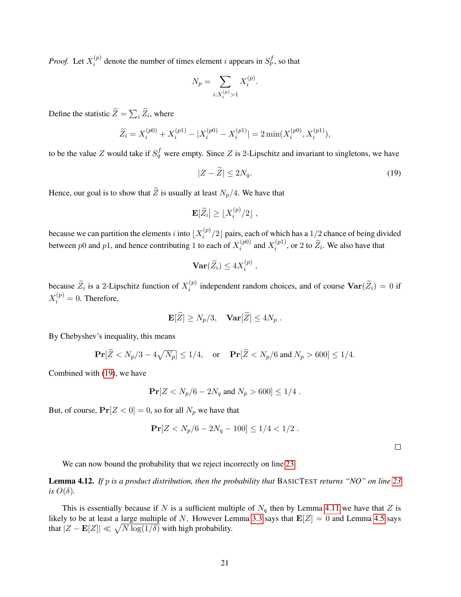*Proof.* Let  $X_i^{(p)}$  $i^{(p)}$  denote the number of times element i appears in  $S_p^f$ , so that

$$
N_p = \sum_{i:X_i^{(p)} > 1} X_i^{(p)}.
$$

Define the statistic  $Z = \sum_i Z_i$ , where

$$
\widetilde{Z}_i = X_i^{(p0)} + X_i^{(p1)} - |X_i^{(p0)} - X_i^{(p1)}| = 2 \min(X_i^{(p0)}, X_i^{(p1)}),
$$

to be the value Z would take if  $S_q^f$  were empty. Since Z is 2-Lipschitz and invariant to singletons, we have

<span id="page-21-1"></span>
$$
|Z - \tilde{Z}| \le 2N_q. \tag{19}
$$

Hence, our goal is to show that  $\widetilde{Z}$  is usually at least  $N_p/4$ . We have that

$$
\mathbf{E}[\widetilde{Z}_i] \geq \lfloor X_i^{(p)}/2 \rfloor ,
$$

because we can partition the elements *i* into  $X_i^{(p)}$  $\int_{i}^{(p)}/2$  pairs, each of which has a 1/2 chance of being divided between p0 and p1, and hence contributing 1 to each of  $X_i^{(p0)}$  $x_i^{(p0)}$  and  $X_i^{(p1)}$  $i^{(p_1)}$ , or 2 to  $Z_i$ . We also have that

$$
\operatorname{Var}(\widetilde{Z}_i) \le 4X_i^{(p)},
$$

because  $\widetilde{Z}_i$  is a 2-Lipschitz function of  $X_i^{(p)}$  $i^{(p)}$  independent random choices, and of course  $\text{Var}(Z_i) = 0$  if  $X_i^{(p)}=0$ . Therefore,

$$
\mathbf{E}[\widetilde{Z}] \ge N_p/3, \quad \mathbf{Var}[\widetilde{Z}] \le 4N_p.
$$

By Chebyshev's inequality, this means

$$
\Pr[\widetilde{Z} < N_p/3 - 4\sqrt{N_p}] \le 1/4, \quad \text{or} \quad \Pr[\widetilde{Z} < N_p/6 \text{ and } N_p > 600] \le 1/4.
$$

Combined with [\(19\)](#page-21-1), we have

$$
\Pr[Z < N_p/6 - 2N_q \text{ and } N_p > 600] \le 1/4.
$$

But, of course,  $Pr[Z < 0] = 0$ , so for all  $N_p$  we have that

$$
\Pr[Z < N_p/6 - 2N_q - 100] \le 1/4 < 1/2 \, .
$$

 $\Box$ 

We can now bound the probability that we reject incorrectly on line [23.](#page-17-3)

<span id="page-21-0"></span>Lemma 4.12. *If* p *is a product distribution, then the probability that* BASICTEST *returns "NO" on line [23](#page-17-3) is*  $O(\delta)$ .

This is essentially because if N is a sufficient multiple of  $N_q$  then by Lemma [4.11](#page-20-0) we have that Z is likely to be at least a large multiple of N. However Lemma [3.3](#page-9-0) says that  $\mathbf{E}[Z] = 0$  and Lemma [4.5](#page-14-0) says that  $|Z - \mathbf{E}[Z]| \ll \sqrt{N \log(1/\delta)}$  with high probability.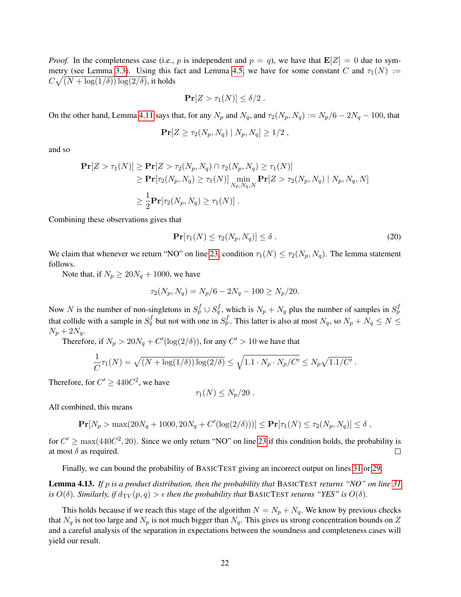*Proof.* In the completeness case (i.e., p is independent and  $p = q$ ), we have that  $\mathbf{E}[Z] = 0$  due to sym-metry (see Lemma [3.3\)](#page-9-0). Using this fact and Lemma [4.5,](#page-14-0) we have for some constant C and  $\tau_1(N) :=$  $C\sqrt{(N+\log(1/\delta))\log(2/\delta)}$ , it holds

$$
\Pr[Z > \tau_1(N)] \le \delta/2.
$$

On the other hand, Lemma [4.11](#page-20-0) says that, for any  $N_p$  and  $N_q$ , and  $\tau_2(N_p, N_q) := N_p/6 - 2N_q - 100$ , that

$$
\Pr[Z \ge \tau_2(N_p, N_q) | N_p, N_q] \ge 1/2,
$$

and so

$$
\begin{aligned} \mathbf{Pr}[Z > \tau_1(N)] \geq \mathbf{Pr}[Z > \tau_2(N_p, N_q) \cap \tau_2(N_p, N_q) \geq \tau_1(N)] \\ &\geq \mathbf{Pr}[\tau_2(N_p, N_q) \geq \tau_1(N)] \min_{N_p, N_q, N} \mathbf{Pr}[Z > \tau_2(N_p, N_q) \mid N_p, N_q, N] \\ &\geq \frac{1}{2} \mathbf{Pr}[\tau_2(N_p, N_q) \geq \tau_1(N)]. \end{aligned}
$$

Combining these observations gives that

$$
\mathbf{Pr}[\tau_1(N) \le \tau_2(N_p, N_q)] \le \delta \,. \tag{20}
$$

We claim that whenever we return "NO" on line [23,](#page-17-3) condition  $\tau_1(N) \leq \tau_2(N_p, N_q)$ . The lemma statement follows.

Note that, if  $N_p \ge 20N_q + 1000$ , we have

$$
\tau_2(N_p, N_q) = N_p/6 - 2N_q - 100 \ge N_p/20.
$$

Now N is the number of non-singletons in  $S_p^f \cup S_q^f$ , which is  $N_p + N_q$  plus the number of samples in  $S_p^f$ that collide with a sample in  $S_q^f$  but not with one in  $S_p^f$ . This latter is also at most  $N_q$ , so  $N_p + N_q \le N \le$  $N_p + 2N_q$ .

Therefore, if  $N_p > 20N_q + C'(\log(2/\delta))$ , for any  $C' > 10$  we have that

$$
\frac{1}{C}\tau_1(N) = \sqrt{(N + \log(1/\delta))\log(2/\delta)} \le \sqrt{1.1 \cdot N_p \cdot N_p/C'} \le N_p \sqrt{1.1/C'}.
$$

Therefore, for  $C' \geq 440C^2$ , we have

$$
\tau_1(N) \le N_p/20 \; .
$$

All combined, this means

 $\Pr[N_p > \max(20N_q + 1000, 20N_q + C'(\log(2/\delta)))] \le \Pr[\tau_1(N) \le \tau_2(N_p, N_q)] \le \delta$ ,

for  $C' \ge \max(440C^2, 20)$ . Since we only return "NO" on line [23](#page-17-3) if this condition holds, the probability is at most  $\delta$  as required.  $\Box$ 

Finally, we can bound the probability of BASICTEST giving an incorrect output on lines [31](#page-17-4) or [29.](#page-17-5)

Lemma 4.13. *If* p *is a product distribution, then the probability that* BASICTEST *returns "NO" on line [31](#page-17-4) is*  $O(\delta)$ *. Similarly, if*  $d_{TV}(p,q) > \epsilon$  *then the probability that* BASICTEST *returns* "*YES*" *is*  $O(\delta)$ *.* 

This holds because if we reach this stage of the algorithm  $N = N_p + N_q$ . We know by previous checks that  $N_q$  is not too large and  $N_p$  is not much bigger than  $N_q$ . This gives us strong concentration bounds on Z and a careful analysis of the separation in expectations between the soundness and completeness cases will yield our result.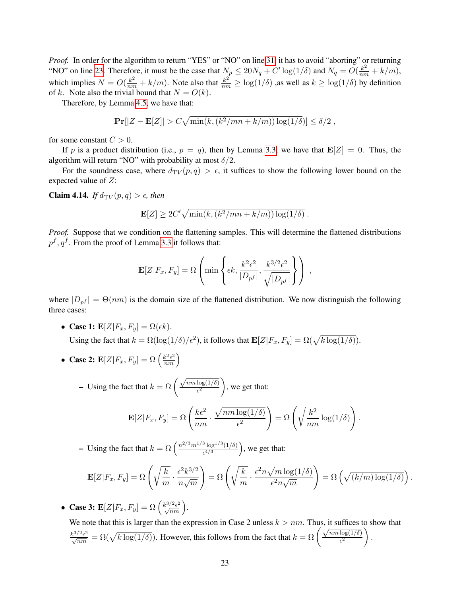*Proof.* In order for the algorithm to return "YES" or "NO" on line [31,](#page-17-4) it has to avoid "aborting" or returning "NO" on line [23.](#page-17-3) Therefore, it must be the case that  $N_p \le 20N_q + C' \log(1/\delta)$  and  $N_q = O(\frac{k^2}{nm} + k/m)$ , which implies  $N = O(\frac{k^2}{nm} + k/m)$ . Note also that  $\frac{k^2}{nm} \ge \log(1/\delta)$  ,as well as  $k \ge \log(1/\delta)$  by definition of k. Note also the trivial bound that  $N = O(k)$ .

Therefore, by Lemma [4.5,](#page-14-0) we have that:

$$
\Pr[|Z - \mathbf{E}[Z]| > C\sqrt{\min(k, (k^2/mn + k/m))\log(1/\delta)}] \le \delta/2,
$$

for some constant  $C > 0$ .

If p is a product distribution (i.e.,  $p = q$ ), then by Lemma [3.3,](#page-9-0) we have that  $\mathbf{E}[Z] = 0$ . Thus, the algorithm will return "NO" with probability at most  $\delta/2$ .

For the soundness case, where  $d_{TV}(p,q) > \epsilon$ , it suffices to show the following lower bound on the expected value of Z:

<span id="page-23-0"></span>**Claim 4.14.** *If*  $d_{TV}(p,q) > \epsilon$ , *then* 

$$
\mathbf{E}[Z] \ge 2C' \sqrt{\min(k, (k^2/mn + k/m)) \log(1/\delta)}.
$$

*Proof.* Suppose that we condition on the flattening samples. This will determine the flattened distributions  $p^f, q^f$ . From the proof of Lemma [3.3](#page-9-0) it follows that:

$$
\mathbf{E}[Z|F_x, F_y] = \Omega \left( \min \left\{ \epsilon k, \frac{k^2 \epsilon^2}{|D_{p^f}|}, \frac{k^{3/2} \epsilon^2}{\sqrt{|D_{p^f}|}} \right\} \right) ,
$$

where  $|D_{p}f| = \Theta(nm)$  is the domain size of the flattened distribution. We now distinguish the following three cases:

- Case 1:  $\mathbf{E}[Z|F_x, F_y] = \Omega(\epsilon k)$ . Using the fact that  $k = \Omega(\log(1/\delta)/\epsilon^2)$ , it follows that  $\mathbf{E}[Z|F_x, F_y] = \Omega(\sqrt{k \log(1/\delta)})$ .
- Case 2:  $\mathbf{E}[Z|F_x, F_y] = \Omega\left(\frac{k^2 \epsilon^2}{nm}\right)$

– Using the fact that  $k = \Omega \left( \frac{\sqrt{nm \log(1/\delta)}}{\epsilon^2} \right)$  $\epsilon^2$ , we get that:

$$
\mathbf{E}[Z|F_x, F_y] = \Omega\left(\frac{k\epsilon^2}{nm} \cdot \frac{\sqrt{nm\log(1/\delta)}}{\epsilon^2}\right) = \Omega\left(\sqrt{\frac{k^2}{nm}\log(1/\delta)}\right).
$$

- Using the fact that  $k = \Omega \left( \frac{n^{2/3} m^{1/3} \log^{1/3}(1/\delta)}{n^{4/3}} \right)$  $\frac{^{3}\log^{1/3}(1/\delta)}{\epsilon^{4/3}}$ , we get that:

$$
\mathbf{E}[Z|F_x, F_y] = \Omega\left(\sqrt{\frac{k}{m}} \cdot \frac{\epsilon^2 k^{3/2}}{n\sqrt{m}}\right) = \Omega\left(\sqrt{\frac{k}{m}} \cdot \frac{\epsilon^2 n\sqrt{m\log(1/\delta)}}{\epsilon^2 n\sqrt{m}}\right) = \Omega\left(\sqrt{(k/m)\log(1/\delta)}\right).
$$

• Case 3:  $\mathbf{E}[Z|F_x, F_y] = \Omega\left(\frac{k^{3/2} \epsilon^2}{\sqrt{nm}}\right)$ .

We note that this is larger than the expression in Case 2 unless  $k > nm$ . Thus, it suffices to show that We note that this is larger than the expression in Case 2 thress  $k > n/n$ . Thus, it sumes  $k^{\frac{3}{2}}e^2 = \Omega(\sqrt{k \log(1/\delta)})$ . However, this follows from the fact that  $k = \Omega\left(\frac{\sqrt{n m \log(1/\delta)}}{\epsilon^2}\right)$  $\epsilon^2$  $\setminus$ .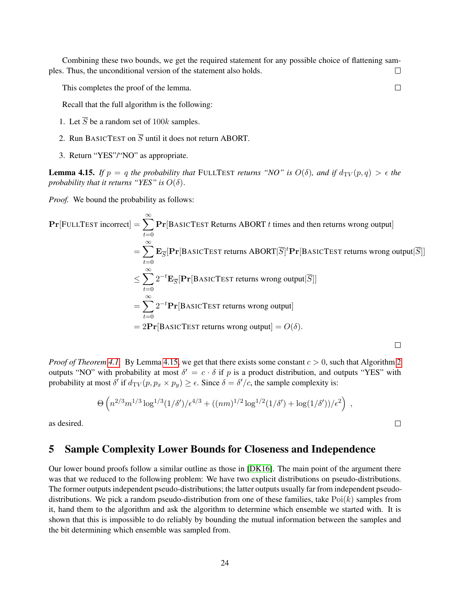Combining these two bounds, we get the required statement for any possible choice of flattening samples. Thus, the unconditional version of the statement also holds.  $\Box$ 

This completes the proof of the lemma.

Recall that the full algorithm is the following:

- 1. Let  $\overline{S}$  be a random set of 100k samples.
- 2. Run BASICTEST on  $\overline{S}$  until it does not return ABORT.
- 3. Return "YES"/"NO" as appropriate.

<span id="page-24-1"></span>**Lemma 4.15.** *If*  $p = q$  *the probability that* FULLTEST *returns* "NO" *is*  $O(\delta)$ *, and if*  $d_{TV}(p,q) > \epsilon$  *the probability that it returns "YES" is*  $O(\delta)$ .

*Proof.* We bound the probability as follows:

$$
\begin{aligned}\n\Pr[\text{FULLTEST incorrect}] &= \sum_{t=0}^{\infty} \Pr[\text{BASICTEST Returns ABORT } t \text{ times and then returns wrong output}] \\
&= \sum_{t=0}^{\infty} \mathbf{E}_{\overline{S}}[\Pr[\text{BASICTEST returns ABORT}|\overline{S}]^t \Pr[\text{BASICTEST returns wrong output}|\overline{S}]] \\
&\leq \sum_{t=0}^{\infty} 2^{-t} \mathbf{E}_{\overline{S}}[\Pr[\text{BASICTEST returns wrong output}|\overline{S}]] \\
&= \sum_{t=0}^{\infty} 2^{-t} \Pr[\text{BASICTEST returns wrong output}] \\
&= 2\Pr[\text{BASICTEST returns wrong output}] = O(\delta).\n\end{aligned}
$$

*Proof of Theorem [4.1.](#page-13-0)* By Lemma [4.15,](#page-24-1) we get that there exists some constant  $c > 0$ , such that Algorithm [2](#page-12-1) outputs "NO" with probability at most  $\delta' = c \cdot \delta$  if p is a product distribution, and outputs "YES" with probability at most  $\delta'$  if  $d_{TV}(p, p_x \times p_y) \geq \epsilon$ . Since  $\delta = \delta'/c$ , the sample complexity is:

$$
\Theta\left(n^{2/3}m^{1/3}\log^{1/3}(1/\delta')/\epsilon^{4/3} + ((nm)^{1/2}\log^{1/2}(1/\delta') + \log(1/\delta'))/\epsilon^2\right) ,
$$

as desired.

## <span id="page-24-0"></span>5 Sample Complexity Lower Bounds for Closeness and Independence

Our lower bound proofs follow a similar outline as those in [\[DK16\]](#page-35-5). The main point of the argument there was that we reduced to the following problem: We have two explicit distributions on pseudo-distributions. The former outputs independent pseudo-distributions; the latter outputs usually far from independent pseudodistributions. We pick a random pseudo-distribution from one of these families, take  $Poi(k)$  samples from it, hand them to the algorithm and ask the algorithm to determine which ensemble we started with. It is shown that this is impossible to do reliably by bounding the mutual information between the samples and the bit determining which ensemble was sampled from.

 $\Box$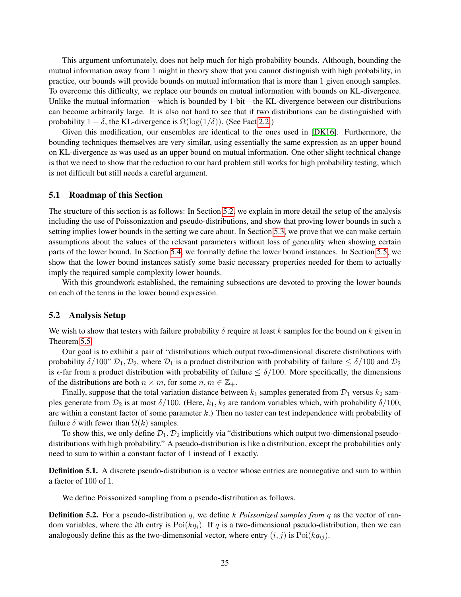This argument unfortunately, does not help much for high probability bounds. Although, bounding the mutual information away from 1 might in theory show that you cannot distinguish with high probability, in practice, our bounds will provide bounds on mutual information that is more than 1 given enough samples. To overcome this difficulty, we replace our bounds on mutual information with bounds on KL-divergence. Unlike the mutual information—which is bounded by 1-bit—the KL-divergence between our distributions can become arbitrarily large. It is also not hard to see that if two distributions can be distinguished with probability  $1 - \delta$ , the KL-divergence is  $\Omega(\log(1/\delta))$ . (See Fact [2.2.](#page-7-0))

Given this modification, our ensembles are identical to the ones used in [\[DK16\]](#page-35-5). Furthermore, the bounding techniques themselves are very similar, using essentially the same expression as an upper bound on KL-divergence as was used as an upper bound on mutual information. One other slight technical change is that we need to show that the reduction to our hard problem still works for high probability testing, which is not difficult but still needs a careful argument.

### 5.1 Roadmap of this Section

The structure of this section is as follows: In Section [5.2,](#page-25-0) we explain in more detail the setup of the analysis including the use of Poissonization and pseudo-distributions, and show that proving lower bounds in such a setting implies lower bounds in the setting we care about. In Section [5.3,](#page-28-0) we prove that we can make certain assumptions about the values of the relevant parameters without loss of generality when showing certain parts of the lower bound. In Section [5.4,](#page-28-1) we formally define the lower bound instances. In Section [5.5,](#page-29-0) we show that the lower bound instances satisfy some basic necessary properties needed for them to actually imply the required sample complexity lower bounds.

With this groundwork established, the remaining subsections are devoted to proving the lower bounds on each of the terms in the lower bound expression.

### <span id="page-25-0"></span>5.2 Analysis Setup

We wish to show that testers with failure probability  $\delta$  require at least k samples for the bound on k given in Theorem [5.5.](#page-27-0)

Our goal is to exhibit a pair of "distributions which output two-dimensional discrete distributions with probability  $\delta/100$ "  $\mathcal{D}_1, \mathcal{D}_2$ , where  $\mathcal{D}_1$  is a product distribution with probability of failure  $\leq \delta/100$  and  $\mathcal{D}_2$ is  $\epsilon$ -far from a product distribution with probability of failure  $\leq \delta/100$ . More specifically, the dimensions of the distributions are both  $n \times m$ , for some  $n, m \in \mathbb{Z}_+$ .

Finally, suppose that the total variation distance between  $k_1$  samples generated from  $\mathcal{D}_1$  versus  $k_2$  samples generate from  $\mathcal{D}_2$  is at most  $\delta/100$ . (Here,  $k_1, k_2$  are random variables which, with probability  $\delta/100$ , are within a constant factor of some parameter  $k$ .) Then no tester can test independence with probability of failure  $\delta$  with fewer than  $\Omega(k)$  samples.

To show this, we only define  $\mathcal{D}_1, \mathcal{D}_2$  implicitly via "distributions which output two-dimensional pseudodistributions with high probability." A pseudo-distribution is like a distribution, except the probabilities only need to sum to within a constant factor of 1 instead of 1 exactly.

Definition 5.1. A discrete pseudo-distribution is a vector whose entries are nonnegative and sum to within a factor of 100 of 1.

We define Poissonized sampling from a pseudo-distribution as follows.

**Definition 5.2.** For a pseudo-distribution q, we define k *Poissonized samples from* q as the vector of random variables, where the *i*th entry is  $Poi(kq<sub>i</sub>)$ . If q is a two-dimensional pseudo-distribution, then we can analogously define this as the two-dimensonial vector, where entry  $(i, j)$  is  $Poi(kq_{ij})$ .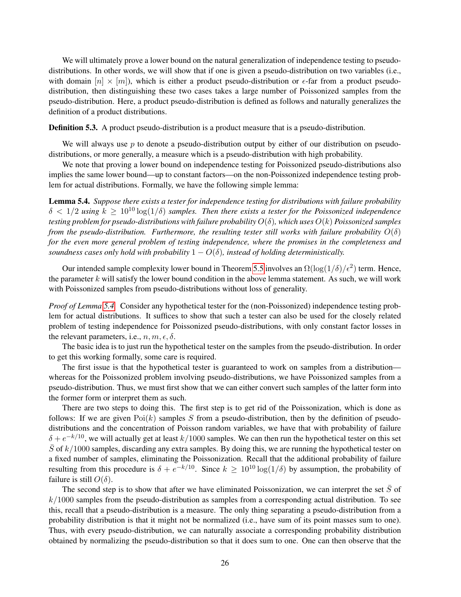We will ultimately prove a lower bound on the natural generalization of independence testing to pseudodistributions. In other words, we will show that if one is given a pseudo-distribution on two variables (i.e., with domain  $[n] \times [m]$ , which is either a product pseudo-distribution or  $\epsilon$ -far from a product pseudodistribution, then distinguishing these two cases takes a large number of Poissonized samples from the pseudo-distribution. Here, a product pseudo-distribution is defined as follows and naturally generalizes the definition of a product distributions.

**Definition 5.3.** A product pseudo-distribution is a product measure that is a pseudo-distribution.

We will always use  $p$  to denote a pseudo-distribution output by either of our distribution on pseudodistributions, or more generally, a measure which is a pseudo-distribution with high probability.

We note that proving a lower bound on independence testing for Poissonized pseudo-distributions also implies the same lower bound—up to constant factors—on the non-Poissonized independence testing problem for actual distributions. Formally, we have the following simple lemma:

<span id="page-26-0"></span>Lemma 5.4. *Suppose there exists a tester for independence testing for distributions with failure probability*  $\delta < 1/2$  *using*  $k \ge 10^{10} \log(1/\delta)$  *samples. Then there exists a tester for the Poissonized independence testing problem for pseudo-distributions with failure probability* O(δ)*, which uses* O(k) *Poissonized samples from the pseudo-distribution. Furthermore, the resulting tester still works with failure probability*  $O(\delta)$ *for the even more general problem of testing independence, where the promises in the completeness and soundness cases only hold with probability*  $1 - O(\delta)$ *, instead of holding deterministically.* 

Our intended sample complexity lower bound in Theorem [5.5](#page-27-0) involves an  $\Omega(\log(1/\delta)/\epsilon^2)$  term. Hence, the parameter  $k$  will satisfy the lower bound condition in the above lemma statement. As such, we will work with Poissonized samples from pseudo-distributions without loss of generality.

*Proof of Lemma [5.4.](#page-26-0)* Consider any hypothetical tester for the (non-Poissonized) independence testing problem for actual distributions. It suffices to show that such a tester can also be used for the closely related problem of testing independence for Poissonized pseudo-distributions, with only constant factor losses in the relevant parameters, i.e.,  $n, m, \epsilon, \delta$ .

The basic idea is to just run the hypothetical tester on the samples from the pseudo-distribution. In order to get this working formally, some care is required.

The first issue is that the hypothetical tester is guaranteed to work on samples from a distribution whereas for the Poissonized problem involving pseudo-distributions, we have Poissonized samples from a pseudo-distribution. Thus, we must first show that we can either convert such samples of the latter form into the former form or interpret them as such.

There are two steps to doing this. The first step is to get rid of the Poissonization, which is done as follows: If we are given  $Poi(k)$  samples S from a pseudo-distribution, then by the definition of pseudodistributions and the concentration of Poisson random variables, we have that with probability of failure  $\delta + e^{-k/10}$ , we will actually get at least  $k/1000$  samples. We can then run the hypothetical tester on this set  $\bar{S}$  of  $k/1000$  samples, discarding any extra samples. By doing this, we are running the hypothetical tester on a fixed number of samples, eliminating the Poissonization. Recall that the additional probability of failure resulting from this procedure is  $\delta + e^{-k/10}$ . Since  $k \ge 10^{10} \log(1/\delta)$  by assumption, the probability of failure is still  $O(\delta)$ .

The second step is to show that after we have eliminated Poissonization, we can interpret the set  $\bar{S}$  of  $k/1000$  samples from the pseudo-distribution as samples from a corresponding actual distribution. To see this, recall that a pseudo-distribution is a measure. The only thing separating a pseudo-distribution from a probability distribution is that it might not be normalized (i.e., have sum of its point masses sum to one). Thus, with every pseudo-distribution, we can naturally associate a corresponding probability distribution obtained by normalizing the pseudo-distribution so that it does sum to one. One can then observe that the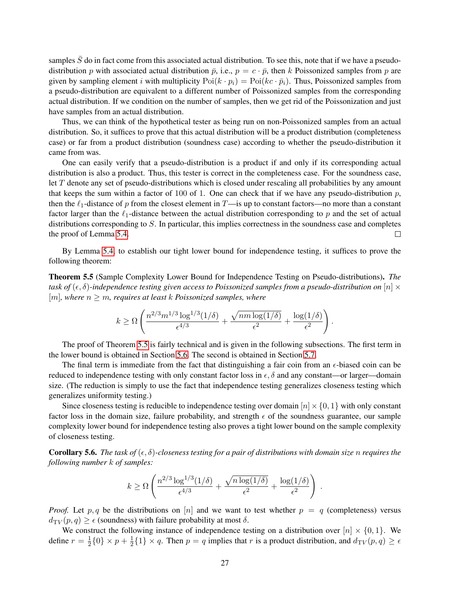samples  $\bar{S}$  do in fact come from this associated actual distribution. To see this, note that if we have a pseudodistribution p with associated actual distribution  $\bar{p}$ , i.e.,  $p = c \cdot \bar{p}$ , then k Poissonized samples from p are given by sampling element i with multiplicity  $Poi(k \cdot p_i) = Poi(k \cdot \bar{p}_i)$ . Thus, Poissonized samples from a pseudo-distribution are equivalent to a different number of Poissonized samples from the corresponding actual distribution. If we condition on the number of samples, then we get rid of the Poissonization and just have samples from an actual distribution.

Thus, we can think of the hypothetical tester as being run on non-Poissonized samples from an actual distribution. So, it suffices to prove that this actual distribution will be a product distribution (completeness case) or far from a product distribution (soundness case) according to whether the pseudo-distribution it came from was.

One can easily verify that a pseudo-distribution is a product if and only if its corresponding actual distribution is also a product. Thus, this tester is correct in the completeness case. For the soundness case, let T denote any set of pseudo-distributions which is closed under rescaling all probabilities by any amount that keeps the sum within a factor of 100 of 1. One can check that if we have any pseudo-distribution  $p$ , then the  $\ell_1$ -distance of p from the closest element in T—is up to constant factors—no more than a constant factor larger than the  $\ell_1$ -distance between the actual distribution corresponding to p and the set of actual distributions corresponding to S. In particular, this implies correctness in the soundness case and completes the proof of Lemma [5.4.](#page-26-0)  $\Box$ 

By Lemma [5.4,](#page-26-0) to establish our tight lower bound for independence testing, it suffices to prove the following theorem:

<span id="page-27-0"></span>Theorem 5.5 (Sample Complexity Lower Bound for Independence Testing on Pseudo-distributions). *The task of*  $(\epsilon, \delta)$ -independence testing given access to Poissonized samples from a pseudo-distribution on  $[n] \times$  $[m]$ , where  $n \geq m$ , requires at least k Poissonized samples, where

$$
k \geq \Omega \left( \frac{n^{2/3} m^{1/3} \log^{1/3} (1/\delta)}{\epsilon^{4/3}} + \frac{\sqrt{n m \log(1/\delta)}}{\epsilon^2} + \frac{\log(1/\delta)}{\epsilon^2} \right).
$$

The proof of Theorem [5.5](#page-27-0) is fairly technical and is given in the following subsections. The first term in the lower bound is obtained in Section [5.6.](#page-30-0) The second is obtained in Section [5.7.](#page-33-0)

The final term is immediate from the fact that distinguishing a fair coin from an  $\epsilon$ -biased coin can be reduced to independence testing with only constant factor loss in  $\epsilon$ ,  $\delta$  and any constant—or larger—domain size. (The reduction is simply to use the fact that independence testing generalizes closeness testing which generalizes uniformity testing.)

Since closeness testing is reducible to independence testing over domain  $[n] \times \{0, 1\}$  with only constant factor loss in the domain size, failure probability, and strength  $\epsilon$  of the soundness guarantee, our sample complexity lower bound for independence testing also proves a tight lower bound on the sample complexity of closeness testing.

**Corollary 5.6.** The task of  $(\epsilon, \delta)$ -closeness testing for a pair of distributions with domain size n requires the *following number* k *of samples:*

$$
k \geq \Omega \left( \frac{n^{2/3} \log^{1/3}(1/\delta)}{\epsilon^{4/3}} + \frac{\sqrt{n \log(1/\delta)}}{\epsilon^2} + \frac{\log(1/\delta)}{\epsilon^2} \right) .
$$

*Proof.* Let p, q be the distributions on [n] and we want to test whether  $p = q$  (completeness) versus  $d_{\text{TV}}(p,q) \geq \epsilon$  (soundness) with failure probability at most  $\delta$ .

We construct the following instance of independence testing on a distribution over  $[n] \times \{0, 1\}$ . We define  $r = \frac{1}{2}$  $\frac{1}{2}$ {0} × p +  $\frac{1}{2}$  $\frac{1}{2}$ {1} × q. Then  $p = q$  implies that r is a product distribution, and  $d_{TV}(p,q) \ge \epsilon$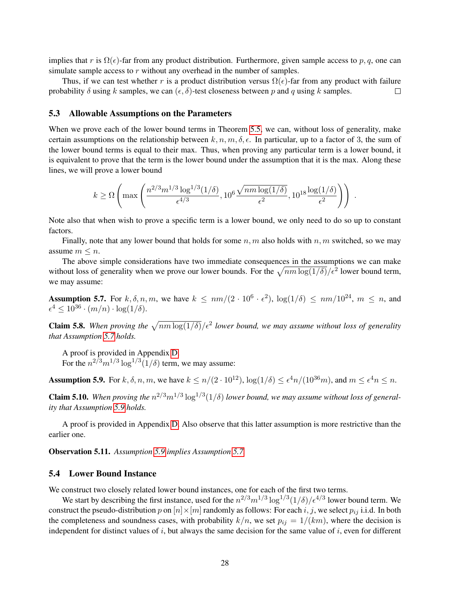implies that r is  $\Omega(\epsilon)$ -far from any product distribution. Furthermore, given sample access to p, q, one can simulate sample access to  $r$  without any overhead in the number of samples.

Thus, if we can test whether r is a product distribution versus  $\Omega(\epsilon)$ -far from any product with failure probability  $\delta$  using k samples, we can  $(\epsilon, \delta)$ -test closeness between p and q using k samples.  $\Box$ 

#### <span id="page-28-0"></span>5.3 Allowable Assumptions on the Parameters

When we prove each of the lower bound terms in Theorem [5.5,](#page-27-0) we can, without loss of generality, make certain assumptions on the relationship between  $k, n, m, \delta, \epsilon$ . In particular, up to a factor of 3, the sum of the lower bound terms is equal to their max. Thus, when proving any particular term is a lower bound, it is equivalent to prove that the term is the lower bound under the assumption that it is the max. Along these lines, we will prove a lower bound

$$
k \ge \Omega\left(\max\left(\frac{n^{2/3}m^{1/3}\log^{1/3}(1/\delta)}{\epsilon^{4/3}}, 10^6 \frac{\sqrt{nm\log(1/\delta)}}{\epsilon^2}, 10^{18} \frac{\log(1/\delta)}{\epsilon^2}\right)\right) .
$$

Note also that when wish to prove a specific term is a lower bound, we only need to do so up to constant factors.

Finally, note that any lower bound that holds for some  $n, m$  also holds with  $n, m$  switched, so we may assume  $m \leq n$ .

The above simple considerations have two immediate consequences in the assumptions we can make without loss of generality when we prove our lower bounds. For the  $\sqrt{nm \log(1/\delta)}/\epsilon^2$  lower bound term, we may assume:

<span id="page-28-2"></span>**Assumption 5.7.** For k,  $\delta$ , n, m, we have  $k \leq nm/(2 \cdot 10^6 \cdot \epsilon^2)$ ,  $\log(1/\delta) \leq nm/10^{24}$ ,  $m \leq n$ , and  $\epsilon^4 \leq 10^{36} \cdot (m/n) \cdot \log(1/\delta).$ 

<span id="page-28-4"></span>**Claim 5.8.** When proving the  $\sqrt{nm \log(1/\delta)}/\epsilon^2$  lower bound, we may assume without loss of generality *that Assumption [5.7](#page-28-2) holds.*

A proof is provided in Appendix [D.](#page-46-0)

For the  $n^{2/3}m^{1/3}\log^{1/3}(1/\delta)$  term, we may assume:

<span id="page-28-3"></span>**Assumption 5.9.** For  $k, \delta, n, m$ , we have  $k \leq n/(2 \cdot 10^{12})$ ,  $\log(1/\delta) \leq \epsilon^4 n/(10^{36}m)$ , and  $m \leq \epsilon^4 n \leq n$ .

<span id="page-28-5"></span>**Claim 5.10.** When proving the  $n^{2/3}m^{1/3}\log^{1/3}(1/\delta)$  lower bound, we may assume without loss of general*ity that Assumption [5.9](#page-28-3) holds.*

A proof is provided in Appendix [D.](#page-46-0) Also observe that this latter assumption is more restrictive than the earlier one.

Observation 5.11. *Assumption [5.9](#page-28-3) implies Assumption [5.7.](#page-28-2)*

### <span id="page-28-1"></span>5.4 Lower Bound Instance

We construct two closely related lower bound instances, one for each of the first two terms.

We start by describing the first instance, used for the  $n^{2/3}m^{1/3}\log^{1/3}(1/\delta)/\epsilon^{4/3}$  lower bound term. We construct the pseudo-distribution p on  $[n] \times [m]$  randomly as follows: For each i, j, we select  $p_{ij}$  i.i.d. In both the completeness and soundness cases, with probability  $k/n$ , we set  $p_{ij} = 1/(km)$ , where the decision is independent for distinct values of  $i$ , but always the same decision for the same value of  $i$ , even for different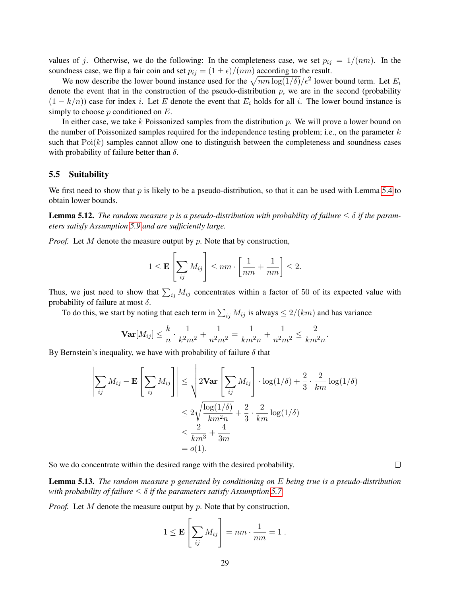values of j. Otherwise, we do the following: In the completeness case, we set  $p_{ij} = 1/(nm)$ . In the soundness case, we flip a fair coin and set  $p_{ij} = (1 \pm \epsilon)/(nm)$  according to the result.

We now describe the lower bound instance used for the  $\sqrt{nm \log(1/\delta)}/\epsilon^2$  lower bound term. Let  $E_i$ denote the event that in the construction of the pseudo-distribution  $p$ , we are in the second (probability  $(1 - k/n)$  case for index i. Let E denote the event that  $E_i$  holds for all i. The lower bound instance is simply to choose  $p$  conditioned on  $E$ .

In either case, we take k Poissonized samples from the distribution  $p$ . We will prove a lower bound on the number of Poissonized samples required for the independence testing problem; i.e., on the parameter  $k$ such that  $Poi(k)$  samples cannot allow one to distinguish between the completeness and soundness cases with probability of failure better than  $\delta$ .

#### <span id="page-29-0"></span>5.5 Suitability

We first need to show that  $p$  is likely to be a pseudo-distribution, so that it can be used with Lemma [5.4](#page-26-0) to obtain lower bounds.

**Lemma 5.12.** *The random measure* p *is a pseudo-distribution with probability of failure*  $\leq \delta$  *if the parameters satisfy Assumption [5.9](#page-28-3) and are sufficiently large.*

*Proof.* Let M denote the measure output by p. Note that by construction,

$$
1 \le \mathbf{E}\left[\sum_{ij} M_{ij}\right] \le nm \cdot \left[\frac{1}{nm} + \frac{1}{nm}\right] \le 2.
$$

Thus, we just need to show that  $\sum_{ij} M_{ij}$  concentrates within a factor of 50 of its expected value with probability of failure at most  $\delta$ .

To do this, we start by noting that each term in  $\sum_{ij} M_{ij}$  is always  $\leq 2/(km)$  and has variance

$$
\mathbf{Var}[M_{ij}] \leq \frac{k}{n} \cdot \frac{1}{k^2 m^2} + \frac{1}{n^2 m^2} = \frac{1}{km^2 n} + \frac{1}{n^2 m^2} \leq \frac{2}{km^2 n}.
$$

By Bernstein's inequality, we have with probability of failure  $\delta$  that

$$
\left| \sum_{ij} M_{ij} - \mathbf{E} \left[ \sum_{ij} M_{ij} \right] \right| \leq \sqrt{2 \text{Var} \left[ \sum_{ij} M_{ij} \right] \cdot \log(1/\delta) + \frac{2}{3} \cdot \frac{2}{km} \log(1/\delta)}
$$
  

$$
\leq 2 \sqrt{\frac{\log(1/\delta)}{km^2 n}} + \frac{2}{3} \cdot \frac{2}{km} \log(1/\delta)
$$
  

$$
\leq \frac{2}{km^3} + \frac{4}{3m}
$$
  
= o(1).

So we do concentrate within the desired range with the desired probability.

Lemma 5.13. *The random measure* p *generated by conditioning on* E *being true is a pseudo-distribution with probability of failure*  $\leq \delta$  *if the parameters satisfy Assumption [5.7.](#page-28-2)* 

*Proof.* Let M denote the measure output by p. Note that by construction,

$$
1 \le \mathbf{E}\left[\sum_{ij} M_{ij}\right] = nm \cdot \frac{1}{nm} = 1 \ .
$$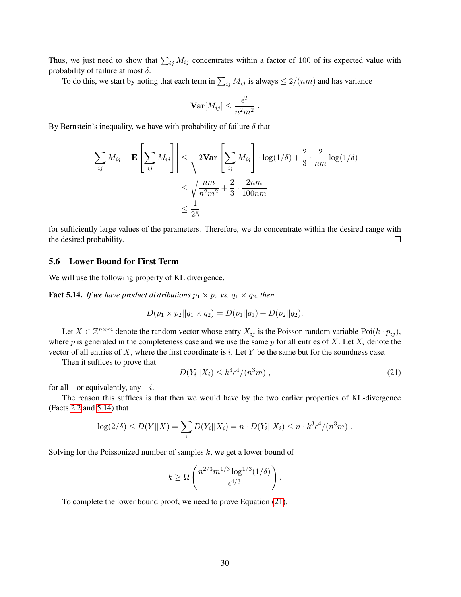Thus, we just need to show that  $\sum_{ij} M_{ij}$  concentrates within a factor of 100 of its expected value with probability of failure at most  $\delta$ .

To do this, we start by noting that each term in  $\sum_{ij} M_{ij}$  is always  $\leq 2/(nm)$  and has variance

$$
\mathbf{Var}[M_{ij}] \leq \frac{\epsilon^2}{n^2 m^2} .
$$

By Bernstein's inequality, we have with probability of failure  $\delta$  that

$$
\left| \sum_{ij} M_{ij} - \mathbf{E} \left[ \sum_{ij} M_{ij} \right] \right| \leq \sqrt{2 \mathbf{Var} \left[ \sum_{ij} M_{ij} \right] \cdot \log(1/\delta)} + \frac{2}{3} \cdot \frac{2}{nm} \log(1/\delta)
$$

$$
\leq \sqrt{\frac{nm}{n^2 m^2}} + \frac{2}{3} \cdot \frac{2nm}{100nm}
$$

$$
\leq \frac{1}{25}
$$

for sufficiently large values of the parameters. Therefore, we do concentrate within the desired range with the desired probability.  $\Box$ 

### <span id="page-30-0"></span>5.6 Lower Bound for First Term

<span id="page-30-1"></span>We will use the following property of KL divergence.

**Fact 5.14.** *If we have product distributions*  $p_1 \times p_2$  *vs.*  $q_1 \times q_2$ *, then* 

$$
D(p_1 \times p_2||q_1 \times q_2) = D(p_1||q_1) + D(p_2||q_2).
$$

Let  $X \in \mathbb{Z}^{n \times m}$  denote the random vector whose entry  $X_{ij}$  is the Poisson random variable Poi $(k \cdot p_{ij})$ , where p is generated in the completeness case and we use the same p for all entries of X. Let  $X_i$  denote the vector of all entries of  $X$ , where the first coordinate is i. Let  $Y$  be the same but for the soundness case.

Then it suffices to prove that

<span id="page-30-2"></span>
$$
D(Yi||Xi) \le k3\epsilon4/(n3m),
$$
\n(21)

for all—or equivalently, any—*i*.

The reason this suffices is that then we would have by the two earlier properties of KL-divergence (Facts [2.2](#page-7-0) and [5.14\)](#page-30-1) that

$$
\log(2/\delta) \le D(Y||X) = \sum_{i} D(Y_i||X_i) = n \cdot D(Y_i||X_i) \le n \cdot k^3 \epsilon^4/(n^3 m) .
$$

Solving for the Poissonized number of samples  $k$ , we get a lower bound of

$$
k \geq \Omega\left(\frac{n^{2/3}m^{1/3}\log^{1/3}(1/\delta)}{\epsilon^{4/3}}\right).
$$

To complete the lower bound proof, we need to prove Equation [\(21\)](#page-30-2).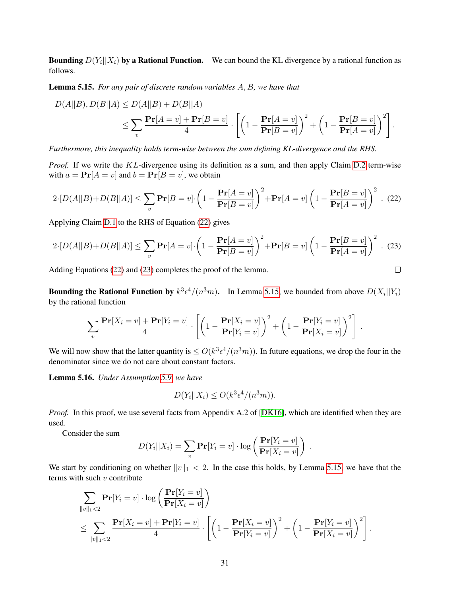**Bounding**  $D(Y_i||X_i)$  by a Rational Function. We can bound the KL divergence by a rational function as follows.

<span id="page-31-2"></span>Lemma 5.15. *For any pair of discrete random variables* A, B*, we have that*

$$
D(A||B), D(B||A) \le D(A||B) + D(B||A)
$$
  
\n
$$
\le \sum_{v} \frac{\Pr[A = v] + \Pr[B = v]}{4} \cdot \left[ \left( 1 - \frac{\Pr[A = v]}{\Pr[B = v]} \right)^2 + \left( 1 - \frac{\Pr[B = v]}{\Pr[A = v]} \right)^2 \right].
$$

*Furthermore, this inequality holds term-wise between the sum defining KL-divergence and the RHS.*

*Proof.* If we write the KL-divergence using its definition as a sum, and then apply Claim [D.2](#page--1-0) term-wise with  $a = Pr[A = v]$  and  $b = Pr[B = v]$ , we obtain

<span id="page-31-0"></span>
$$
2\cdot [D(A||B) + D(B||A)] \le \sum_{v} \mathbf{Pr}[B=v] \cdot \left(1 - \frac{\mathbf{Pr}[A=v]}{\mathbf{Pr}[B=v]} \right)^2 + \mathbf{Pr}[A=v] \left(1 - \frac{\mathbf{Pr}[B=v]}{\mathbf{Pr}[A=v]} \right)^2. \tag{22}
$$

Applying Claim [D.1](#page--1-1) to the RHS of Equation [\(22\)](#page-31-0) gives

<span id="page-31-1"></span>
$$
2\cdot [D(A||B) + D(B||A)] \le \sum_{v} \mathbf{Pr}[A=v] \cdot \left(1 - \frac{\mathbf{Pr}[A=v]}{\mathbf{Pr}[B=v]} \right)^2 + \mathbf{Pr}[B=v] \left(1 - \frac{\mathbf{Pr}[B=v]}{\mathbf{Pr}[A=v]} \right)^2. \tag{23}
$$

Adding Equations [\(22\)](#page-31-0) and [\(23\)](#page-31-1) completes the proof of the lemma.

**Bounding the Rational Function by**  $k^3 \epsilon^4/(n^3 m)$ . In Lemma [5.15,](#page-31-2) we bounded from above  $D(X_i||Y_i)$ by the rational function

$$
\sum_{v} \frac{\mathbf{Pr}[X_i = v] + \mathbf{Pr}[Y_i = v]}{4} \cdot \left[ \left( 1 - \frac{\mathbf{Pr}[X_i = v]}{\mathbf{Pr}[Y_i = v]} \right)^2 + \left( 1 - \frac{\mathbf{Pr}[Y_i = v]}{\mathbf{Pr}[X_i = v]} \right)^2 \right]
$$

.

 $\hfill \square$ 

.

We will now show that the latter quantity is  $\leq O(k^3 \epsilon^4/(n^3 m))$ . In future equations, we drop the four in the denominator since we do not care about constant factors.

Lemma 5.16. *Under Assumption [5.9,](#page-28-3) we have*

$$
D(Y_i||X_i) \le O(k^3 \epsilon^4/(n^3 m)).
$$

*Proof.* In this proof, we use several facts from Appendix A.2 of [\[DK16\]](#page-35-5), which are identified when they are used.

Consider the sum

$$
D(Y_i||X_i) = \sum_{v} \mathbf{Pr}[Y_i = v] \cdot \log \left( \frac{\mathbf{Pr}[Y_i = v]}{\mathbf{Pr}[X_i = v]} \right)
$$

We start by conditioning on whether  $||v||_1 < 2$ . In the case this holds, by Lemma [5.15,](#page-31-2) we have that the terms with such  $v$  contribute

$$
\sum_{\|v\|_1 < 2} \mathbf{Pr}[Y_i = v] \cdot \log \left( \frac{\mathbf{Pr}[Y_i = v]}{\mathbf{Pr}[X_i = v]} \right)
$$
\n
$$
\leq \sum_{\|v\|_1 < 2} \frac{\mathbf{Pr}[X_i = v] + \mathbf{Pr}[Y_i = v]}{4} \cdot \left[ \left( 1 - \frac{\mathbf{Pr}[X_i = v]}{\mathbf{Pr}[Y_i = v]} \right)^2 + \left( 1 - \frac{\mathbf{Pr}[Y_i = v]}{\mathbf{Pr}[X_i = v]} \right)^2 \right].
$$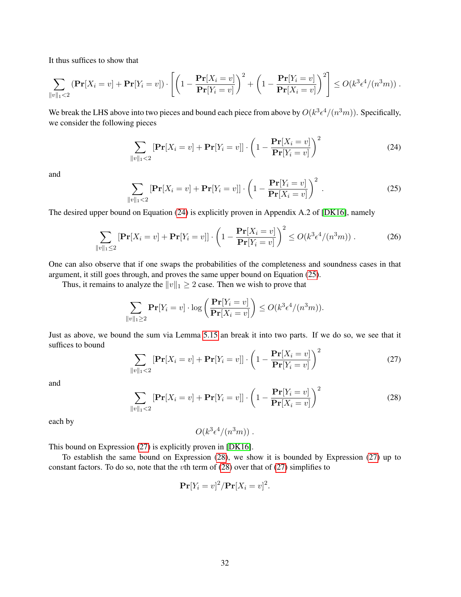It thus suffices to show that

$$
\sum_{\|v\|_1<2} \left(\mathbf{Pr}[X_i=v] + \mathbf{Pr}[Y_i=v]\right) \cdot \left[\left(1-\frac{\mathbf{Pr}[X_i=v]}{\mathbf{Pr}[Y_i=v]}\right)^2 + \left(1-\frac{\mathbf{Pr}[Y_i=v]}{\mathbf{Pr}[X_i=v]}\right)^2\right] \leq O(k^3\epsilon^4/(n^3m))\;.
$$

We break the LHS above into two pieces and bound each piece from above by  $O(k^3 \epsilon^4/(n^3 m))$ . Specifically, we consider the following pieces

<span id="page-32-0"></span>
$$
\sum_{\|v\|_1 < 2} \left[ \mathbf{Pr}[X_i = v] + \mathbf{Pr}[Y_i = v] \right] \cdot \left( 1 - \frac{\mathbf{Pr}[X_i = v]}{\mathbf{Pr}[Y_i = v]} \right)^2 \tag{24}
$$

and

<span id="page-32-1"></span>
$$
\sum_{\|v\|_1 < 2} \left[ \mathbf{Pr}[X_i = v] + \mathbf{Pr}[Y_i = v] \right] \cdot \left( 1 - \frac{\mathbf{Pr}[Y_i = v]}{\mathbf{Pr}[X_i = v]} \right)^2 \tag{25}
$$

The desired upper bound on Equation [\(24\)](#page-32-0) is explicitly proven in Appendix A.2 of [\[DK16\]](#page-35-5), namely

$$
\sum_{\|v\|_1 \le 2} \left[ \mathbf{Pr}[X_i = v] + \mathbf{Pr}[Y_i = v] \right] \cdot \left( 1 - \frac{\mathbf{Pr}[X_i = v]}{\mathbf{Pr}[Y_i = v]} \right)^2 \le O(k^3 \epsilon^4 / (n^3 m)). \tag{26}
$$

One can also observe that if one swaps the probabilities of the completeness and soundness cases in that argument, it still goes through, and proves the same upper bound on Equation [\(25\)](#page-32-1).

Thus, it remains to analyze the  $||v||_1 \geq 2$  case. Then we wish to prove that

$$
\sum_{\|v\|_1\geq 2} \mathbf{Pr}[Y_i = v] \cdot \log \left( \frac{\mathbf{Pr}[Y_i = v]}{\mathbf{Pr}[X_i = v]} \right) \leq O(k^3 \epsilon^4/(n^3 m)).
$$

Just as above, we bound the sum via Lemma [5.15](#page-31-2) an break it into two parts. If we do so, we see that it suffices to bound

<span id="page-32-2"></span>
$$
\sum_{\|v\|_1 < 2} \left[ \mathbf{Pr}[X_i = v] + \mathbf{Pr}[Y_i = v] \right] \cdot \left( 1 - \frac{\mathbf{Pr}[X_i = v]}{\mathbf{Pr}[Y_i = v]} \right)^2 \tag{27}
$$

and

<span id="page-32-3"></span>
$$
\sum_{\|v\|_1 < 2} \left[ \mathbf{Pr}[X_i = v] + \mathbf{Pr}[Y_i = v] \right] \cdot \left( 1 - \frac{\mathbf{Pr}[Y_i = v]}{\mathbf{Pr}[X_i = v]} \right)^2 \tag{28}
$$

each by

$$
O(k^3\epsilon^4/(n^3m))
$$
.

This bound on Expression [\(27\)](#page-32-2) is explicitly proven in [\[DK16\]](#page-35-5).

To establish the same bound on Expression [\(28\)](#page-32-3), we show it is bounded by Expression [\(27\)](#page-32-2) up to constant factors. To do so, note that the *v*th term of  $(28)$  over that of  $(27)$  simplifies to

$$
\mathbf{Pr}[Y_i = v]^2 / \mathbf{Pr}[X_i = v]^2.
$$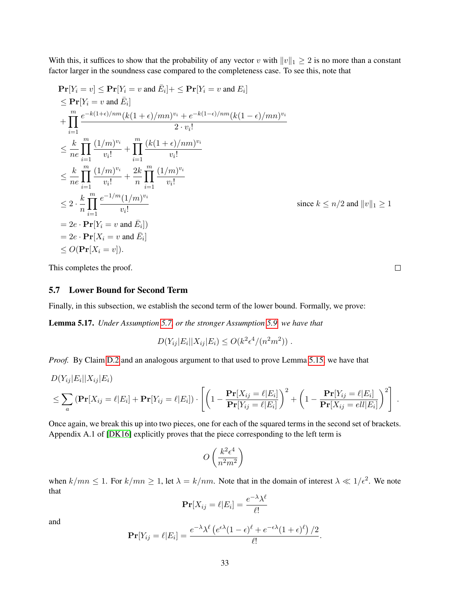With this, it suffices to show that the probability of any vector v with  $||v||_1 \geq 2$  is no more than a constant factor larger in the soundness case compared to the completeness case. To see this, note that

$$
\begin{aligned}\n&\Pr[Y_i = v] \le \Pr[Y_i = v \text{ and } \bar{E}_i] + \le \Pr[Y_i = v \text{ and } E_i] \\
&\le \Pr[Y_i = v \text{ and } \bar{E}_i] \\
&+ \prod_{i=1}^m \frac{e^{-k(1+\epsilon)/nm}(k(1+\epsilon)/mn)^{v_i} + e^{-k(1-\epsilon)/nm}(k(1-\epsilon)/mn)^{v_i}}{2 \cdot v_i!} \\
&\le \frac{k}{ne} \prod_{i=1}^m \frac{(1/m)^{v_i}}{v_i!} + \prod_{i=1}^m \frac{(k(1+\epsilon)/nm)^{v_i}}{v_i!} \\
&\le \frac{k}{ne} \prod_{i=1}^m \frac{(1/m)^{v_i}}{v_i!} + \frac{2k}{n} \prod_{i=1}^m \frac{(1/m)^{v_i}}{v_i!} \\
&\le 2 \cdot \frac{k}{n} \prod_{i=1}^m \frac{e^{-1/m}(1/m)^{v_i}}{v_i!} \\
&= 2e \cdot \Pr[Y_i = v \text{ and } \bar{E}_i] \\
&= 2e \cdot \Pr[X_i = v \text{ and } \bar{E}_i] \\
&\le O(\Pr[X_i = v]).\n\end{aligned}
$$
\nSince  $k \le n/2$  and  $||v||_1 \ge 1$ 

This completes the proof.

## <span id="page-33-0"></span>5.7 Lower Bound for Second Term

Finally, in this subsection, we establish the second term of the lower bound. Formally, we prove:

Lemma 5.17. *Under Assumption [5.7,](#page-28-2) or the stronger Assumption [5.9,](#page-28-3) we have that*

 $D(Y_{ij}|E_i||X_{ij}|E_i) \leq O(k^2\epsilon^4/(n^2m^2))$ .

*Proof.* By Claim [D.2](#page--1-0) and an analogous argument to that used to prove Lemma [5.15,](#page-31-2) we have that

$$
D(Y_{ij}|E_i||X_{ij}|E_i)
$$
  
\n
$$
\leq \sum_a (\mathbf{Pr}[X_{ij} = \ell | E_i] + \mathbf{Pr}[Y_{ij} = \ell | E_i]) \cdot \left[ \left( 1 - \frac{\mathbf{Pr}[X_{ij} = \ell | E_i]}{\mathbf{Pr}[Y_{ij} = \ell | E_i]} \right)^2 + \left( 1 - \frac{\mathbf{Pr}[Y_{ij} = \ell | E_i]}{\mathbf{Pr}[X_{ij} = \ell | E_i]} \right)^2 \right].
$$

Once again, we break this up into two pieces, one for each of the squared terms in the second set of brackets. Appendix A.1 of [\[DK16\]](#page-35-5) explicitly proves that the piece corresponding to the left term is

$$
O\left(\frac{k^2\epsilon^4}{n^2m^2}\right)
$$

when  $k/mn \leq 1$ . For  $k/mn \geq 1$ , let  $\lambda = k/nm$ . Note that in the domain of interest  $\lambda \ll 1/\epsilon^2$ . We note that

$$
\mathbf{Pr}[X_{ij} = \ell | E_i] = \frac{e^{-\lambda} \lambda^{\ell}}{\ell!}
$$

and

$$
\mathbf{Pr}[Y_{ij} = \ell | E_i] = \frac{e^{-\lambda} \lambda^{\ell} \left( e^{\epsilon \lambda} (1 - \epsilon)^{\ell} + e^{-\epsilon \lambda} (1 + \epsilon)^{\ell} \right) / 2}{\ell!}.
$$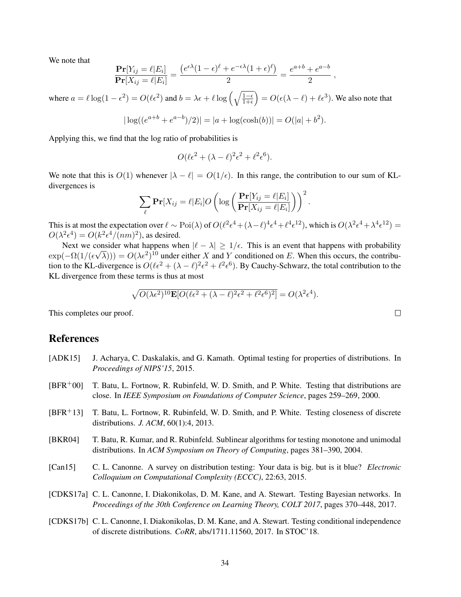We note that

$$
\frac{\mathbf{Pr}[Y_{ij} = \ell | E_i]}{\mathbf{Pr}[X_{ij} = \ell | E_i]} = \frac{\left(e^{\epsilon \lambda} (1 - \epsilon)^{\ell} + e^{-\epsilon \lambda} (1 + \epsilon)^{\ell}\right)}{2} = \frac{e^{a+b} + e^{a-b}}{2},
$$

where  $a = \ell \log(1 - \epsilon^2) = O(\ell \epsilon^2)$  and  $b = \lambda \epsilon + \ell \log \left( \sqrt{\frac{1-\epsilon}{1+\epsilon}} \right) = O(\epsilon(\lambda - \ell) + \ell \epsilon^3)$ . We also note that

$$
|\log((e^{a+b} + e^{a-b})/2)| = |a + \log(\cosh(b))| = O(|a| + b^2).
$$

Applying this, we find that the log ratio of probabilities is

$$
O(\ell\epsilon^2 + (\lambda - \ell)^2 \epsilon^2 + \ell^2 \epsilon^6).
$$

We note that this is  $O(1)$  whenever  $|\lambda - \ell| = O(1/\epsilon)$ . In this range, the contribution to our sum of KLdivergences is

$$
\sum_{\ell} \mathbf{Pr}[X_{ij} = \ell | E_i] O\left(\log\left(\frac{\mathbf{Pr}[Y_{ij} = \ell | E_i]}{\mathbf{Pr}[X_{ij} = \ell | E_i]}\right)\right)^2.
$$

This is at most the expectation over  $\ell \sim \text{Poi}(\lambda)$  of  $O(\ell^2 \epsilon^4 + (\lambda - \ell)^4 \epsilon^4 + \ell^4 \epsilon^{12})$ , which is  $O(\lambda^2 \epsilon^4 + \lambda^4 \epsilon^{12}) =$  $O(\lambda^2 \epsilon^4) = O(k^2 \epsilon^4/(nm)^2)$ , as desired.

Next we consider what happens when  $|\ell - \lambda| \ge 1/\epsilon$ . This is an event that happens with probability  $\exp(-\Omega(1/(\epsilon\sqrt{\lambda}))) = O(\lambda \epsilon^2)^{10}$  under either X and Y conditioned on E. When this occurs, the contribution to the KL-divergence is  $O(\ell \epsilon^2 + (\lambda - \ell)^2 \epsilon^2 + \ell^2 \epsilon^6)$ . By Cauchy-Schwarz, the total contribution to the KL divergence from these terms is thus at most

$$
\sqrt{O(\lambda \epsilon^2)^{10} \mathbf{E}[O(\ell \epsilon^2 + (\lambda - \ell)^2 \epsilon^2 + \ell^2 \epsilon^6)^2]} = O(\lambda^2 \epsilon^4).
$$

This completes our proof.

## References

- <span id="page-34-3"></span>[ADK15] J. Acharya, C. Daskalakis, and G. Kamath. Optimal testing for properties of distributions. In *Proceedings of NIPS'15*, 2015.
- <span id="page-34-0"></span>[BFR+00] T. Batu, L. Fortnow, R. Rubinfeld, W. D. Smith, and P. White. Testing that distributions are close. In *IEEE Symposium on Foundations of Computer Science*, pages 259–269, 2000.
- <span id="page-34-1"></span>[BFR+13] T. Batu, L. Fortnow, R. Rubinfeld, W. D. Smith, and P. White. Testing closeness of discrete distributions. *J. ACM*, 60(1):4, 2013.
- <span id="page-34-5"></span>[BKR04] T. Batu, R. Kumar, and R. Rubinfeld. Sublinear algorithms for testing monotone and unimodal distributions. In *ACM Symposium on Theory of Computing*, pages 381–390, 2004.
- <span id="page-34-2"></span>[Can15] C. L. Canonne. A survey on distribution testing: Your data is big. but is it blue? *Electronic Colloquium on Computational Complexity (ECCC)*, 22:63, 2015.
- <span id="page-34-6"></span>[CDKS17a] C. L. Canonne, I. Diakonikolas, D. M. Kane, and A. Stewart. Testing Bayesian networks. In *Proceedings of the 30th Conference on Learning Theory, COLT 2017*, pages 370–448, 2017.
- <span id="page-34-4"></span>[CDKS17b] C. L. Canonne, I. Diakonikolas, D. M. Kane, and A. Stewart. Testing conditional independence of discrete distributions. *CoRR*, abs/1711.11560, 2017. In STOC'18.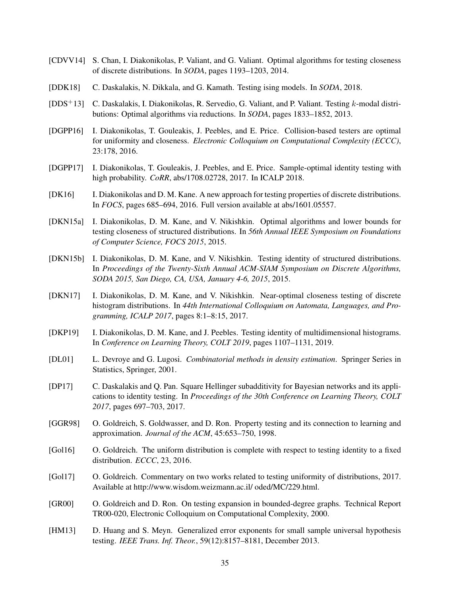- <span id="page-35-2"></span>[CDVV14] S. Chan, I. Diakonikolas, P. Valiant, and G. Valiant. Optimal algorithms for testing closeness of discrete distributions. In *SODA*, pages 1193–1203, 2014.
- <span id="page-35-9"></span>[DDK18] C. Daskalakis, N. Dikkala, and G. Kamath. Testing ising models. In *SODA*, 2018.
- <span id="page-35-7"></span>[DDS+13] C. Daskalakis, I. Diakonikolas, R. Servedio, G. Valiant, and P. Valiant. Testing k-modal distributions: Optimal algorithms via reductions. In *SODA*, pages 1833–1852, 2013.
- <span id="page-35-6"></span>[DGPP16] I. Diakonikolas, T. Gouleakis, J. Peebles, and E. Price. Collision-based testers are optimal for uniformity and closeness. *Electronic Colloquium on Computational Complexity (ECCC)*, 23:178, 2016.
- <span id="page-35-16"></span>[DGPP17] I. Diakonikolas, T. Gouleakis, J. Peebles, and E. Price. Sample-optimal identity testing with high probability. *CoRR*, abs/1708.02728, 2017. In ICALP 2018.
- <span id="page-35-5"></span>[DK16] I. Diakonikolas and D. M. Kane. A new approach for testing properties of discrete distributions. In *FOCS*, pages 685–694, 2016. Full version available at abs/1601.05557.
- <span id="page-35-4"></span>[DKN15a] I. Diakonikolas, D. M. Kane, and V. Nikishkin. Optimal algorithms and lower bounds for testing closeness of structured distributions. In *56th Annual IEEE Symposium on Foundations of Computer Science, FOCS 2015*, 2015.
- <span id="page-35-3"></span>[DKN15b] I. Diakonikolas, D. M. Kane, and V. Nikishkin. Testing identity of structured distributions. In *Proceedings of the Twenty-Sixth Annual ACM-SIAM Symposium on Discrete Algorithms, SODA 2015, San Diego, CA, USA, January 4-6, 2015*, 2015.
- <span id="page-35-10"></span>[DKN17] I. Diakonikolas, D. M. Kane, and V. Nikishkin. Near-optimal closeness testing of discrete histogram distributions. In *44th International Colloquium on Automata, Languages, and Programming, ICALP 2017*, pages 8:1–8:15, 2017.
- <span id="page-35-11"></span>[DKP19] I. Diakonikolas, D. M. Kane, and J. Peebles. Testing identity of multidimensional histograms. In *Conference on Learning Theory, COLT 2019*, pages 1107–1131, 2019.
- <span id="page-35-13"></span>[DL01] L. Devroye and G. Lugosi. *Combinatorial methods in density estimation*. Springer Series in Statistics, Springer, 2001.
- <span id="page-35-8"></span>[DP17] C. Daskalakis and Q. Pan. Square Hellinger subadditivity for Bayesian networks and its applications to identity testing. In *Proceedings of the 30th Conference on Learning Theory, COLT 2017*, pages 697–703, 2017.
- <span id="page-35-1"></span>[GGR98] O. Goldreich, S. Goldwasser, and D. Ron. Property testing and its connection to learning and approximation. *Journal of the ACM*, 45:653–750, 1998.
- <span id="page-35-15"></span>[Gol16] O. Goldreich. The uniform distribution is complete with respect to testing identity to a fixed distribution. *ECCC*, 23, 2016.
- <span id="page-35-12"></span>[Gol17] O. Goldreich. Commentary on two works related to testing uniformity of distributions, 2017. Available at http://www.wisdom.weizmann.ac.il/ oded/MC/229.html.
- <span id="page-35-0"></span>[GR00] O. Goldreich and D. Ron. On testing expansion in bounded-degree graphs. Technical Report TR00-020, Electronic Colloquium on Computational Complexity, 2000.
- <span id="page-35-14"></span>[HM13] D. Huang and S. Meyn. Generalized error exponents for small sample universal hypothesis testing. *IEEE Trans. Inf. Theor.*, 59(12):8157–8181, December 2013.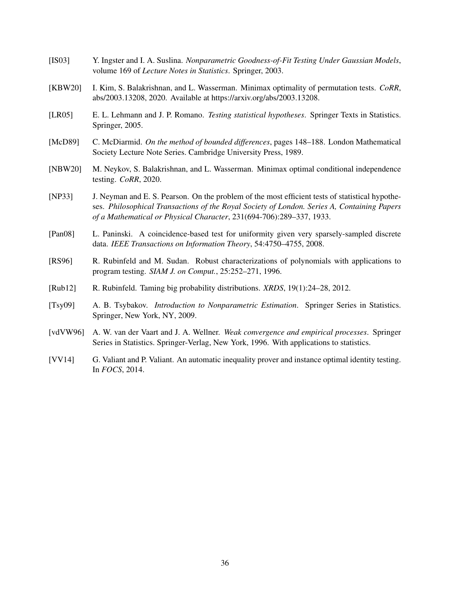- <span id="page-36-4"></span>[IS03] Y. Ingster and I. A. Suslina. *Nonparametric Goodness-of-Fit Testing Under Gaussian Models*, volume 169 of *Lecture Notes in Statistics*. Springer, 2003.
- <span id="page-36-9"></span>[KBW20] I. Kim, S. Balakrishnan, and L. Wasserman. Minimax optimality of permutation tests. *CoRR*, abs/2003.13208, 2020. Available at https://arxiv.org/abs/2003.13208.
- <span id="page-36-2"></span>[LR05] E. L. Lehmann and J. P. Romano. *Testing statistical hypotheses*. Springer Texts in Statistics. Springer, 2005.
- <span id="page-36-10"></span>[McD89] C. McDiarmid. *On the method of bounded differences*, pages 148–188. London Mathematical Society Lecture Note Series. Cambridge University Press, 1989.
- <span id="page-36-7"></span>[NBW20] M. Neykov, S. Balakrishnan, and L. Wasserman. Minimax optimal conditional independence testing. *CoRR*, 2020.
- <span id="page-36-1"></span>[NP33] J. Neyman and E. S. Pearson. On the problem of the most efficient tests of statistical hypotheses. *Philosophical Transactions of the Royal Society of London. Series A, Containing Papers of a Mathematical or Physical Character*, 231(694-706):289–337, 1933.
- <span id="page-36-5"></span>[Pan08] L. Paninski. A coincidence-based test for uniformity given very sparsely-sampled discrete data. *IEEE Transactions on Information Theory*, 54:4750–4755, 2008.
- <span id="page-36-0"></span>[RS96] R. Rubinfeld and M. Sudan. Robust characterizations of polynomials with applications to program testing. *SIAM J. on Comput.*, 25:252–271, 1996.
- <span id="page-36-3"></span>[Rub12] R. Rubinfeld. Taming big probability distributions. *XRDS*, 19(1):24–28, 2012.
- <span id="page-36-11"></span>[Tsy09] A. B. Tsybakov. *Introduction to Nonparametric Estimation*. Springer Series in Statistics. Springer, New York, NY, 2009.
- <span id="page-36-8"></span>[vdVW96] A. W. van der Vaart and J. A. Wellner. *Weak convergence and empirical processes*. Springer Series in Statistics. Springer-Verlag, New York, 1996. With applications to statistics.
- <span id="page-36-6"></span>[VV14] G. Valiant and P. Valiant. An automatic inequality prover and instance optimal identity testing. In *FOCS*, 2014.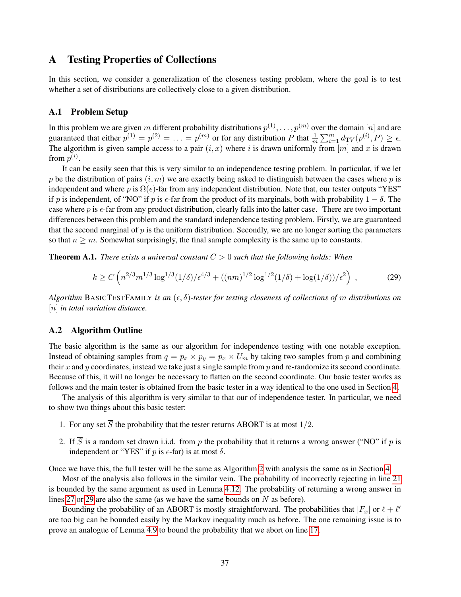## <span id="page-37-0"></span>A Testing Properties of Collections

In this section, we consider a generalization of the closeness testing problem, where the goal is to test whether a set of distributions are collectively close to a given distribution.

## A.1 Problem Setup

In this problem we are given m different probability distributions  $p^{(1)}, \ldots, p^{(m)}$  over the domain  $[n]$  and are guaranteed that either  $p^{(1)} = p^{(2)} = \ldots = p^{(m)}$  or for any distribution P that  $\frac{1}{m} \sum_{i=1}^{m} d_{TV}(p^{(i)}, P) \ge \epsilon$ . The algorithm is given sample access to a pair  $(i, x)$  where i is drawn uniformly from [m] and x is drawn from  $p^{(i)}$ .

It can be easily seen that this is very similar to an independence testing problem. In particular, if we let p be the distribution of pairs  $(i, m)$  we are exactly being asked to distinguish between the cases where p is independent and where p is  $\Omega(\epsilon)$ -far from any independent distribution. Note that, our tester outputs "YES" if p is independent, of "NO" if p is  $\epsilon$ -far from the product of its marginals, both with probability  $1 - \delta$ . The case where p is  $\epsilon$ -far from any product distribution, clearly falls into the latter case. There are two important differences between this problem and the standard independence testing problem. Firstly, we are guaranteed that the second marginal of  $p$  is the uniform distribution. Secondly, we are no longer sorting the parameters so that  $n \geq m$ . Somewhat surprisingly, the final sample complexity is the same up to constants.

<span id="page-37-2"></span>**Theorem A.1.** *There exists a universal constant*  $C > 0$  *such that the following holds: When* 

$$
k \ge C \left( n^{2/3} m^{1/3} \log^{1/3} (1/\delta) / \epsilon^{4/3} + ((nm)^{1/2} \log^{1/2} (1/\delta) + \log(1/\delta)) / \epsilon^2 \right) ,\tag{29}
$$

*Algorithm* BASICTESTFAMILY *is an*  $(\epsilon, \delta)$ -tester for testing closeness of collections of m distributions on [n] *in total variation distance.*

#### A.2 Algorithm Outline

The basic algorithm is the same as our algorithm for independence testing with one notable exception. Instead of obtaining samples from  $q = p_x \times p_y = p_x \times U_m$  by taking two samples from p and combining their x and y coordinates, instead we take just a single sample from  $p$  and re-randomize its second coordinate. Because of this, it will no longer be necessary to flatten on the second coordinate. Our basic tester works as follows and the main tester is obtained from the basic tester in a way identical to the one used in Section [4.](#page-12-0)

<span id="page-37-1"></span>The analysis of this algorithm is very similar to that our of independence tester. In particular, we need to show two things about this basic tester:

- 1. For any set  $\overline{S}$  the probability that the tester returns ABORT is at most 1/2.
- 2. If  $\overline{S}$  is a random set drawn i.i.d. from p the probability that it returns a wrong answer ("NO" if p is independent or "YES" if  $p$  is  $\epsilon$ -far) is at most  $\delta$ .

Once we have this, the full tester will be the same as Algorithm [2](#page-12-1) with analysis the same as in Section [4.](#page-12-0)

Most of the analysis also follows in the similar vein. The probability of incorrectly rejecting in line [21](#page-38-0) is bounded by the same argument as used in Lemma [4.12.](#page-21-0) The probability of returning a wrong answer in lines [27](#page-38-1) or [29](#page-38-2) are also the same (as we have the same bounds on N as before).

Bounding the probability of an ABORT is mostly straightforward. The probabilities that  $|F_x|$  or  $\ell + \ell'$ are too big can be bounded easily by the Markov inequality much as before. The one remaining issue is to prove an analogue of Lemma [4.9](#page-18-4) to bound the probability that we abort on line [17.](#page-38-3)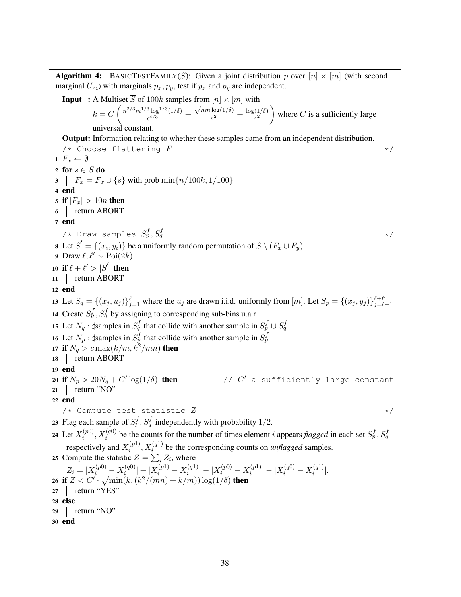**Algorithm 4:** BASICTESTFAMILY( $\overline{S}$ ): Given a joint distribution p over [n]  $\times$  [m] (with second marginal  $U_m$ ) with marginals  $p_x, p_y$ , test if  $p_x$  and  $p_y$  are independent.

<span id="page-38-3"></span><span id="page-38-2"></span><span id="page-38-1"></span><span id="page-38-0"></span>**Input** : A Multiset  $\overline{S}$  of 100k samples from  $[n] \times [m]$  with  $k = C \left( \frac{n^{2/3} m^{1/3} \log^{1/3} (1/\delta)}{24/3} \right)$  $\frac{\log(1/\delta)}{\epsilon^{4/3}} +$  $\frac{1}{\sqrt{nm \log(1/\delta)}}$  $\frac{\log(1/\delta)}{\epsilon^2} + \frac{\log(1/\delta)}{\epsilon^2}$  $\epsilon^2$ where C is a sufficiently large universal constant. Output: Information relating to whether these samples came from an independent distribution.  $\forall$  \* Choose flattening  $F$  \*/ 1  $F_x \leftarrow \emptyset$ 2 for  $s \in \overline{S}$  do 3  $\Big| F_x = F_x \cup \{s\}$  with prob  $\min\{n/100k, 1/100\}$ 4 end 5 if  $|F_x| > 10n$  then 6 return ABORT 7 end /\* Draw samples  $S_p^f,S_q^f$  $q \leftrightarrow /$ 8 Let  $\overline{S}' = \{(x_i, y_i)\}\$  be a uniformly random permutation of  $\overline{S} \setminus (F_x \cup F_y)$ 9 Draw  $\ell, \ell' \sim \text{Poi}(2k)$ . 10 if  $\ell + \ell' > |\overline{S}'|$  then 11 | return ABORT 12 end 13 Let  $S_q = \{(x_j, u_j)\}_{j=1}^{\ell}$  where the  $u_j$  are drawn i.i.d. uniformly from  $[m]$ . Let  $S_p = \{(x_j, y_j)\}_{j=1}^{\ell+\ell'}$  $j=\ell+1$ 14 Create  $S_p^f$ ,  $S_q^f$  by assigning to corresponding sub-bins u.a.r 15 Let  $N_q$ :  $\sharp$ samples in  $S_q^f$  that collide with another sample in  $S_p^f \cup S_q^f$ . 16 Let  $N_p$ :  $\sharp$ samples in  $S_p^f$  that collide with another sample in  $S_p^f$ 17 if  $N_q > c \max(k/m, k^2/mn)$  then 18 | return ABORT 19 end 20 if  $N_p > 20N_q + C' \log(1/\delta)$  then // C  $\sqrt{C}$  a sufficiently large constant  $21$  return "NO" 22 end  $/*$  Compute test statistic  $Z$  \*/ 23 Flag each sample of  $S_p^f$ ,  $S_q^f$  independently with probability 1/2. 24 Let  $X_i^{(p0)}$  $i_p^{(p0)}, X_i^{(q0)}$  be the counts for the number of times element *i* appears *flagged* in each set  $S_p^f, S_q^f$ respectively and  $X_i^{(p_1)}$  $i_{i}^{(p1)}, X_{i}^{(q1)}$  be the corresponding counts on *unflagged* samples. 25 Compute the statistic  $Z = \sum_i Z_i$ , where  $Z_i = |X_i^{(p0)} - X_i^{(q0)}|$  $\left| \frac{q(q0)}{i} \right| + \left| X_i^{(p1)} - X_i^{(q1)} \right|$  $\left| \frac{1}{i}^{(q1)} \right| - \left| X_i^{(p0)} - X_i^{(p1)} \right|$  $\left| \binom{p1}{i} \right| - \left| X_i^{(q0)} - X_i^{(q1)} \right|$  $\binom{(q_1)}{i}$ . 26 if  $Z < C' \cdot \sqrt{\min(k, (k^2/(mn) + k/m)) \log(1/\delta)}$  then 27 | return "YES" 28 else 29 return "NO" 30 end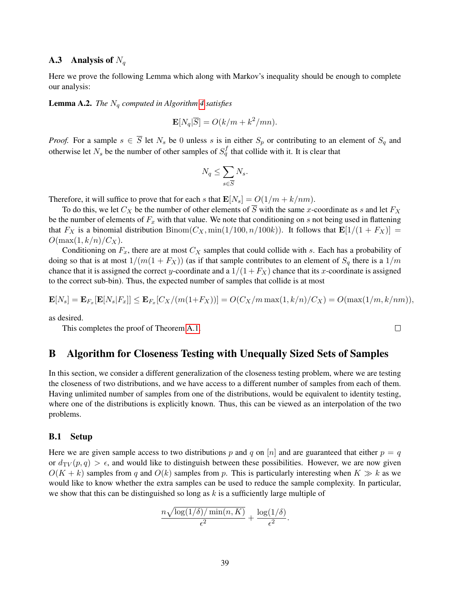#### **A.3** Analysis of  $N_q$

Here we prove the following Lemma which along with Markov's inequality should be enough to complete our analysis:

**Lemma A.2.** *The*  $N_q$  *computed in Algorithm* [4](#page-37-1) *satisfies* 

$$
\mathbf{E}[N_q|\overline{S}] = O(k/m + k^2/mn).
$$

*Proof.* For a sample  $s \in \overline{S}$  let  $N_s$  be 0 unless s is in either  $S_p$  or contributing to an element of  $S_q$  and otherwise let  $N_s$  be the number of other samples of  $S_q^f$  that collide with it. It is clear that

$$
N_q \le \sum_{s \in \overline{S}} N_s.
$$

Therefore, it will suffice to prove that for each s that  $\mathbf{E}[N_s] = O(1/m + k/nm)$ .

To do this, we let  $C_X$  be the number of other elements of  $\overline{S}$  with the same x-coordinate as s and let  $F_X$ be the number of elements of  $F_x$  with that value. We note that conditioning on s not being used in flattening that  $F_X$  is a binomial distribution  $Binom(C_X, min(1/100, n/100k))$ . It follows that  $\mathbf{E}[1/(1 + F_X)] =$  $O(\max(1, k/n)/C_X).$ 

Conditioning on  $F_x$ , there are at most  $C_x$  samples that could collide with s. Each has a probability of doing so that is at most  $1/(m(1 + F_X))$  (as if that sample contributes to an element of  $S_q$  there is a  $1/m$ chance that it is assigned the correct y-coordinate and a  $1/(1 + F_X)$  chance that its x-coordinate is assigned to the correct sub-bin). Thus, the expected number of samples that collide is at most

$$
\mathbf{E}[N_s] = \mathbf{E}_{F_x}[\mathbf{E}[N_s|F_x]] \le \mathbf{E}_{F_x}[C_X/(m(1+F_X))] = O(C_X/m \max(1, k/n)/C_X) = O(\max(1/m, k/nm)),
$$

as desired.

This completes the proof of Theorem [A.1.](#page-37-2)

## <span id="page-39-0"></span>B Algorithm for Closeness Testing with Unequally Sized Sets of Samples

In this section, we consider a different generalization of the closeness testing problem, where we are testing the closeness of two distributions, and we have access to a different number of samples from each of them. Having unlimited number of samples from one of the distributions, would be equivalent to identity testing, where one of the distributions is explicitly known. Thus, this can be viewed as an interpolation of the two problems.

#### B.1 Setup

Here we are given sample access to two distributions p and q on [n] and are guaranteed that either  $p = q$ or  $d_{TV}(p,q) > \epsilon$ , and would like to distinguish between these possibilities. However, we are now given  $O(K + k)$  samples from q and  $O(k)$  samples from p. This is particularly interesting when  $K \gg k$  as we would like to know whether the extra samples can be used to reduce the sample complexity. In particular, we show that this can be distinguished so long as  $k$  is a sufficiently large multiple of

$$
\frac{n\sqrt{\log(1/\delta)/\min(n,K)}}{\epsilon^2} + \frac{\log(1/\delta)}{\epsilon^2}.
$$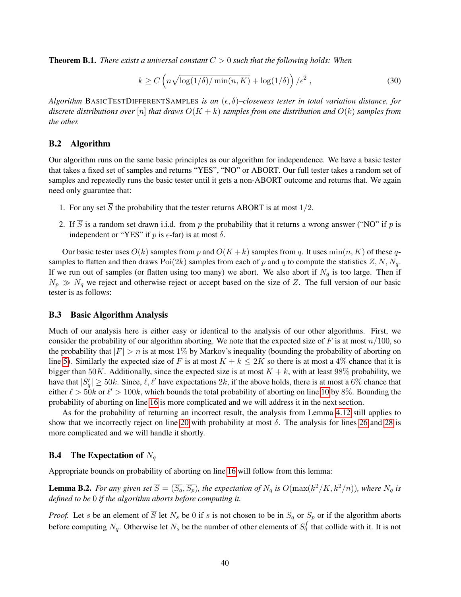<span id="page-40-0"></span>Theorem B.1. *There exists a universal constant* C > 0 *such that the following holds: When*

$$
k \ge C \left( n \sqrt{\log(1/\delta)/\min(n, K)} + \log(1/\delta) \right) / \epsilon^2 , \qquad (30)
$$

*Algorithm* BASICTESTDIFFERENTSAMPLES *is an*  $(\epsilon, \delta)$ –closeness tester in total variation distance, for *discrete distributions over*  $[n]$  *that draws*  $O(K + k)$  *samples from one distribution and*  $O(k)$  *samples from the other.*

#### B.2 Algorithm

Our algorithm runs on the same basic principles as our algorithm for independence. We have a basic tester that takes a fixed set of samples and returns "YES", "NO" or ABORT. Our full tester takes a random set of samples and repeatedly runs the basic tester until it gets a non-ABORT outcome and returns that. We again need only guarantee that:

- 1. For any set  $\overline{S}$  the probability that the tester returns ABORT is at most 1/2.
- 2. If  $\overline{S}$  is a random set drawn i.i.d. from p the probability that it returns a wrong answer ("NO" if p is independent or "YES" if p is  $\epsilon$ -far) is at most  $\delta$ .

Our basic tester uses  $O(k)$  samples from p and  $O(K + k)$  samples from q. It uses  $\min(n, K)$  of these qsamples to flatten and then draws  $Poi(2k)$  samples from each of p and q to compute the statistics  $Z, N, N_q$ . If we run out of samples (or flatten using too many) we abort. We also abort if  $N_q$  is too large. Then if  $N_p \gg N_q$  we reject and otherwise reject or accept based on the size of Z. The full version of our basic tester is as follows:

## B.3 Basic Algorithm Analysis

Much of our analysis here is either easy or identical to the analysis of our other algorithms. First, we consider the probability of our algorithm aborting. We note that the expected size of F is at most  $n/100$ , so the probability that  $|F| > n$  is at most 1% by Markov's inequality (bounding the probability of aborting on line [5\)](#page-41-0). Similarly the expected size of F is at most  $K + k \leq 2K$  so there is at most a 4% chance that it is bigger than 50K. Additionally, since the expected size is at most  $K + k$ , with at least 98% probability, we have that  $|\overline{S'_q}| \ge 50k$ . Since,  $\ell, \ell'$  have expectations  $2k$ , if the above holds, there is at most a 6% chance that either  $\ell > 50k$  or  $\ell' > 100k$  $\ell' > 100k$  $\ell' > 100k$ , which bounds the total probability of aborting on line 10 by 8%. Bounding the probability of aborting on line [16](#page-41-2) is more complicated and we will address it in the next section.

As for the probability of returning an incorrect result, the analysis from Lemma [4.12](#page-21-0) still applies to show that we incorrectly reject on line [20](#page-41-3) with probability at most  $\delta$ . The analysis for lines [26](#page-41-4) and [28](#page-41-5) is more complicated and we will handle it shortly.

## **B.4** The Expectation of  $N_q$

Appropriate bounds on probability of aborting on line [16](#page-41-2) will follow from this lemma:

**Lemma B.2.** For any given set  $\overline{S} = (\overline{S_q}, \overline{S_p})$ , the expectation of  $N_q$  is  $O(\max(k^2/K, k^2/n))$ , where  $N_q$  is *defined to be* 0 *if the algorithm aborts before computing it.*

*Proof.* Let s be an element of  $\overline{S}$  let  $N_s$  be 0 if s is not chosen to be in  $S_q$  or  $S_p$  or if the algorithm aborts before computing  $N_q$ . Otherwise let  $N_s$  be the number of other elements of  $S_q^f$  that collide with it. It is not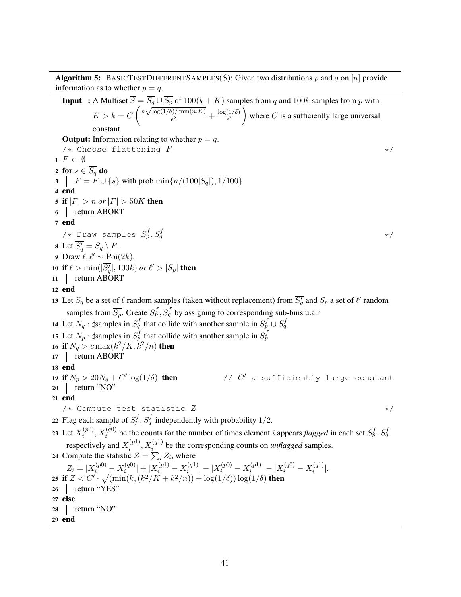Algorithm 5: BASICTESTDIFFERENTSAMPLES( $\overline{S}$ ): Given two distributions p and q on [n] provide information as to whether  $p = q$ .

<span id="page-41-5"></span><span id="page-41-4"></span><span id="page-41-3"></span><span id="page-41-2"></span><span id="page-41-1"></span><span id="page-41-0"></span>**Input** : A Multiset  $\overline{S} = \overline{S_q \cup \overline{S_p}}$  of  $100(k + K)$  samples from q and  $100k$  samples from p with  $K > k = C \left( \frac{n \sqrt{\log(1/\delta)/ \min(n, K)}}{\epsilon^2} \right)$  $\frac{\sin(n,K)}{\epsilon^2} + \frac{\log(1/\delta)}{\epsilon^2}$  $\epsilon^2$ where C is a sufficiently large universal constant. **Output:** Information relating to whether  $p = q$ .  $\forall$ \* Choose flattening  $F$  \*/ 1  $F \leftarrow \emptyset$ 2 for  $s \in \overline{S_q}$  do  $\mathbf{3}$  |  $F = F \cup \{s\}$  with prob  $\min\{n/(100|\overline{S_q}|), 1/100\}$ 4 end 5 if  $|F| > n$  *or*  $|F| > 50K$  then 6 return ABORT 7 end /\* Draw samples  $S_p^f,S_q^f$  $q \rightarrow \star/$ 8 Let  $\overline{S'_q} = \overline{S_q} \setminus F$ . 9 Draw  $\ell, \ell' \sim \text{Poi}(2k)$ . 10 if  $\ell > \min(|\overline{S'_q}|, 100k)$  *or*  $\ell' > |\overline{S_p}|$  then 11 | return ABORT 12 end 13 Let  $S_q$  be a set of  $\ell$  random samples (taken without replacement) from  $\overline{S_q'}$  and  $S_p$  a set of  $\ell'$  random samples from  $\overline{S_p}$ . Create  $S_p^f, S_q^f$  by assigning to corresponding sub-bins u.a.r 14 Let  $N_q$ :  $\sharp$ samples in  $S_q^f$  that collide with another sample in  $S_p^f \cup S_q^f$ . 15 Let  $N_p$ :  $\sharp$ samples in  $S_p^f$  that collide with another sample in  $S_p^f$ 16 if  $N_q > c \max(k^2/K,k^2/n)$  then 17 | return ABORT 18 end 19 if  $N_p > 20N_q + C' \log(1/\delta)$  then // C  $\sqrt{C}$  a sufficiently large constant 20 return "NO" 21 end  $\forall$   $\star$  Compute test statistic  $Z$   $\star$  / 22 Flag each sample of  $S_p^f$ ,  $S_q^f$  independently with probability 1/2. 23 Let  $X_i^{(p0)}$  $i_p^{(p0)}, X_i^{(q0)}$  be the counts for the number of times element *i* appears *flagged* in each set  $S_p^f, S_q^f$ respectively and  $X_i^{(p_1)}$  $i_{i}^{(p1)}, X_{i}^{(q1)}$  be the corresponding counts on *unflagged* samples. 24 Compute the statistic  $Z = \sum_i Z_i$ , where  $Z_i = |X_i^{(p0)} - X_i^{(q0)}|$  $\left| \frac{q(q0)}{i} \right| + \left| X_i^{(p1)} - X_i^{(q1)} \right|$  $\left| \frac{1}{i}^{(q1)} \right| - \left| X_i^{(p0)} - X_i^{(p1)} \right|$  $\frac{1}{i}$   $\frac{1}{i}$   $\frac{1}{i}$   $\frac{1}{i}$   $\frac{1}{i}$   $\frac{1}{i}$   $\frac{1}{i}$   $\frac{1}{i}$   $\frac{1}{i}$   $\frac{1}{i}$  $\binom{(q_1)}{i}$ . 25 if  $Z < C' \cdot \sqrt{\left(\min(k, (k^2/K + k^2/n)) + \log(1/\delta)\right) \log(1/\delta)}$  then 26 | return "YES" 27 else 28 | return "NO" 29 end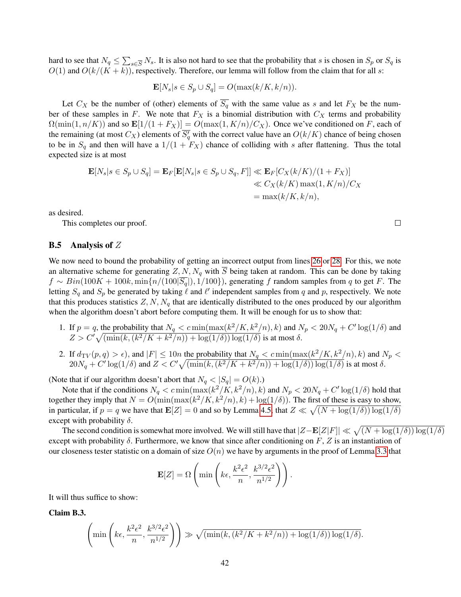hard to see that  $N_q \leq \sum_{s \in \overline{S}} N_s$ . It is also not hard to see that the probability that s is chosen in  $S_p$  or  $S_q$  is  $O(1)$  and  $O(k/(K+k))$ , respectively. Therefore, our lemma will follow from the claim that for all s:

$$
\mathbf{E}[N_s | s \in S_p \cup S_q] = O(\max(k/K, k/n)).
$$

Let  $C_X$  be the number of (other) elements of  $\overline{S_q}$  with the same value as s and let  $F_X$  be the number of these samples in F. We note that  $F_X$  is a binomial distribution with  $C_X$  terms and probability  $\Omega(\min(1, n/K))$  and so  $\mathbf{E}[1/(1 + F_X)] = O(\max(1, K/n)/C_X)$ . Once we've conditioned on F, each of the remaining (at most  $C_X$ ) elements of  $\overline{S_q'}$  with the correct value have an  $O(k/K)$  chance of being chosen to be in  $S_q$  and then will have a  $1/(1 + F_X)$  chance of colliding with s after flattening. Thus the total expected size is at most

$$
\mathbf{E}[N_s|s \in S_p \cup S_q] = \mathbf{E}_F[\mathbf{E}[N_s|s \in S_p \cup S_q, F]] \ll \mathbf{E}_F[C_X(k/K)/(1 + F_X)]
$$
  

$$
\ll C_X(k/K) \max(1, K/n)/C_X
$$
  

$$
= \max(k/K, k/n),
$$

as desired.

This completes our proof.

#### **B.5** Analysis of  $Z$

We now need to bound the probability of getting an incorrect output from lines [26](#page-41-4) or [28.](#page-41-5) For this, we note an alternative scheme for generating  $Z, N, N_q$  with  $\overline{S}$  being taken at random. This can be done by taking  $f \sim Bin(100K + 100k, \min\{n/(100|\overline{S_q}|), 1/100\})$ , generating f random samples from q to get F. The letting  $S_q$  and  $S_p$  be generated by taking  $\ell$  and  $\ell'$  independent samples from q and p, respectively. We note that this produces statistics  $Z, N, N_q$  that are identically distributed to the ones produced by our algorithm when the algorithm doesn't abort before computing them. It will be enough for us to show that:

- 1. If  $p = q$ , the probability that  $N_q < c \min(\max(k^2/K, k^2/n), k)$  and  $N_p < 20N_q + C' \log(1/\delta)$  and  $Z > C' \sqrt{\left(\min\left(k, \left(k^2/K + k^2/n\right)\right) + \log(1/\delta)\right) \log(1/\delta)}$  is at most  $\delta$ .
- 2. If  $d_{\text{TV}}(p,q) > \epsilon$ , and  $|F| \le 10n$  the probability that  $N_q < c \min(\max(k^2/K, k^2/n), k)$  and  $N_p <$  $20N_q + C' \log(1/\delta)$  and  $Z < C' \sqrt{\left(\min(k, (k^2/K + k^2/n)) + \log(1/\delta)\right) \log(1/\delta)}$  is at most  $\delta$ .

(Note that if our algorithm doesn't abort that  $N_q < |S_q| = O(k)$ .)

Note that if the conditions  $N_q < c \min(\max(k^2/K, k^2/n), k)$  and  $N_p < 20N_q + C' \log(1/\delta)$  hold that together they imply that  $N = O(\min(\max(k^2/K, k^2/n), k) + \log(1/\delta))$ . The first of these is easy to show, in particular, if  $p = q$  we have that  $\mathbf{E}[Z] = 0$  and so by Lemma [4.5,](#page-14-0) that  $Z \ll \sqrt{(N + \log(1/\delta)) \log(1/\delta)}$ except with probability  $\delta$ .

The second condition is somewhat more involved. We will still have that  $|Z - \mathbf{E}[Z|F]| \ll \sqrt{(N + \log(1/\delta)) \log(1/\delta)}$ except with probability  $\delta$ . Furthermore, we know that since after conditioning on F, Z is an instantiation of our closeness tester statistic on a domain of size  $O(n)$  we have by arguments in the proof of Lemma [3.3](#page-9-0) that

$$
\mathbf{E}[Z] = \Omega \left( \min \left( k\epsilon, \frac{k^2 \epsilon^2}{n}, \frac{k^{3/2} \epsilon^2}{n^{1/2}} \right) \right).
$$

It will thus suffice to show:

Claim B.3.

$$
\left(\min\left(k\epsilon,\frac{k^2\epsilon^2}{n},\frac{k^{3/2}\epsilon^2}{n^{1/2}}\right)\right) \gg \sqrt{\left(\min(k,(k^2/K+k^2/n)) + \log(1/\delta)\right)\log(1/\delta)}.
$$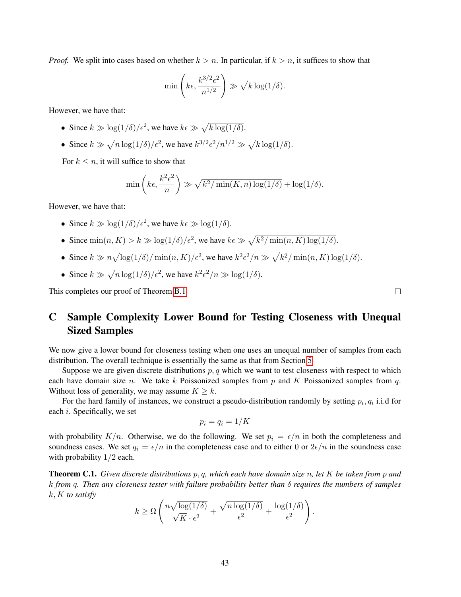*Proof.* We split into cases based on whether  $k > n$ . In particular, if  $k > n$ , it suffices to show that

$$
\min\left(k\epsilon, \frac{k^{3/2}\epsilon^2}{n^{1/2}}\right) \gg \sqrt{k \log(1/\delta)}.
$$

However, we have that:

- Since  $k \gg \log(1/\delta)/\epsilon^2$ , we have  $k\epsilon \gg \sqrt{k \log(1/\delta)}$ .
- Since  $k \gg \sqrt{n \log(1/\delta)}/\epsilon^2$ , we have  $k^{3/2} \epsilon^2/n^{1/2} \gg \sqrt{k \log(1/\delta)}$ .

For  $k \leq n$ , it will suffice to show that

$$
\min\left(k\epsilon, \frac{k^2\epsilon^2}{n}\right) \gg \sqrt{k^2/\min(K, n)\log(1/\delta)} + \log(1/\delta).
$$

However, we have that:

- Since  $k \gg \log(1/\delta)/\epsilon^2$ , we have  $k \epsilon \gg \log(1/\delta)$ .
- Since  $\min(n, K) > k \gg \log(1/\delta)/\epsilon^2$ , we have  $k \epsilon \gg \sqrt{k^2/\min(n, K) \log(1/\delta)}$ .
- Since  $k \gg n \sqrt{\log(1/\delta)/\min(n, K)}/\epsilon^2$ , we have  $k^2 \epsilon^2/n \gg \sqrt{k^2/\min(n, K)\log(1/\delta)}$ .
- Since  $k \gg \sqrt{n \log(1/\delta)}/\epsilon^2$ , we have  $k^2 \epsilon^2/n \gg \log(1/\delta)$ .

This completes our proof of Theorem [B.1.](#page-40-0)

# <span id="page-43-0"></span>C Sample Complexity Lower Bound for Testing Closeness with Unequal Sized Samples

We now give a lower bound for closeness testing when one uses an unequal number of samples from each distribution. The overall technique is essentially the same as that from Section [5.](#page-24-0)

Suppose we are given discrete distributions  $p, q$  which we want to test closeness with respect to which each have domain size n. We take k Poissonized samples from p and K Poissonized samples from q. Without loss of generality, we may assume  $K > k$ .

For the hard family of instances, we construct a pseudo-distribution randomly by setting  $p_i, q_i$  i.i.d for each i. Specifically, we set

$$
p_i=q_i=1/K
$$

with probability  $K/n$ . Otherwise, we do the following. We set  $p_i = \epsilon/n$  in both the completeness and soundness cases. We set  $q_i = \epsilon/n$  in the completeness case and to either 0 or  $2\epsilon/n$  in the soundness case with probability  $1/2$  each.

Theorem C.1. *Given discrete distributions* p, q*, which each have domain size* n*, let* K *be taken from* p *and* k *from* q*. Then any closeness tester with failure probability better than* δ *requires the numbers of samples* k, K *to satisfy*

$$
k \geq \Omega \left( \frac{n \sqrt{\log(1/\delta)}}{\sqrt{K} \cdot \epsilon^2} + \frac{\sqrt{n \log(1/\delta)}}{\epsilon^2} + \frac{\log(1/\delta)}{\epsilon^2} \right).
$$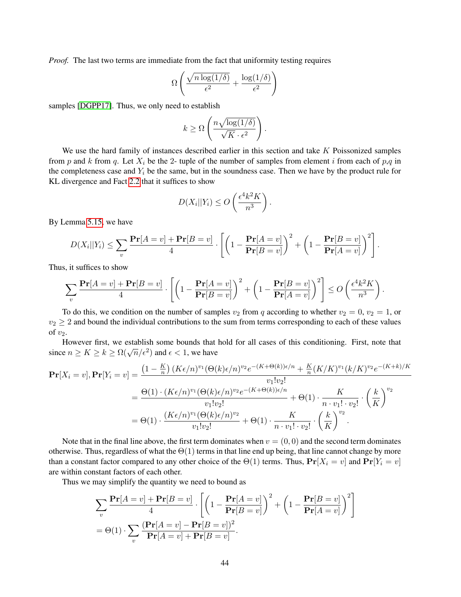*Proof.* The last two terms are immediate from the fact that uniformity testing requires

$$
\Omega\left(\frac{\sqrt{n\log(1/\delta)}}{\epsilon^2} + \frac{\log(1/\delta)}{\epsilon^2}\right)
$$

samples [\[DGPP17\]](#page-35-16). Thus, we only need to establish

$$
k \geq \Omega \left( \frac{n \sqrt{\log(1/\delta)}}{\sqrt{K} \cdot \epsilon^2} \right).
$$

We use the hard family of instances described earlier in this section and take K Poissonized samples from p and k from q. Let  $X_i$  be the 2- tuple of the number of samples from element i from each of p,q in the completeness case and  $Y_i$  be the same, but in the soundness case. Then we have by the product rule for KL divergence and Fact [2.2](#page-7-0) that it suffices to show

$$
D(X_i||Y_i) \le O\left(\frac{\epsilon^4 k^2 K}{n^3}\right).
$$

By Lemma [5.15,](#page-31-2) we have

$$
D(X_i||Y_i) \leq \sum_v \frac{\Pr[A = v] + \Pr[B = v]}{4} \cdot \left[ \left( 1 - \frac{\Pr[A = v]}{\Pr[B = v]} \right)^2 + \left( 1 - \frac{\Pr[B = v]}{\Pr[A = v]} \right)^2 \right].
$$

Thus, it suffices to show

$$
\sum_{v} \frac{\mathbf{Pr}[A=v] + \mathbf{Pr}[B=v]}{4} \cdot \left[ \left( 1 - \frac{\mathbf{Pr}[A=v]}{\mathbf{Pr}[B=v]} \right)^2 + \left( 1 - \frac{\mathbf{Pr}[B=v]}{\mathbf{Pr}[A=v]} \right)^2 \right] \le O\left(\frac{\epsilon^4 k^2 K}{n^3}\right).
$$

To do this, we condition on the number of samples  $v_2$  from q according to whether  $v_2 = 0$ ,  $v_2 = 1$ , or  $v_2 \geq 2$  and bound the individual contributions to the sum from terms corresponding to each of these values of  $v_2$ .

However first, we establish some bounds that hold for all cases of this conditioning. First, note that since  $n \ge K \ge k \ge \Omega(\sqrt{n}/\epsilon^2)$  and  $\epsilon < 1$ , we have

$$
\begin{split} \mathbf{Pr}[X_i = v], \mathbf{Pr}[Y_i = v] &= \frac{\left(1 - \frac{K}{n}\right)(K\epsilon/n)^{v_1}(\Theta(k)\epsilon/n)^{v_2}e^{-(K+\Theta(k))\epsilon/n} + \frac{K}{n}(K/K)^{v_1}(k/K)^{v_2}e^{-(K+k)/K}}{v_1!v_2!} \\ &= \frac{\Theta(1) \cdot (K\epsilon/n)^{v_1}(\Theta(k)\epsilon/n)^{v_2}e^{-(K+\Theta(k))\epsilon/n}}{v_1!v_2!} + \Theta(1) \cdot \frac{K}{n \cdot v_1! \cdot v_2!} \cdot \left(\frac{k}{K}\right)^{v_2} \\ &= \Theta(1) \cdot \frac{(K\epsilon/n)^{v_1}(\Theta(k)\epsilon/n)^{v_2}}{v_1!v_2!} + \Theta(1) \cdot \frac{K}{n \cdot v_1! \cdot v_2!} \cdot \left(\frac{k}{K}\right)^{v_2} .\end{split}
$$

Note that in the final line above, the first term dominates when  $v = (0, 0)$  and the second term dominates otherwise. Thus, regardless of what the  $\Theta(1)$  terms in that line end up being, that line cannot change by more than a constant factor compared to any other choice of the  $\Theta(1)$  terms. Thus,  $\Pr[X_i = v]$  and  $\Pr[Y_i = v]$ are within constant factors of each other.

Thus we may simplify the quantity we need to bound as

$$
\sum_{v} \frac{\mathbf{Pr}[A=v] + \mathbf{Pr}[B=v]}{4} \cdot \left[ \left( 1 - \frac{\mathbf{Pr}[A=v]}{\mathbf{Pr}[B=v]} \right)^2 + \left( 1 - \frac{\mathbf{Pr}[B=v]}{\mathbf{Pr}[A=v]} \right)^2 \right]
$$
  
=  $\Theta(1) \cdot \sum_{v} \frac{(\mathbf{Pr}[A=v] - \mathbf{Pr}[B=v])^2}{\mathbf{Pr}[A=v] + \mathbf{Pr}[B=v]}.$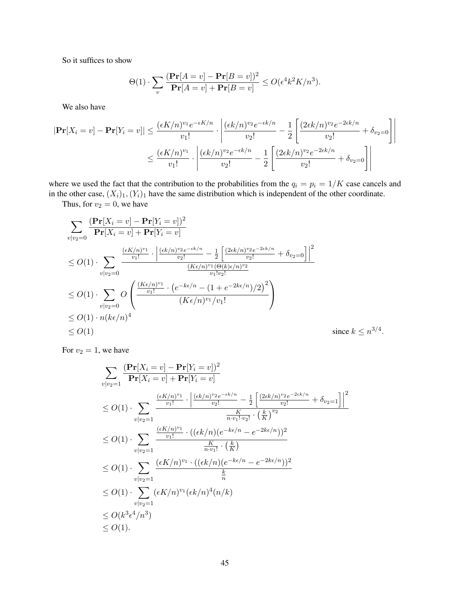So it suffices to show

$$
\Theta(1) \cdot \sum_{v} \frac{(\mathbf{Pr}[A=v] - \mathbf{Pr}[B=v])^2}{\mathbf{Pr}[A=v] + \mathbf{Pr}[B=v]} \le O(\epsilon^4 k^2 K/n^3).
$$

We also have

$$
|\mathbf{Pr}[X_i = v] - \mathbf{Pr}[Y_i = v]| \le \frac{(\epsilon K/n)^{v_1} e^{-\epsilon K/n}}{v_1!} \cdot \left| \frac{(\epsilon k/n)^{v_2} e^{-\epsilon k/n}}{v_2!} - \frac{1}{2} \left[ \frac{(2\epsilon k/n)^{v_2} e^{-2\epsilon k/n}}{v_2!} + \delta_{v_2=0} \right] \right|
$$
  

$$
\le \frac{(\epsilon K/n)^{v_1}}{v_1!} \cdot \left| \frac{(\epsilon k/n)^{v_2} e^{-\epsilon k/n}}{v_2!} - \frac{1}{2} \left[ \frac{(2\epsilon k/n)^{v_2} e^{-2\epsilon k/n}}{v_2!} + \delta_{v_2=0} \right] \right|
$$

where we used the fact that the contribution to the probabilities from the  $q_i = p_i = 1/K$  case cancels and in the other case,  $(X_i)_1, (Y_i)_1$  have the same distribution which is independent of the other coordinate.

Thus, for  $v_2 = 0$ , we have

$$
\sum_{v|v_2=0} \frac{(\Pr[X_i = v] - \Pr[Y_i = v])^2}{\Pr[X_i = v] + \Pr[Y_i = v]}
$$
\n
$$
\leq O(1) \cdot \sum_{v|v_2=0} \frac{\frac{(\epsilon K/n)^{v_1}}{v_1!} \cdot \left| \frac{(\epsilon k/n)^{v_2} e^{-\epsilon k/n}}{v_2!} - \frac{1}{2} \left[ \frac{(2\epsilon k/n)^{v_2} e^{-2\epsilon k/n}}{v_2!} + \delta_{v_2=0} \right] \right|^2}{\frac{(K\epsilon/n)^{v_1} (\Theta(k)\epsilon/n)^{v_2}}{v_1! v_2!}}
$$
\n
$$
\leq O(1) \cdot \sum_{v|v_2=0} O\left(\frac{\frac{(K\epsilon/n)^{v_1}}{v_1!} \cdot \left(e^{-k\epsilon/n} - (1 + e^{-2k\epsilon/n})/2\right)^2}{(K\epsilon/n)^{v_1}/v_1!}\right)
$$
\n
$$
\leq O(1) \cdot n(k\epsilon/n)^4
$$
\n
$$
\leq O(1)
$$
\n
$$
\text{since } k \leq n
$$

For  $v_2 = 1$ , we have

$$
\sum_{v|v_2=1} \frac{(\mathbf{Pr}[X_i = v] - \mathbf{Pr}[Y_i = v])^2}{\mathbf{Pr}[X_i = v] + \mathbf{Pr}[Y_i = v]}
$$
\n
$$
\leq O(1) \cdot \sum_{v|v_2=1} \frac{\frac{(\epsilon K/n)^{v_1}}{v_1!} \cdot \left| \frac{(\epsilon k/n)^{v_2} e^{-\epsilon k/n}}{v_2!} - \frac{1}{2} \left[ \frac{(2\epsilon k/n)^{v_2} e^{-2\epsilon k/n}}{v_2!} + \delta_{v_2=1} \right] \right|^2}{\frac{K}{n \cdot v_1! \cdot v_2!} \cdot \left(\frac{k}{K}\right)^{v_2}}
$$
\n
$$
\leq O(1) \cdot \sum_{v|v_2=1} \frac{\frac{(\epsilon K/n)^{v_1}}{v_1!} \cdot ((\epsilon k/n)(e^{-k\epsilon/n} - e^{-2k\epsilon/n}))^2}{\frac{K}{n \cdot v_1!} \cdot \left(\frac{k}{K}\right)}
$$
\n
$$
\leq O(1) \cdot \sum_{v|v_2=1} \frac{(\epsilon K/n)^{v_1} \cdot ((\epsilon k/n)(e^{-k\epsilon/n} - e^{-2k\epsilon/n}))^2}{\frac{k}{n}}
$$
\n
$$
\leq O(1) \cdot \sum_{v|v_2=1} (\epsilon K/n)^{v_1} (\epsilon k/n)^4 (n/k)
$$
\n
$$
\leq O(k^3 \epsilon^4/n^3)
$$
\n
$$
\leq O(1).
$$

 $\frac{3}{4}$ .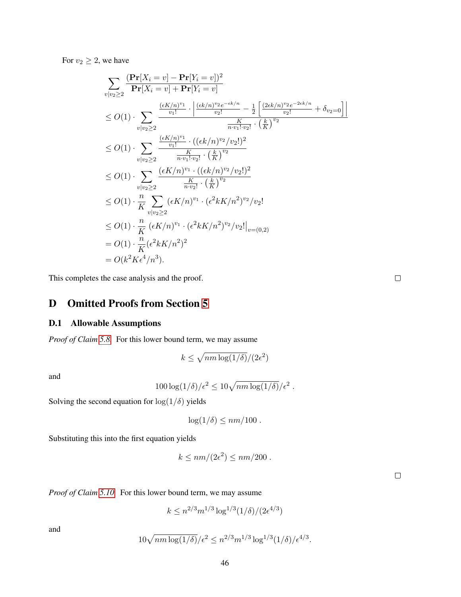For  $v_2 \geq 2$ , we have

$$
\sum_{v|v_2 \geq 2} \frac{(\mathbf{Pr}[X_i = v] - \mathbf{Pr}[Y_i = v])^2}{\mathbf{Pr}[X_i = v] + \mathbf{Pr}[Y_i = v]}
$$
\n
$$
\leq O(1) \cdot \sum_{v|v_2 \geq 2} \frac{\frac{(eK/n)^{v_1}}{v_1!} \cdot \left| \frac{(ek/n)^{v_2}e^{-ek/n}}{v_2!} - \frac{1}{2} \left[ \frac{(2ek/n)^{v_2}e^{-2ek/n}}{v_2!} + \delta_{v_2 = 0} \right] \right|}{\frac{K}{n \cdot v_1! \cdot v_2!} \cdot (\frac{k}{K})^{v_2}}
$$
\n
$$
\leq O(1) \cdot \sum_{v|v_2 \geq 2} \frac{\frac{(eK/n)^{v_1}}{v_1! \cdot v_2!} \cdot ((ek/n)^{v_2}/v_2!)^2}{\frac{K}{n \cdot v_1! \cdot v_2!} \cdot (\frac{k}{K})^{v_2}}}{\frac{(ek/N)^{v_1} \cdot ((ek/N)^{v_2}/v_2!)^2}{\frac{K}{n \cdot v_2!} \cdot (\frac{k}{K})^{v_2}}}
$$
\n
$$
\leq O(1) \cdot \frac{n}{K} \sum_{v|v_2 \geq 2} \frac{(eK/n)^{v_1} \cdot (e^2kK/n^2)^{v_2}/v_2!}{\frac{(ek/N)^{v_2}e^2}{\frac{(ek/N)^{v_2}e^2}}}
$$
\n
$$
\leq O(1) \cdot \frac{n}{K} \frac{(eK/n)^{v_1} \cdot (e^2kK/n^2)^{v_2}/v_2!|_{v=(0,2)}}{K} = O(1) \cdot \frac{n}{K} (e^2kK/n^2)^2
$$
\n
$$
= O(1) \cdot \frac{n}{K} (e^2kK/n^2)^2
$$
\n
$$
= O(k^2K\epsilon^4/n^3).
$$

This completes the case analysis and the proof.

<span id="page-46-0"></span>D Omitted Proofs from Section [5](#page-24-0)

## D.1 Allowable Assumptions

*Proof of Claim [5.8.](#page-28-4)* For this lower bound term, we may assume

$$
k \le \sqrt{nm \log(1/\delta)}/(2\epsilon^2)
$$

and

$$
100\log(1/\delta)/\epsilon^2 \leq 10\sqrt{nm\log(1/\delta)}/\epsilon^2.
$$

Solving the second equation for  $\log(1/\delta)$  yields

$$
\log(1/\delta) \le nm/100.
$$

Substituting this into the first equation yields

$$
k \le nm/(2\epsilon^2) \le nm/200.
$$

 $\Box$ 

*Proof of Claim [5.10.](#page-28-5)* For this lower bound term, we may assume

$$
k \le n^{2/3} m^{1/3} \log^{1/3}(1/\delta) / (2\epsilon^{4/3})
$$

and

$$
10\sqrt{nm\log(1/\delta)}/\epsilon^2 \le n^{2/3}m^{1/3}\log^{1/3}(1/\delta)/\epsilon^{4/3}.
$$